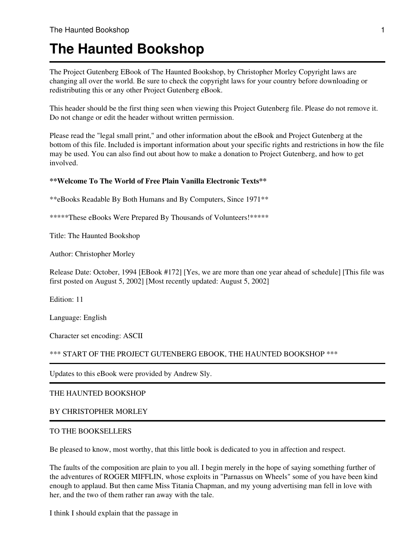# **The Haunted Bookshop**

The Project Gutenberg EBook of The Haunted Bookshop, by Christopher Morley Copyright laws are changing all over the world. Be sure to check the copyright laws for your country before downloading or redistributing this or any other Project Gutenberg eBook.

This header should be the first thing seen when viewing this Project Gutenberg file. Please do not remove it. Do not change or edit the header without written permission.

Please read the "legal small print," and other information about the eBook and Project Gutenberg at the bottom of this file. Included is important information about your specific rights and restrictions in how the file may be used. You can also find out about how to make a donation to Project Gutenberg, and how to get involved.

#### **\*\*Welcome To The World of Free Plain Vanilla Electronic Texts\*\***

\*\*eBooks Readable By Both Humans and By Computers, Since 1971\*\*

\*\*\*\*\*These eBooks Were Prepared By Thousands of Volunteers!\*\*\*\*\*

Title: The Haunted Bookshop

Author: Christopher Morley

Release Date: October, 1994 [EBook #172] [Yes, we are more than one year ahead of schedule] [This file was first posted on August 5, 2002] [Most recently updated: August 5, 2002]

Edition: 11

Language: English

Character set encoding: ASCII

#### \*\*\* START OF THE PROJECT GUTENBERG EBOOK, THE HAUNTED BOOKSHOP \*\*\*

Updates to this eBook were provided by Andrew Sly.

#### THE HAUNTED BOOKSHOP

#### BY CHRISTOPHER MORLEY

#### TO THE BOOKSELLERS

Be pleased to know, most worthy, that this little book is dedicated to you in affection and respect.

The faults of the composition are plain to you all. I begin merely in the hope of saying something further of the adventures of ROGER MIFFLIN, whose exploits in "Parnassus on Wheels" some of you have been kind enough to applaud. But then came Miss Titania Chapman, and my young advertising man fell in love with her, and the two of them rather ran away with the tale.

I think I should explain that the passage in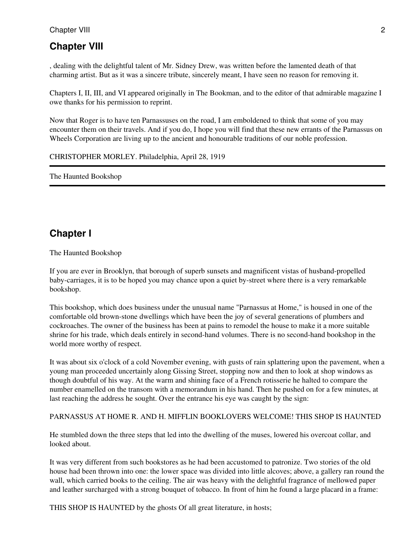# **Chapter VIII**

, dealing with the delightful talent of Mr. Sidney Drew, was written before the lamented death of that charming artist. But as it was a sincere tribute, sincerely meant, I have seen no reason for removing it.

Chapters I, II, III, and VI appeared originally in The Bookman, and to the editor of that admirable magazine I owe thanks for his permission to reprint.

Now that Roger is to have ten Parnassuses on the road, I am emboldened to think that some of you may encounter them on their travels. And if you do, I hope you will find that these new errants of the Parnassus on Wheels Corporation are living up to the ancient and honourable traditions of our noble profession.

CHRISTOPHER MORLEY. Philadelphia, April 28, 1919

The Haunted Bookshop

# **Chapter I**

The Haunted Bookshop

If you are ever in Brooklyn, that borough of superb sunsets and magnificent vistas of husband-propelled baby-carriages, it is to be hoped you may chance upon a quiet by-street where there is a very remarkable bookshop.

This bookshop, which does business under the unusual name "Parnassus at Home," is housed in one of the comfortable old brown-stone dwellings which have been the joy of several generations of plumbers and cockroaches. The owner of the business has been at pains to remodel the house to make it a more suitable shrine for his trade, which deals entirely in second-hand volumes. There is no second-hand bookshop in the world more worthy of respect.

It was about six o'clock of a cold November evening, with gusts of rain splattering upon the pavement, when a young man proceeded uncertainly along Gissing Street, stopping now and then to look at shop windows as though doubtful of his way. At the warm and shining face of a French rotisserie he halted to compare the number enamelled on the transom with a memorandum in his hand. Then he pushed on for a few minutes, at last reaching the address he sought. Over the entrance his eye was caught by the sign:

#### PARNASSUS AT HOME R. AND H. MIFFLIN BOOKLOVERS WELCOME! THIS SHOP IS HAUNTED

He stumbled down the three steps that led into the dwelling of the muses, lowered his overcoat collar, and looked about.

It was very different from such bookstores as he had been accustomed to patronize. Two stories of the old house had been thrown into one: the lower space was divided into little alcoves; above, a gallery ran round the wall, which carried books to the ceiling. The air was heavy with the delightful fragrance of mellowed paper and leather surcharged with a strong bouquet of tobacco. In front of him he found a large placard in a frame:

THIS SHOP IS HAUNTED by the ghosts Of all great literature, in hosts;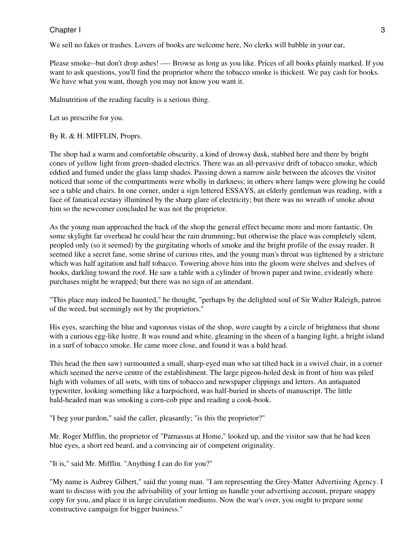We sell no fakes or trashes. Lovers of books are welcome here, No clerks will babble in your ear,

Please smoke--but don't drop ashes! ---- Browse as long as you like. Prices of all books plainly marked. If you want to ask questions, you'll find the proprietor where the tobacco smoke is thickest. We pay cash for books. We have what you want, though you may not know you want it.

Malnutrition of the reading faculty is a serious thing.

Let us prescribe for you.

#### By R. & H. MIFFLIN, Proprs.

The shop had a warm and comfortable obscurity, a kind of drowsy dusk, stabbed here and there by bright cones of yellow light from green-shaded electrics. There was an all-pervasive drift of tobacco smoke, which eddied and fumed under the glass lamp shades. Passing down a narrow aisle between the alcoves the visitor noticed that some of the compartments were wholly in darkness; in others where lamps were glowing he could see a table and chairs. In one corner, under a sign lettered ESSAYS, an elderly gentleman was reading, with a face of fanatical ecstasy illumined by the sharp glare of electricity; but there was no wreath of smoke about him so the newcomer concluded he was not the proprietor.

As the young man approached the back of the shop the general effect became more and more fantastic. On some skylight far overhead he could hear the rain drumming; but otherwise the place was completely silent, peopled only (so it seemed) by the gurgitating whorls of smoke and the bright profile of the essay reader. It seemed like a secret fane, some shrine of curious rites, and the young man's throat was tightened by a stricture which was half agitation and half tobacco. Towering above him into the gloom were shelves and shelves of books, darkling toward the roof. He saw a table with a cylinder of brown paper and twine, evidently where purchases might be wrapped; but there was no sign of an attendant.

"This place may indeed be haunted," he thought, "perhaps by the delighted soul of Sir Walter Raleigh, patron of the weed, but seemingly not by the proprietors."

His eyes, searching the blue and vaporous vistas of the shop, were caught by a circle of brightness that shone with a curious egg-like lustre. It was round and white, gleaming in the sheen of a hanging light, a bright island in a surf of tobacco smoke. He came more close, and found it was a bald head.

This head (he then saw) surmounted a small, sharp-eyed man who sat tilted back in a swivel chair, in a corner which seemed the nerve centre of the establishment. The large pigeon-holed desk in front of him was piled high with volumes of all sorts, with tins of tobacco and newspaper clippings and letters. An antiquated typewriter, looking something like a harpsichord, was half-buried in sheets of manuscript. The little bald-headed man was smoking a corn-cob pipe and reading a cook-book.

"I beg your pardon," said the caller, pleasantly; "is this the proprietor?"

Mr. Roger Mifflin, the proprietor of "Parnassus at Home," looked up, and the visitor saw that he had keen blue eyes, a short red beard, and a convincing air of competent originality.

"It is," said Mr. Mifflin. "Anything I can do for you?"

"My name is Aubrey Gilbert," said the young man. "I am representing the Grey-Matter Advertising Agency. I want to discuss with you the advisability of your letting us handle your advertising account, prepare snappy copy for you, and place it in large circulation mediums. Now the war's over, you ought to prepare some constructive campaign for bigger business."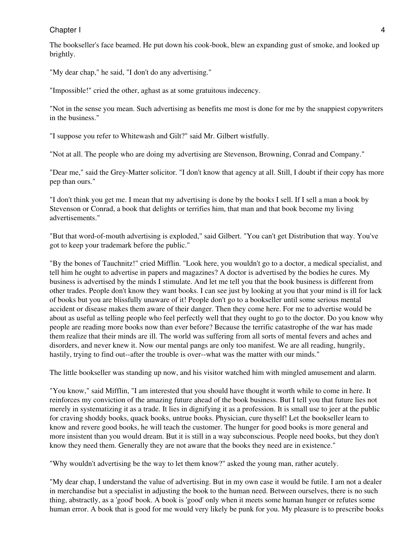The bookseller's face beamed. He put down his cook-book, blew an expanding gust of smoke, and looked up brightly.

"My dear chap," he said, "I don't do any advertising."

"Impossible!" cried the other, aghast as at some gratuitous indecency.

"Not in the sense you mean. Such advertising as benefits me most is done for me by the snappiest copywriters in the business."

"I suppose you refer to Whitewash and Gilt?" said Mr. Gilbert wistfully.

"Not at all. The people who are doing my advertising are Stevenson, Browning, Conrad and Company."

"Dear me," said the Grey-Matter solicitor. "I don't know that agency at all. Still, I doubt if their copy has more pep than ours."

"I don't think you get me. I mean that my advertising is done by the books I sell. If I sell a man a book by Stevenson or Conrad, a book that delights or terrifies him, that man and that book become my living advertisements."

"But that word-of-mouth advertising is exploded," said Gilbert. "You can't get Distribution that way. You've got to keep your trademark before the public."

"By the bones of Tauchnitz!" cried Mifflin. "Look here, you wouldn't go to a doctor, a medical specialist, and tell him he ought to advertise in papers and magazines? A doctor is advertised by the bodies he cures. My business is advertised by the minds I stimulate. And let me tell you that the book business is different from other trades. People don't know they want books. I can see just by looking at you that your mind is ill for lack of books but you are blissfully unaware of it! People don't go to a bookseller until some serious mental accident or disease makes them aware of their danger. Then they come here. For me to advertise would be about as useful as telling people who feel perfectly well that they ought to go to the doctor. Do you know why people are reading more books now than ever before? Because the terrific catastrophe of the war has made them realize that their minds are ill. The world was suffering from all sorts of mental fevers and aches and disorders, and never knew it. Now our mental pangs are only too manifest. We are all reading, hungrily, hastily, trying to find out--after the trouble is over--what was the matter with our minds."

The little bookseller was standing up now, and his visitor watched him with mingled amusement and alarm.

"You know," said Mifflin, "I am interested that you should have thought it worth while to come in here. It reinforces my conviction of the amazing future ahead of the book business. But I tell you that future lies not merely in systematizing it as a trade. It lies in dignifying it as a profession. It is small use to jeer at the public for craving shoddy books, quack books, untrue books. Physician, cure thyself! Let the bookseller learn to know and revere good books, he will teach the customer. The hunger for good books is more general and more insistent than you would dream. But it is still in a way subconscious. People need books, but they don't know they need them. Generally they are not aware that the books they need are in existence."

"Why wouldn't advertising be the way to let them know?" asked the young man, rather acutely.

"My dear chap, I understand the value of advertising. But in my own case it would be futile. I am not a dealer in merchandise but a specialist in adjusting the book to the human need. Between ourselves, there is no such thing, abstractly, as a 'good' book. A book is 'good' only when it meets some human hunger or refutes some human error. A book that is good for me would very likely be punk for you. My pleasure is to prescribe books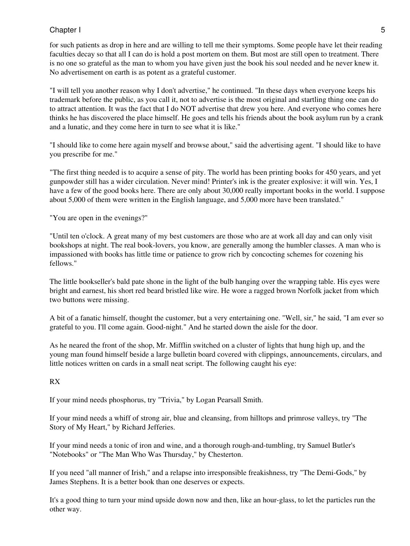for such patients as drop in here and are willing to tell me their symptoms. Some people have let their reading faculties decay so that all I can do is hold a post mortem on them. But most are still open to treatment. There is no one so grateful as the man to whom you have given just the book his soul needed and he never knew it. No advertisement on earth is as potent as a grateful customer.

"I will tell you another reason why I don't advertise," he continued. "In these days when everyone keeps his trademark before the public, as you call it, not to advertise is the most original and startling thing one can do to attract attention. It was the fact that I do NOT advertise that drew you here. And everyone who comes here thinks he has discovered the place himself. He goes and tells his friends about the book asylum run by a crank and a lunatic, and they come here in turn to see what it is like."

"I should like to come here again myself and browse about," said the advertising agent. "I should like to have you prescribe for me."

"The first thing needed is to acquire a sense of pity. The world has been printing books for 450 years, and yet gunpowder still has a wider circulation. Never mind! Printer's ink is the greater explosive: it will win. Yes, I have a few of the good books here. There are only about 30,000 really important books in the world. I suppose about 5,000 of them were written in the English language, and 5,000 more have been translated."

"You are open in the evenings?"

"Until ten o'clock. A great many of my best customers are those who are at work all day and can only visit bookshops at night. The real book-lovers, you know, are generally among the humbler classes. A man who is impassioned with books has little time or patience to grow rich by concocting schemes for cozening his fellows."

The little bookseller's bald pate shone in the light of the bulb hanging over the wrapping table. His eyes were bright and earnest, his short red beard bristled like wire. He wore a ragged brown Norfolk jacket from which two buttons were missing.

A bit of a fanatic himself, thought the customer, but a very entertaining one. "Well, sir," he said, "I am ever so grateful to you. I'll come again. Good-night." And he started down the aisle for the door.

As he neared the front of the shop, Mr. Mifflin switched on a cluster of lights that hung high up, and the young man found himself beside a large bulletin board covered with clippings, announcements, circulars, and little notices written on cards in a small neat script. The following caught his eye:

#### RX

If your mind needs phosphorus, try "Trivia," by Logan Pearsall Smith.

If your mind needs a whiff of strong air, blue and cleansing, from hilltops and primrose valleys, try "The Story of My Heart," by Richard Jefferies.

If your mind needs a tonic of iron and wine, and a thorough rough-and-tumbling, try Samuel Butler's "Notebooks" or "The Man Who Was Thursday," by Chesterton.

If you need "all manner of Irish," and a relapse into irresponsible freakishness, try "The Demi-Gods," by James Stephens. It is a better book than one deserves or expects.

It's a good thing to turn your mind upside down now and then, like an hour-glass, to let the particles run the other way.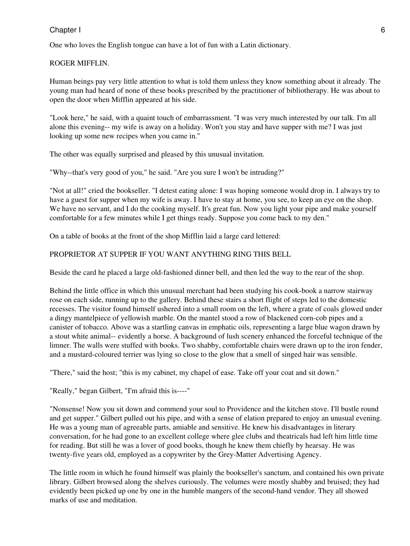One who loves the English tongue can have a lot of fun with a Latin dictionary.

#### ROGER MIFFLIN.

Human beings pay very little attention to what is told them unless they know something about it already. The young man had heard of none of these books prescribed by the practitioner of bibliotherapy. He was about to open the door when Mifflin appeared at his side.

"Look here," he said, with a quaint touch of embarrassment. "I was very much interested by our talk. I'm all alone this evening-- my wife is away on a holiday. Won't you stay and have supper with me? I was just looking up some new recipes when you came in."

The other was equally surprised and pleased by this unusual invitation.

"Why--that's very good of you," he said. "Are you sure I won't be intruding?"

"Not at all!" cried the bookseller. "I detest eating alone: I was hoping someone would drop in. I always try to have a guest for supper when my wife is away. I have to stay at home, you see, to keep an eye on the shop. We have no servant, and I do the cooking myself. It's great fun. Now you light your pipe and make yourself comfortable for a few minutes while I get things ready. Suppose you come back to my den."

On a table of books at the front of the shop Mifflin laid a large card lettered:

#### PROPRIETOR AT SUPPER IF YOU WANT ANYTHING RING THIS BELL

Beside the card he placed a large old-fashioned dinner bell, and then led the way to the rear of the shop.

Behind the little office in which this unusual merchant had been studying his cook-book a narrow stairway rose on each side, running up to the gallery. Behind these stairs a short flight of steps led to the domestic recesses. The visitor found himself ushered into a small room on the left, where a grate of coals glowed under a dingy mantelpiece of yellowish marble. On the mantel stood a row of blackened corn-cob pipes and a canister of tobacco. Above was a startling canvas in emphatic oils, representing a large blue wagon drawn by a stout white animal-- evidently a horse. A background of lush scenery enhanced the forceful technique of the limner. The walls were stuffed with books. Two shabby, comfortable chairs were drawn up to the iron fender, and a mustard-coloured terrier was lying so close to the glow that a smell of singed hair was sensible.

"There," said the host; "this is my cabinet, my chapel of ease. Take off your coat and sit down."

"Really," began Gilbert, "I'm afraid this is----"

"Nonsense! Now you sit down and commend your soul to Providence and the kitchen stove. I'll bustle round and get supper." Gilbert pulled out his pipe, and with a sense of elation prepared to enjoy an unusual evening. He was a young man of agreeable parts, amiable and sensitive. He knew his disadvantages in literary conversation, for he had gone to an excellent college where glee clubs and theatricals had left him little time for reading. But still he was a lover of good books, though he knew them chiefly by hearsay. He was twenty-five years old, employed as a copywriter by the Grey-Matter Advertising Agency.

The little room in which he found himself was plainly the bookseller's sanctum, and contained his own private library. Gilbert browsed along the shelves curiously. The volumes were mostly shabby and bruised; they had evidently been picked up one by one in the humble mangers of the second-hand vendor. They all showed marks of use and meditation.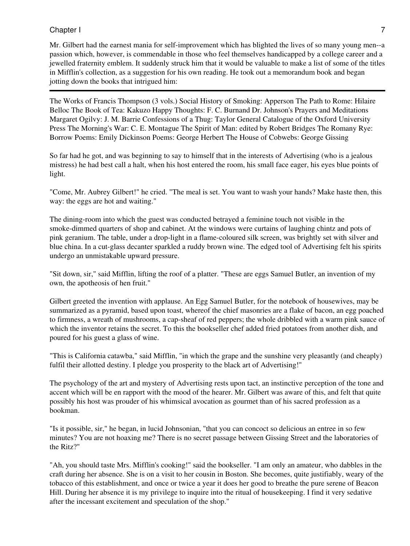Mr. Gilbert had the earnest mania for self-improvement which has blighted the lives of so many young men--a passion which, however, is commendable in those who feel themselves handicapped by a college career and a jewelled fraternity emblem. It suddenly struck him that it would be valuable to make a list of some of the titles in Mifflin's collection, as a suggestion for his own reading. He took out a memorandum book and began jotting down the books that intrigued him:

The Works of Francis Thompson (3 vols.) Social History of Smoking: Apperson The Path to Rome: Hilaire Belloc The Book of Tea: Kakuzo Happy Thoughts: F. C. Burnand Dr. Johnson's Prayers and Meditations Margaret Ogilvy: J. M. Barrie Confessions of a Thug: Taylor General Catalogue of the Oxford University Press The Morning's War: C. E. Montague The Spirit of Man: edited by Robert Bridges The Romany Rye: Borrow Poems: Emily Dickinson Poems: George Herbert The House of Cobwebs: George Gissing

So far had he got, and was beginning to say to himself that in the interests of Advertising (who is a jealous mistress) he had best call a halt, when his host entered the room, his small face eager, his eyes blue points of light.

"Come, Mr. Aubrey Gilbert!" he cried. "The meal is set. You want to wash your hands? Make haste then, this way: the eggs are hot and waiting."

The dining-room into which the guest was conducted betrayed a feminine touch not visible in the smoke-dimmed quarters of shop and cabinet. At the windows were curtains of laughing chintz and pots of pink geranium. The table, under a drop-light in a flame-coloured silk screen, was brightly set with silver and blue china. In a cut-glass decanter sparkled a ruddy brown wine. The edged tool of Advertising felt his spirits undergo an unmistakable upward pressure.

"Sit down, sir," said Mifflin, lifting the roof of a platter. "These are eggs Samuel Butler, an invention of my own, the apotheosis of hen fruit."

Gilbert greeted the invention with applause. An Egg Samuel Butler, for the notebook of housewives, may be summarized as a pyramid, based upon toast, whereof the chief masonries are a flake of bacon, an egg poached to firmness, a wreath of mushrooms, a cap-sheaf of red peppers; the whole dribbled with a warm pink sauce of which the inventor retains the secret. To this the bookseller chef added fried potatoes from another dish, and poured for his guest a glass of wine.

"This is California catawba," said Mifflin, "in which the grape and the sunshine very pleasantly (and cheaply) fulfil their allotted destiny. I pledge you prosperity to the black art of Advertising!"

The psychology of the art and mystery of Advertising rests upon tact, an instinctive perception of the tone and accent which will be en rapport with the mood of the hearer. Mr. Gilbert was aware of this, and felt that quite possibly his host was prouder of his whimsical avocation as gourmet than of his sacred profession as a bookman.

"Is it possible, sir," he began, in lucid Johnsonian, "that you can concoct so delicious an entree in so few minutes? You are not hoaxing me? There is no secret passage between Gissing Street and the laboratories of the Ritz?"

"Ah, you should taste Mrs. Mifflin's cooking!" said the bookseller. "I am only an amateur, who dabbles in the craft during her absence. She is on a visit to her cousin in Boston. She becomes, quite justifiably, weary of the tobacco of this establishment, and once or twice a year it does her good to breathe the pure serene of Beacon Hill. During her absence it is my privilege to inquire into the ritual of housekeeping. I find it very sedative after the incessant excitement and speculation of the shop."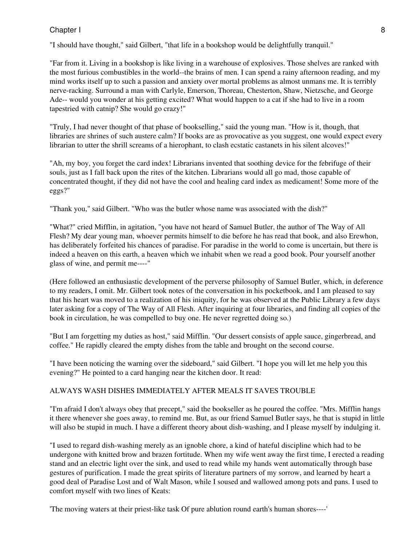#### Chapter I and the set of the set of the set of the set of the set of the set of the set of the set of the set of the set of the set of the set of the set of the set of the set of the set of the set of the set of the set of

"I should have thought," said Gilbert, "that life in a bookshop would be delightfully tranquil."

"Far from it. Living in a bookshop is like living in a warehouse of explosives. Those shelves are ranked with the most furious combustibles in the world--the brains of men. I can spend a rainy afternoon reading, and my mind works itself up to such a passion and anxiety over mortal problems as almost unmans me. It is terribly nerve-racking. Surround a man with Carlyle, Emerson, Thoreau, Chesterton, Shaw, Nietzsche, and George Ade-- would you wonder at his getting excited? What would happen to a cat if she had to live in a room tapestried with catnip? She would go crazy!"

"Truly, I had never thought of that phase of bookselling," said the young man. "How is it, though, that libraries are shrines of such austere calm? If books are as provocative as you suggest, one would expect every librarian to utter the shrill screams of a hierophant, to clash ecstatic castanets in his silent alcoves!"

"Ah, my boy, you forget the card index! Librarians invented that soothing device for the febrifuge of their souls, just as I fall back upon the rites of the kitchen. Librarians would all go mad, those capable of concentrated thought, if they did not have the cool and healing card index as medicament! Some more of the eggs?"

"Thank you," said Gilbert. "Who was the butler whose name was associated with the dish?"

"What?" cried Mifflin, in agitation, "you have not heard of Samuel Butler, the author of The Way of All Flesh? My dear young man, whoever permits himself to die before he has read that book, and also Erewhon, has deliberately forfeited his chances of paradise. For paradise in the world to come is uncertain, but there is indeed a heaven on this earth, a heaven which we inhabit when we read a good book. Pour yourself another glass of wine, and permit me----"

(Here followed an enthusiastic development of the perverse philosophy of Samuel Butler, which, in deference to my readers, I omit. Mr. Gilbert took notes of the conversation in his pocketbook, and I am pleased to say that his heart was moved to a realization of his iniquity, for he was observed at the Public Library a few days later asking for a copy of The Way of All Flesh. After inquiring at four libraries, and finding all copies of the book in circulation, he was compelled to buy one. He never regretted doing so.)

"But I am forgetting my duties as host," said Mifflin. "Our dessert consists of apple sauce, gingerbread, and coffee." He rapidly cleared the empty dishes from the table and brought on the second course.

"I have been noticing the warning over the sideboard," said Gilbert. "I hope you will let me help you this evening?" He pointed to a card hanging near the kitchen door. It read:

#### ALWAYS WASH DISHES IMMEDIATELY AFTER MEALS IT SAVES TROUBLE

"I'm afraid I don't always obey that precept," said the bookseller as he poured the coffee. "Mrs. Mifflin hangs it there whenever she goes away, to remind me. But, as our friend Samuel Butler says, he that is stupid in little will also be stupid in much. I have a different theory about dish-washing, and I please myself by indulging it.

"I used to regard dish-washing merely as an ignoble chore, a kind of hateful discipline which had to be undergone with knitted brow and brazen fortitude. When my wife went away the first time, I erected a reading stand and an electric light over the sink, and used to read while my hands went automatically through base gestures of purification. I made the great spirits of literature partners of my sorrow, and learned by heart a good deal of Paradise Lost and of Walt Mason, while I soused and wallowed among pots and pans. I used to comfort myself with two lines of Keats:

'The moving waters at their priest-like task Of pure ablution round earth's human shores----'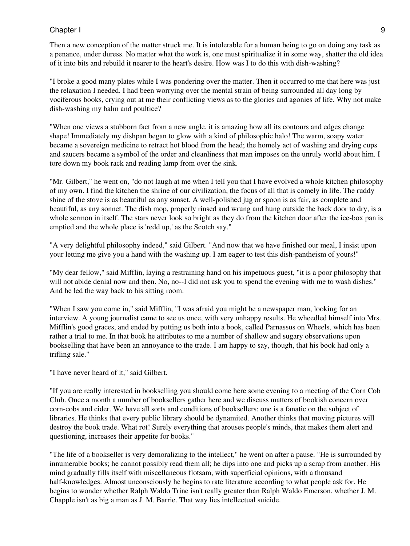Then a new conception of the matter struck me. It is intolerable for a human being to go on doing any task as a penance, under duress. No matter what the work is, one must spiritualize it in some way, shatter the old idea of it into bits and rebuild it nearer to the heart's desire. How was I to do this with dish-washing?

"I broke a good many plates while I was pondering over the matter. Then it occurred to me that here was just the relaxation I needed. I had been worrying over the mental strain of being surrounded all day long by vociferous books, crying out at me their conflicting views as to the glories and agonies of life. Why not make dish-washing my balm and poultice?

"When one views a stubborn fact from a new angle, it is amazing how all its contours and edges change shape! Immediately my dishpan began to glow with a kind of philosophic halo! The warm, soapy water became a sovereign medicine to retract hot blood from the head; the homely act of washing and drying cups and saucers became a symbol of the order and cleanliness that man imposes on the unruly world about him. I tore down my book rack and reading lamp from over the sink.

"Mr. Gilbert," he went on, "do not laugh at me when I tell you that I have evolved a whole kitchen philosophy of my own. I find the kitchen the shrine of our civilization, the focus of all that is comely in life. The ruddy shine of the stove is as beautiful as any sunset. A well-polished jug or spoon is as fair, as complete and beautiful, as any sonnet. The dish mop, properly rinsed and wrung and hung outside the back door to dry, is a whole sermon in itself. The stars never look so bright as they do from the kitchen door after the ice-box pan is emptied and the whole place is 'redd up,' as the Scotch say."

"A very delightful philosophy indeed," said Gilbert. "And now that we have finished our meal, I insist upon your letting me give you a hand with the washing up. I am eager to test this dish-pantheism of yours!"

"My dear fellow," said Mifflin, laying a restraining hand on his impetuous guest, "it is a poor philosophy that will not abide denial now and then. No, no--I did not ask you to spend the evening with me to wash dishes." And he led the way back to his sitting room.

"When I saw you come in," said Mifflin, "I was afraid you might be a newspaper man, looking for an interview. A young journalist came to see us once, with very unhappy results. He wheedled himself into Mrs. Mifflin's good graces, and ended by putting us both into a book, called Parnassus on Wheels, which has been rather a trial to me. In that book he attributes to me a number of shallow and sugary observations upon bookselling that have been an annoyance to the trade. I am happy to say, though, that his book had only a trifling sale."

"I have never heard of it," said Gilbert.

"If you are really interested in bookselling you should come here some evening to a meeting of the Corn Cob Club. Once a month a number of booksellers gather here and we discuss matters of bookish concern over corn-cobs and cider. We have all sorts and conditions of booksellers: one is a fanatic on the subject of libraries. He thinks that every public library should be dynamited. Another thinks that moving pictures will destroy the book trade. What rot! Surely everything that arouses people's minds, that makes them alert and questioning, increases their appetite for books."

"The life of a bookseller is very demoralizing to the intellect," he went on after a pause. "He is surrounded by innumerable books; he cannot possibly read them all; he dips into one and picks up a scrap from another. His mind gradually fills itself with miscellaneous flotsam, with superficial opinions, with a thousand half-knowledges. Almost unconsciously he begins to rate literature according to what people ask for. He begins to wonder whether Ralph Waldo Trine isn't really greater than Ralph Waldo Emerson, whether J. M. Chapple isn't as big a man as J. M. Barrie. That way lies intellectual suicide.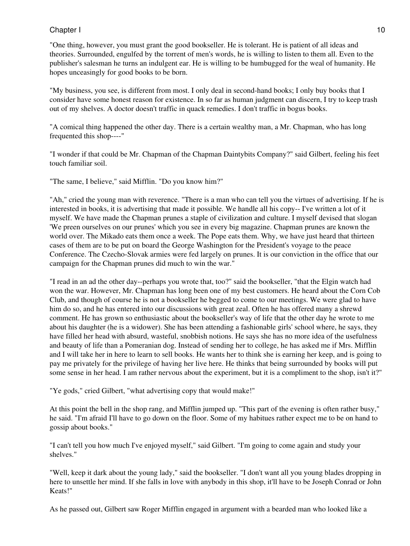"One thing, however, you must grant the good bookseller. He is tolerant. He is patient of all ideas and theories. Surrounded, engulfed by the torrent of men's words, he is willing to listen to them all. Even to the publisher's salesman he turns an indulgent ear. He is willing to be humbugged for the weal of humanity. He hopes unceasingly for good books to be born.

"My business, you see, is different from most. I only deal in second-hand books; I only buy books that I consider have some honest reason for existence. In so far as human judgment can discern, I try to keep trash out of my shelves. A doctor doesn't traffic in quack remedies. I don't traffic in bogus books.

"A comical thing happened the other day. There is a certain wealthy man, a Mr. Chapman, who has long frequented this shop----"

"I wonder if that could be Mr. Chapman of the Chapman Daintybits Company?" said Gilbert, feeling his feet touch familiar soil.

"The same, I believe," said Mifflin. "Do you know him?"

"Ah," cried the young man with reverence. "There is a man who can tell you the virtues of advertising. If he is interested in books, it is advertising that made it possible. We handle all his copy-- I've written a lot of it myself. We have made the Chapman prunes a staple of civilization and culture. I myself devised that slogan 'We preen ourselves on our prunes' which you see in every big magazine. Chapman prunes are known the world over. The Mikado eats them once a week. The Pope eats them. Why, we have just heard that thirteen cases of them are to be put on board the George Washington for the President's voyage to the peace Conference. The Czecho-Slovak armies were fed largely on prunes. It is our conviction in the office that our campaign for the Chapman prunes did much to win the war."

"I read in an ad the other day--perhaps you wrote that, too?" said the bookseller, "that the Elgin watch had won the war. However, Mr. Chapman has long been one of my best customers. He heard about the Corn Cob Club, and though of course he is not a bookseller he begged to come to our meetings. We were glad to have him do so, and he has entered into our discussions with great zeal. Often he has offered many a shrewd comment. He has grown so enthusiastic about the bookseller's way of life that the other day he wrote to me about his daughter (he is a widower). She has been attending a fashionable girls' school where, he says, they have filled her head with absurd, wasteful, snobbish notions. He says she has no more idea of the usefulness and beauty of life than a Pomeranian dog. Instead of sending her to college, he has asked me if Mrs. Mifflin and I will take her in here to learn to sell books. He wants her to think she is earning her keep, and is going to pay me privately for the privilege of having her live here. He thinks that being surrounded by books will put some sense in her head. I am rather nervous about the experiment, but it is a compliment to the shop, isn't it?"

"Ye gods," cried Gilbert, "what advertising copy that would make!"

At this point the bell in the shop rang, and Mifflin jumped up. "This part of the evening is often rather busy," he said. "I'm afraid I'll have to go down on the floor. Some of my habitues rather expect me to be on hand to gossip about books."

"I can't tell you how much I've enjoyed myself," said Gilbert. "I'm going to come again and study your shelves."

"Well, keep it dark about the young lady," said the bookseller. "I don't want all you young blades dropping in here to unsettle her mind. If she falls in love with anybody in this shop, it'll have to be Joseph Conrad or John Keats!"

As he passed out, Gilbert saw Roger Mifflin engaged in argument with a bearded man who looked like a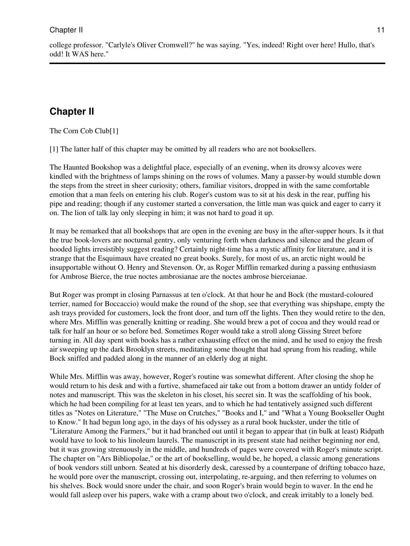The Corn Cob Club[1]

[1] The latter half of this chapter may be omitted by all readers who are not booksellers.

The Haunted Bookshop was a delightful place, especially of an evening, when its drowsy alcoves were kindled with the brightness of lamps shining on the rows of volumes. Many a passer-by would stumble down the steps from the street in sheer curiosity; others, familiar visitors, dropped in with the same comfortable emotion that a man feels on entering his club. Roger's custom was to sit at his desk in the rear, puffing his pipe and reading; though if any customer started a conversation, the little man was quick and eager to carry it on. The lion of talk lay only sleeping in him; it was not hard to goad it up.

It may be remarked that all bookshops that are open in the evening are busy in the after-supper hours. Is it that the true book-lovers are nocturnal gentry, only venturing forth when darkness and silence and the gleam of hooded lights irresistibly suggest reading? Certainly night-time has a mystic affinity for literature, and it is strange that the Esquimaux have created no great books. Surely, for most of us, an arctic night would be insupportable without O. Henry and Stevenson. Or, as Roger Mifflin remarked during a passing enthusiasm for Ambrose Bierce, the true noctes ambrosianae are the noctes ambrose bierceianae.

But Roger was prompt in closing Parnassus at ten o'clock. At that hour he and Bock (the mustard-coloured terrier, named for Boccaccio) would make the round of the shop, see that everything was shipshape, empty the ash trays provided for customers, lock the front door, and turn off the lights. Then they would retire to the den, where Mrs. Mifflin was generally knitting or reading. She would brew a pot of cocoa and they would read or talk for half an hour or so before bed. Sometimes Roger would take a stroll along Gissing Street before turning in. All day spent with books has a rather exhausting effect on the mind, and he used to enjoy the fresh air sweeping up the dark Brooklyn streets, meditating some thought that had sprung from his reading, while Bock sniffed and padded along in the manner of an elderly dog at night.

While Mrs. Mifflin was away, however, Roger's routine was somewhat different. After closing the shop he would return to his desk and with a furtive, shamefaced air take out from a bottom drawer an untidy folder of notes and manuscript. This was the skeleton in his closet, his secret sin. It was the scaffolding of his book, which he had been compiling for at least ten years, and to which he had tentatively assigned such different titles as "Notes on Literature," "The Muse on Crutches," "Books and I," and "What a Young Bookseller Ought to Know." It had begun long ago, in the days of his odyssey as a rural book huckster, under the title of "Literature Among the Farmers," but it had branched out until it began to appear that (in bulk at least) Ridpath would have to look to his linoleum laurels. The manuscript in its present state had neither beginning nor end, but it was growing strenuously in the middle, and hundreds of pages were covered with Roger's minute script. The chapter on "Ars Bibliopolae," or the art of bookselling, would be, he hoped, a classic among generations of book vendors still unborn. Seated at his disorderly desk, caressed by a counterpane of drifting tobacco haze, he would pore over the manuscript, crossing out, interpolating, re-arguing, and then referring to volumes on his shelves. Bock would snore under the chair, and soon Roger's brain would begin to waver. In the end he would fall asleep over his papers, wake with a cramp about two o'clock, and creak irritably to a lonely bed.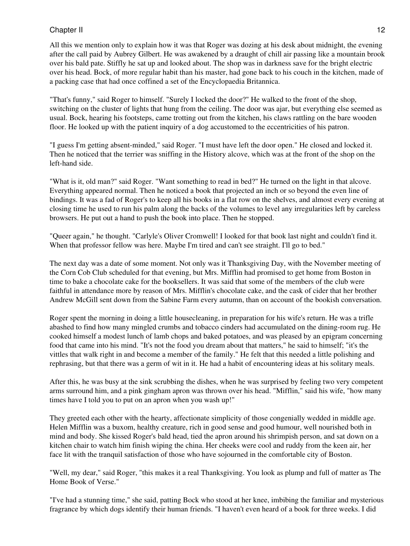All this we mention only to explain how it was that Roger was dozing at his desk about midnight, the evening after the call paid by Aubrey Gilbert. He was awakened by a draught of chill air passing like a mountain brook over his bald pate. Stiffly he sat up and looked about. The shop was in darkness save for the bright electric over his head. Bock, of more regular habit than his master, had gone back to his couch in the kitchen, made of a packing case that had once coffined a set of the Encyclopaedia Britannica.

"That's funny," said Roger to himself. "Surely I locked the door?" He walked to the front of the shop, switching on the cluster of lights that hung from the ceiling. The door was ajar, but everything else seemed as usual. Bock, hearing his footsteps, came trotting out from the kitchen, his claws rattling on the bare wooden floor. He looked up with the patient inquiry of a dog accustomed to the eccentricities of his patron.

"I guess I'm getting absent-minded," said Roger. "I must have left the door open." He closed and locked it. Then he noticed that the terrier was sniffing in the History alcove, which was at the front of the shop on the left-hand side.

"What is it, old man?" said Roger. "Want something to read in bed?" He turned on the light in that alcove. Everything appeared normal. Then he noticed a book that projected an inch or so beyond the even line of bindings. It was a fad of Roger's to keep all his books in a flat row on the shelves, and almost every evening at closing time he used to run his palm along the backs of the volumes to level any irregularities left by careless browsers. He put out a hand to push the book into place. Then he stopped.

"Queer again," he thought. "Carlyle's Oliver Cromwell! I looked for that book last night and couldn't find it. When that professor fellow was here. Maybe I'm tired and can't see straight. I'll go to bed."

The next day was a date of some moment. Not only was it Thanksgiving Day, with the November meeting of the Corn Cob Club scheduled for that evening, but Mrs. Mifflin had promised to get home from Boston in time to bake a chocolate cake for the booksellers. It was said that some of the members of the club were faithful in attendance more by reason of Mrs. Mifflin's chocolate cake, and the cask of cider that her brother Andrew McGill sent down from the Sabine Farm every autumn, than on account of the bookish conversation.

Roger spent the morning in doing a little housecleaning, in preparation for his wife's return. He was a trifle abashed to find how many mingled crumbs and tobacco cinders had accumulated on the dining-room rug. He cooked himself a modest lunch of lamb chops and baked potatoes, and was pleased by an epigram concerning food that came into his mind. "It's not the food you dream about that matters," he said to himself; "it's the vittles that walk right in and become a member of the family." He felt that this needed a little polishing and rephrasing, but that there was a germ of wit in it. He had a habit of encountering ideas at his solitary meals.

After this, he was busy at the sink scrubbing the dishes, when he was surprised by feeling two very competent arms surround him, and a pink gingham apron was thrown over his head. "Mifflin," said his wife, "how many times have I told you to put on an apron when you wash up!"

They greeted each other with the hearty, affectionate simplicity of those congenially wedded in middle age. Helen Mifflin was a buxom, healthy creature, rich in good sense and good humour, well nourished both in mind and body. She kissed Roger's bald head, tied the apron around his shrimpish person, and sat down on a kitchen chair to watch him finish wiping the china. Her cheeks were cool and ruddy from the keen air, her face lit with the tranquil satisfaction of those who have sojourned in the comfortable city of Boston.

"Well, my dear," said Roger, "this makes it a real Thanksgiving. You look as plump and full of matter as The Home Book of Verse."

"I've had a stunning time," she said, patting Bock who stood at her knee, imbibing the familiar and mysterious fragrance by which dogs identify their human friends. "I haven't even heard of a book for three weeks. I did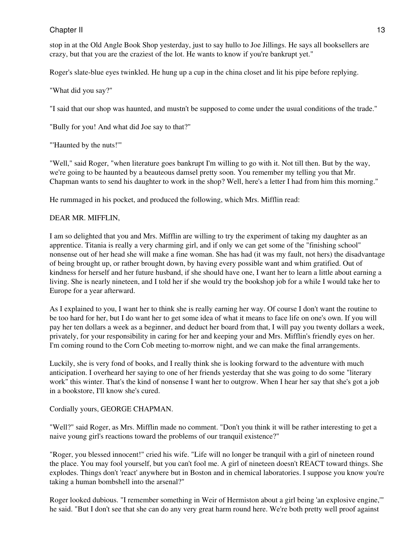stop in at the Old Angle Book Shop yesterday, just to say hullo to Joe Jillings. He says all booksellers are crazy, but that you are the craziest of the lot. He wants to know if you're bankrupt yet."

Roger's slate-blue eyes twinkled. He hung up a cup in the china closet and lit his pipe before replying.

"What did you say?"

"I said that our shop was haunted, and mustn't be supposed to come under the usual conditions of the trade."

"Bully for you! And what did Joe say to that?"

"'Haunted by the nuts!'"

"Well," said Roger, "when literature goes bankrupt I'm willing to go with it. Not till then. But by the way, we're going to be haunted by a beauteous damsel pretty soon. You remember my telling you that Mr. Chapman wants to send his daughter to work in the shop? Well, here's a letter I had from him this morning."

He rummaged in his pocket, and produced the following, which Mrs. Mifflin read:

### DEAR MR. MIFFLIN,

I am so delighted that you and Mrs. Mifflin are willing to try the experiment of taking my daughter as an apprentice. Titania is really a very charming girl, and if only we can get some of the "finishing school" nonsense out of her head she will make a fine woman. She has had (it was my fault, not hers) the disadvantage of being brought up, or rather brought down, by having every possible want and whim gratified. Out of kindness for herself and her future husband, if she should have one, I want her to learn a little about earning a living. She is nearly nineteen, and I told her if she would try the bookshop job for a while I would take her to Europe for a year afterward.

As I explained to you, I want her to think she is really earning her way. Of course I don't want the routine to be too hard for her, but I do want her to get some idea of what it means to face life on one's own. If you will pay her ten dollars a week as a beginner, and deduct her board from that, I will pay you twenty dollars a week, privately, for your responsibility in caring for her and keeping your and Mrs. Mifflin's friendly eyes on her. I'm coming round to the Corn Cob meeting to-morrow night, and we can make the final arrangements.

Luckily, she is very fond of books, and I really think she is looking forward to the adventure with much anticipation. I overheard her saying to one of her friends yesterday that she was going to do some "literary work" this winter. That's the kind of nonsense I want her to outgrow. When I hear her say that she's got a job in a bookstore, I'll know she's cured.

#### Cordially yours, GEORGE CHAPMAN.

"Well?" said Roger, as Mrs. Mifflin made no comment. "Don't you think it will be rather interesting to get a naive young girl's reactions toward the problems of our tranquil existence?"

"Roger, you blessed innocent!" cried his wife. "Life will no longer be tranquil with a girl of nineteen round the place. You may fool yourself, but you can't fool me. A girl of nineteen doesn't REACT toward things. She explodes. Things don't 'react' anywhere but in Boston and in chemical laboratories. I suppose you know you're taking a human bombshell into the arsenal?"

Roger looked dubious. "I remember something in Weir of Hermiston about a girl being 'an explosive engine,'" he said. "But I don't see that she can do any very great harm round here. We're both pretty well proof against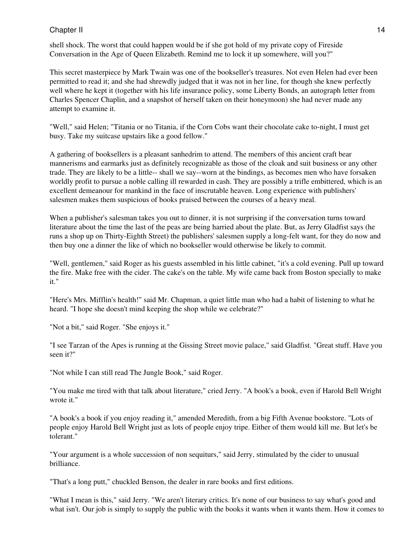#### Chapter II and the control of the control of the control of the control of the control of the control of the control of the control of the control of the control of the control of the control of the control of the control

shell shock. The worst that could happen would be if she got hold of my private copy of Fireside Conversation in the Age of Queen Elizabeth. Remind me to lock it up somewhere, will you?"

This secret masterpiece by Mark Twain was one of the bookseller's treasures. Not even Helen had ever been permitted to read it; and she had shrewdly judged that it was not in her line, for though she knew perfectly well where he kept it (together with his life insurance policy, some Liberty Bonds, an autograph letter from Charles Spencer Chaplin, and a snapshot of herself taken on their honeymoon) she had never made any attempt to examine it.

"Well," said Helen; "Titania or no Titania, if the Corn Cobs want their chocolate cake to-night, I must get busy. Take my suitcase upstairs like a good fellow."

A gathering of booksellers is a pleasant sanhedrim to attend. The members of this ancient craft bear mannerisms and earmarks just as definitely recognizable as those of the cloak and suit business or any other trade. They are likely to be a little-- shall we say--worn at the bindings, as becomes men who have forsaken worldly profit to pursue a noble calling ill rewarded in cash. They are possibly a trifle embittered, which is an excellent demeanour for mankind in the face of inscrutable heaven. Long experience with publishers' salesmen makes them suspicious of books praised between the courses of a heavy meal.

When a publisher's salesman takes you out to dinner, it is not surprising if the conversation turns toward literature about the time the last of the peas are being harried about the plate. But, as Jerry Gladfist says (he runs a shop up on Thirty-Eighth Street) the publishers' salesmen supply a long-felt want, for they do now and then buy one a dinner the like of which no bookseller would otherwise be likely to commit.

"Well, gentlemen," said Roger as his guests assembled in his little cabinet, "it's a cold evening. Pull up toward the fire. Make free with the cider. The cake's on the table. My wife came back from Boston specially to make it."

"Here's Mrs. Mifflin's health!" said Mr. Chapman, a quiet little man who had a habit of listening to what he heard. "I hope she doesn't mind keeping the shop while we celebrate?"

"Not a bit," said Roger. "She enjoys it."

"I see Tarzan of the Apes is running at the Gissing Street movie palace," said Gladfist. "Great stuff. Have you seen it?"

"Not while I can still read The Jungle Book," said Roger.

"You make me tired with that talk about literature," cried Jerry. "A book's a book, even if Harold Bell Wright wrote it."

"A book's a book if you enjoy reading it," amended Meredith, from a big Fifth Avenue bookstore. "Lots of people enjoy Harold Bell Wright just as lots of people enjoy tripe. Either of them would kill me. But let's be tolerant."

"Your argument is a whole succession of non sequiturs," said Jerry, stimulated by the cider to unusual brilliance.

"That's a long putt," chuckled Benson, the dealer in rare books and first editions.

"What I mean is this," said Jerry. "We aren't literary critics. It's none of our business to say what's good and what isn't. Our job is simply to supply the public with the books it wants when it wants them. How it comes to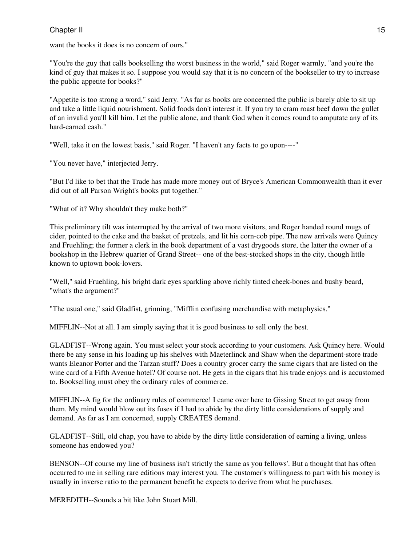want the books it does is no concern of ours."

"You're the guy that calls bookselling the worst business in the world," said Roger warmly, "and you're the kind of guy that makes it so. I suppose you would say that it is no concern of the bookseller to try to increase the public appetite for books?"

"Appetite is too strong a word," said Jerry. "As far as books are concerned the public is barely able to sit up and take a little liquid nourishment. Solid foods don't interest it. If you try to cram roast beef down the gullet of an invalid you'll kill him. Let the public alone, and thank God when it comes round to amputate any of its hard-earned cash."

"Well, take it on the lowest basis," said Roger. "I haven't any facts to go upon----"

"You never have," interjected Jerry.

"But I'd like to bet that the Trade has made more money out of Bryce's American Commonwealth than it ever did out of all Parson Wright's books put together."

"What of it? Why shouldn't they make both?"

This preliminary tilt was interrupted by the arrival of two more visitors, and Roger handed round mugs of cider, pointed to the cake and the basket of pretzels, and lit his corn-cob pipe. The new arrivals were Quincy and Fruehling; the former a clerk in the book department of a vast drygoods store, the latter the owner of a bookshop in the Hebrew quarter of Grand Street-- one of the best-stocked shops in the city, though little known to uptown book-lovers.

"Well," said Fruehling, his bright dark eyes sparkling above richly tinted cheek-bones and bushy beard, "what's the argument?"

"The usual one," said Gladfist, grinning, "Mifflin confusing merchandise with metaphysics."

MIFFLIN--Not at all. I am simply saying that it is good business to sell only the best.

GLADFIST--Wrong again. You must select your stock according to your customers. Ask Quincy here. Would there be any sense in his loading up his shelves with Maeterlinck and Shaw when the department-store trade wants Eleanor Porter and the Tarzan stuff? Does a country grocer carry the same cigars that are listed on the wine card of a Fifth Avenue hotel? Of course not. He gets in the cigars that his trade enjoys and is accustomed to. Bookselling must obey the ordinary rules of commerce.

MIFFLIN--A fig for the ordinary rules of commerce! I came over here to Gissing Street to get away from them. My mind would blow out its fuses if I had to abide by the dirty little considerations of supply and demand. As far as I am concerned, supply CREATES demand.

GLADFIST--Still, old chap, you have to abide by the dirty little consideration of earning a living, unless someone has endowed you?

BENSON--Of course my line of business isn't strictly the same as you fellows'. But a thought that has often occurred to me in selling rare editions may interest you. The customer's willingness to part with his money is usually in inverse ratio to the permanent benefit he expects to derive from what he purchases.

MEREDITH--Sounds a bit like John Stuart Mill.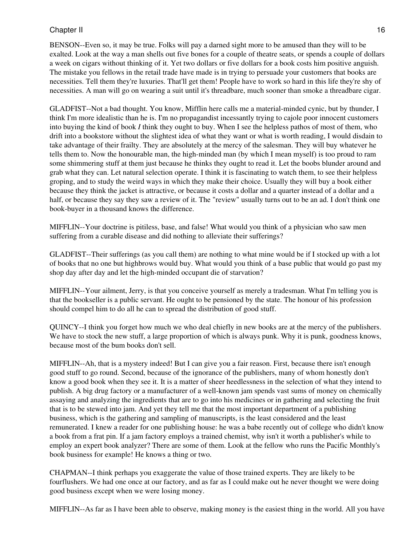BENSON--Even so, it may be true. Folks will pay a darned sight more to be amused than they will to be exalted. Look at the way a man shells out five bones for a couple of theatre seats, or spends a couple of dollars a week on cigars without thinking of it. Yet two dollars or five dollars for a book costs him positive anguish. The mistake you fellows in the retail trade have made is in trying to persuade your customers that books are necessities. Tell them they're luxuries. That'll get them! People have to work so hard in this life they're shy of necessities. A man will go on wearing a suit until it's threadbare, much sooner than smoke a threadbare cigar.

GLADFIST--Not a bad thought. You know, Mifflin here calls me a material-minded cynic, but by thunder, I think I'm more idealistic than he is. I'm no propagandist incessantly trying to cajole poor innocent customers into buying the kind of book *I* think they ought to buy. When I see the helpless pathos of most of them, who drift into a bookstore without the slightest idea of what they want or what is worth reading, I would disdain to take advantage of their frailty. They are absolutely at the mercy of the salesman. They will buy whatever he tells them to. Now the honourable man, the high-minded man (by which I mean myself) is too proud to ram some shimmering stuff at them just because he thinks they ought to read it. Let the boobs blunder around and grab what they can. Let natural selection operate. I think it is fascinating to watch them, to see their helpless groping, and to study the weird ways in which they make their choice. Usually they will buy a book either because they think the jacket is attractive, or because it costs a dollar and a quarter instead of a dollar and a half, or because they say they saw a review of it. The "review" usually turns out to be an ad. I don't think one book-buyer in a thousand knows the difference.

MIFFLIN--Your doctrine is pitiless, base, and false! What would you think of a physician who saw men suffering from a curable disease and did nothing to alleviate their sufferings?

GLADFIST--Their sufferings (as you call them) are nothing to what mine would be if I stocked up with a lot of books that no one but highbrows would buy. What would you think of a base public that would go past my shop day after day and let the high-minded occupant die of starvation?

MIFFLIN--Your ailment, Jerry, is that you conceive yourself as merely a tradesman. What I'm telling you is that the bookseller is a public servant. He ought to be pensioned by the state. The honour of his profession should compel him to do all he can to spread the distribution of good stuff.

QUINCY--I think you forget how much we who deal chiefly in new books are at the mercy of the publishers. We have to stock the new stuff, a large proportion of which is always punk. Why it is punk, goodness knows, because most of the bum books don't sell.

MIFFLIN--Ah, that is a mystery indeed! But I can give you a fair reason. First, because there isn't enough good stuff to go round. Second, because of the ignorance of the publishers, many of whom honestly don't know a good book when they see it. It is a matter of sheer heedlessness in the selection of what they intend to publish. A big drug factory or a manufacturer of a well-known jam spends vast sums of money on chemically assaying and analyzing the ingredients that are to go into his medicines or in gathering and selecting the fruit that is to be stewed into jam. And yet they tell me that the most important department of a publishing business, which is the gathering and sampling of manuscripts, is the least considered and the least remunerated. I knew a reader for one publishing house: he was a babe recently out of college who didn't know a book from a frat pin. If a jam factory employs a trained chemist, why isn't it worth a publisher's while to employ an expert book analyzer? There are some of them. Look at the fellow who runs the Pacific Monthly's book business for example! He knows a thing or two.

CHAPMAN--I think perhaps you exaggerate the value of those trained experts. They are likely to be fourflushers. We had one once at our factory, and as far as I could make out he never thought we were doing good business except when we were losing money.

MIFFLIN--As far as I have been able to observe, making money is the easiest thing in the world. All you have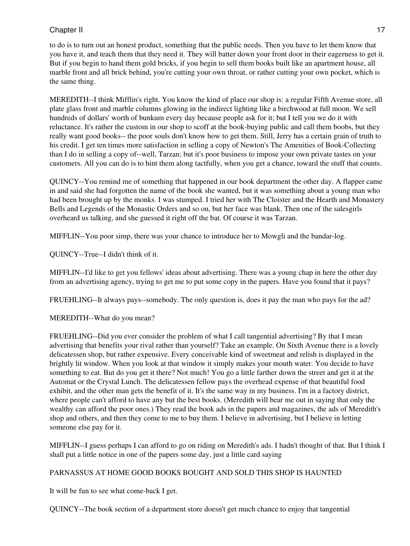to do is to turn out an honest product, something that the public needs. Then you have to let them know that you have it, and teach them that they need it. They will batter down your front door in their eagerness to get it. But if you begin to hand them gold bricks, if you begin to sell them books built like an apartment house, all marble front and all brick behind, you're cutting your own throat, or rather cutting your own pocket, which is the same thing.

MEREDITH--I think Mifflin's right. You know the kind of place our shop is: a regular Fifth Avenue store, all plate glass front and marble columns glowing in the indirect lighting like a birchwood at full moon. We sell hundreds of dollars' worth of bunkum every day because people ask for it; but I tell you we do it with reluctance. It's rather the custom in our shop to scoff at the book-buying public and call them boobs, but they really want good books-- the poor souls don't know how to get them. Still, Jerry has a certain grain of truth to his credit. I get ten times more satisfaction in selling a copy of Newton's The Amenities of Book-Collecting than I do in selling a copy of--well, Tarzan; but it's poor business to impose your own private tastes on your customers. All you can do is to hint them along tactfully, when you get a chance, toward the stuff that counts.

QUINCY--You remind me of something that happened in our book department the other day. A flapper came in and said she had forgotten the name of the book she wanted, but it was something about a young man who had been brought up by the monks. I was stumped. I tried her with The Cloister and the Hearth and Monastery Bells and Legends of the Monastic Orders and so on, but her face was blank. Then one of the salesgirls overheard us talking, and she guessed it right off the bat. Of course it was Tarzan.

MIFFLIN--You poor simp, there was your chance to introduce her to Mowgli and the bandar-log.

QUINCY--True--I didn't think of it.

MIFFLIN--I'd like to get you fellows' ideas about advertising. There was a young chap in here the other day from an advertising agency, trying to get me to put some copy in the papers. Have you found that it pays?

FRUEHLING--It always pays--somebody. The only question is, does it pay the man who pays for the ad?

MEREDITH--What do you mean?

FRUEHLING--Did you ever consider the problem of what I call tangential advertising? By that I mean advertising that benefits your rival rather than yourself? Take an example. On Sixth Avenue there is a lovely delicatessen shop, but rather expensive. Every conceivable kind of sweetmeat and relish is displayed in the brightly lit window. When you look at that window it simply makes your mouth water. You decide to have something to eat. But do you get it there? Not much! You go a little farther down the street and get it at the Automat or the Crystal Lunch. The delicatessen fellow pays the overhead expense of that beautiful food exhibit, and the other man gets the benefit of it. It's the same way in my business. I'm in a factory district, where people can't afford to have any but the best books. (Meredith will bear me out in saying that only the wealthy can afford the poor ones.) They read the book ads in the papers and magazines, the ads of Meredith's shop and others, and then they come to me to buy them. I believe in advertising, but I believe in letting someone else pay for it.

MIFFLIN--I guess perhaps I can afford to go on riding on Meredith's ads. I hadn't thought of that. But I think I shall put a little notice in one of the papers some day, just a little card saying

#### PARNASSUS AT HOME GOOD BOOKS BOUGHT AND SOLD THIS SHOP IS HAUNTED

It will be fun to see what come-back I get.

QUINCY--The book section of a department store doesn't get much chance to enjoy that tangential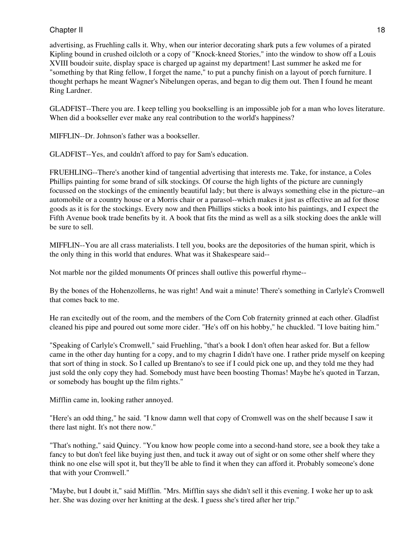#### Chapter II and the control of the control of the control of the control of the control of the control of the control of the control of the control of the control of the control of the control of the control of the control

advertising, as Fruehling calls it. Why, when our interior decorating shark puts a few volumes of a pirated Kipling bound in crushed oilcloth or a copy of "Knock-kneed Stories," into the window to show off a Louis XVIII boudoir suite, display space is charged up against my department! Last summer he asked me for "something by that Ring fellow, I forget the name," to put a punchy finish on a layout of porch furniture. I thought perhaps he meant Wagner's Nibelungen operas, and began to dig them out. Then I found he meant Ring Lardner.

GLADFIST--There you are. I keep telling you bookselling is an impossible job for a man who loves literature. When did a bookseller ever make any real contribution to the world's happiness?

MIFFLIN--Dr. Johnson's father was a bookseller.

GLADFIST--Yes, and couldn't afford to pay for Sam's education.

FRUEHLING--There's another kind of tangential advertising that interests me. Take, for instance, a Coles Phillips painting for some brand of silk stockings. Of course the high lights of the picture are cunningly focussed on the stockings of the eminently beautiful lady; but there is always something else in the picture--an automobile or a country house or a Morris chair or a parasol--which makes it just as effective an ad for those goods as it is for the stockings. Every now and then Phillips sticks a book into his paintings, and I expect the Fifth Avenue book trade benefits by it. A book that fits the mind as well as a silk stocking does the ankle will be sure to sell.

MIFFLIN--You are all crass materialists. I tell you, books are the depositories of the human spirit, which is the only thing in this world that endures. What was it Shakespeare said--

Not marble nor the gilded monuments Of princes shall outlive this powerful rhyme--

By the bones of the Hohenzollerns, he was right! And wait a minute! There's something in Carlyle's Cromwell that comes back to me.

He ran excitedly out of the room, and the members of the Corn Cob fraternity grinned at each other. Gladfist cleaned his pipe and poured out some more cider. "He's off on his hobby," he chuckled. "I love baiting him."

"Speaking of Carlyle's Cromwell," said Fruehling, "that's a book I don't often hear asked for. But a fellow came in the other day hunting for a copy, and to my chagrin I didn't have one. I rather pride myself on keeping that sort of thing in stock. So I called up Brentano's to see if I could pick one up, and they told me they had just sold the only copy they had. Somebody must have been boosting Thomas! Maybe he's quoted in Tarzan, or somebody has bought up the film rights."

Mifflin came in, looking rather annoyed.

"Here's an odd thing," he said. "I know damn well that copy of Cromwell was on the shelf because I saw it there last night. It's not there now."

"That's nothing," said Quincy. "You know how people come into a second-hand store, see a book they take a fancy to but don't feel like buying just then, and tuck it away out of sight or on some other shelf where they think no one else will spot it, but they'll be able to find it when they can afford it. Probably someone's done that with your Cromwell."

"Maybe, but I doubt it," said Mifflin. "Mrs. Mifflin says she didn't sell it this evening. I woke her up to ask her. She was dozing over her knitting at the desk. I guess she's tired after her trip."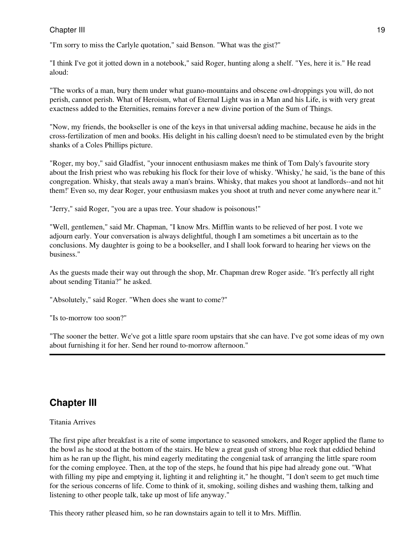"I'm sorry to miss the Carlyle quotation," said Benson. "What was the gist?"

"I think I've got it jotted down in a notebook," said Roger, hunting along a shelf. "Yes, here it is." He read aloud:

"The works of a man, bury them under what guano-mountains and obscene owl-droppings you will, do not perish, cannot perish. What of Heroism, what of Eternal Light was in a Man and his Life, is with very great exactness added to the Eternities, remains forever a new divine portion of the Sum of Things.

"Now, my friends, the bookseller is one of the keys in that universal adding machine, because he aids in the cross-fertilization of men and books. His delight in his calling doesn't need to be stimulated even by the bright shanks of a Coles Phillips picture.

"Roger, my boy," said Gladfist, "your innocent enthusiasm makes me think of Tom Daly's favourite story about the Irish priest who was rebuking his flock for their love of whisky. 'Whisky,' he said, 'is the bane of this congregation. Whisky, that steals away a man's brains. Whisky, that makes you shoot at landlords--and not hit them!' Even so, my dear Roger, your enthusiasm makes you shoot at truth and never come anywhere near it."

"Jerry," said Roger, "you are a upas tree. Your shadow is poisonous!"

"Well, gentlemen," said Mr. Chapman, "I know Mrs. Mifflin wants to be relieved of her post. I vote we adjourn early. Your conversation is always delightful, though I am sometimes a bit uncertain as to the conclusions. My daughter is going to be a bookseller, and I shall look forward to hearing her views on the business."

As the guests made their way out through the shop, Mr. Chapman drew Roger aside. "It's perfectly all right about sending Titania?" he asked.

"Absolutely," said Roger. "When does she want to come?"

"Is to-morrow too soon?"

"The sooner the better. We've got a little spare room upstairs that she can have. I've got some ideas of my own about furnishing it for her. Send her round to-morrow afternoon."

# **Chapter III**

#### Titania Arrives

The first pipe after breakfast is a rite of some importance to seasoned smokers, and Roger applied the flame to the bowl as he stood at the bottom of the stairs. He blew a great gush of strong blue reek that eddied behind him as he ran up the flight, his mind eagerly meditating the congenial task of arranging the little spare room for the coming employee. Then, at the top of the steps, he found that his pipe had already gone out. "What with filling my pipe and emptying it, lighting it and relighting it," he thought, "I don't seem to get much time for the serious concerns of life. Come to think of it, smoking, soiling dishes and washing them, talking and listening to other people talk, take up most of life anyway."

This theory rather pleased him, so he ran downstairs again to tell it to Mrs. Mifflin.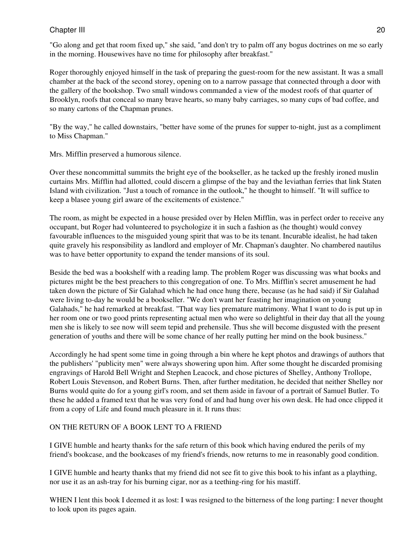"Go along and get that room fixed up," she said, "and don't try to palm off any bogus doctrines on me so early in the morning. Housewives have no time for philosophy after breakfast."

Roger thoroughly enjoyed himself in the task of preparing the guest-room for the new assistant. It was a small chamber at the back of the second storey, opening on to a narrow passage that connected through a door with the gallery of the bookshop. Two small windows commanded a view of the modest roofs of that quarter of Brooklyn, roofs that conceal so many brave hearts, so many baby carriages, so many cups of bad coffee, and so many cartons of the Chapman prunes.

"By the way," he called downstairs, "better have some of the prunes for supper to-night, just as a compliment to Miss Chapman."

Mrs. Mifflin preserved a humorous silence.

Over these noncommittal summits the bright eye of the bookseller, as he tacked up the freshly ironed muslin curtains Mrs. Mifflin had allotted, could discern a glimpse of the bay and the leviathan ferries that link Staten Island with civilization. "Just a touch of romance in the outlook," he thought to himself. "It will suffice to keep a blasee young girl aware of the excitements of existence."

The room, as might be expected in a house presided over by Helen Mifflin, was in perfect order to receive any occupant, but Roger had volunteered to psychologize it in such a fashion as (he thought) would convey favourable influences to the misguided young spirit that was to be its tenant. Incurable idealist, he had taken quite gravely his responsibility as landlord and employer of Mr. Chapman's daughter. No chambered nautilus was to have better opportunity to expand the tender mansions of its soul.

Beside the bed was a bookshelf with a reading lamp. The problem Roger was discussing was what books and pictures might be the best preachers to this congregation of one. To Mrs. Mifflin's secret amusement he had taken down the picture of Sir Galahad which he had once hung there, because (as he had said) if Sir Galahad were living to-day he would be a bookseller. "We don't want her feasting her imagination on young Galahads," he had remarked at breakfast. "That way lies premature matrimony. What I want to do is put up in her room one or two good prints representing actual men who were so delightful in their day that all the young men she is likely to see now will seem tepid and prehensile. Thus she will become disgusted with the present generation of youths and there will be some chance of her really putting her mind on the book business."

Accordingly he had spent some time in going through a bin where he kept photos and drawings of authors that the publishers' "publicity men" were always showering upon him. After some thought he discarded promising engravings of Harold Bell Wright and Stephen Leacock, and chose pictures of Shelley, Anthony Trollope, Robert Louis Stevenson, and Robert Burns. Then, after further meditation, he decided that neither Shelley nor Burns would quite do for a young girl's room, and set them aside in favour of a portrait of Samuel Butler. To these he added a framed text that he was very fond of and had hung over his own desk. He had once clipped it from a copy of Life and found much pleasure in it. It runs thus:

#### ON THE RETURN OF A BOOK LENT TO A FRIEND

I GIVE humble and hearty thanks for the safe return of this book which having endured the perils of my friend's bookcase, and the bookcases of my friend's friends, now returns to me in reasonably good condition.

I GIVE humble and hearty thanks that my friend did not see fit to give this book to his infant as a plaything, nor use it as an ash-tray for his burning cigar, nor as a teething-ring for his mastiff.

WHEN I lent this book I deemed it as lost: I was resigned to the bitterness of the long parting: I never thought to look upon its pages again.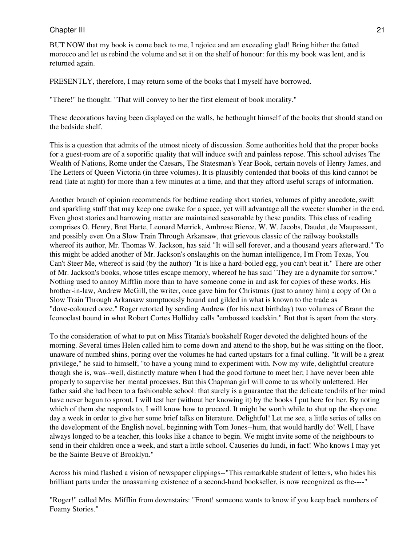BUT NOW that my book is come back to me, I rejoice and am exceeding glad! Bring hither the fatted morocco and let us rebind the volume and set it on the shelf of honour: for this my book was lent, and is returned again.

PRESENTLY, therefore, I may return some of the books that I myself have borrowed.

"There!" he thought. "That will convey to her the first element of book morality."

These decorations having been displayed on the walls, he bethought himself of the books that should stand on the bedside shelf.

This is a question that admits of the utmost nicety of discussion. Some authorities hold that the proper books for a guest-room are of a soporific quality that will induce swift and painless repose. This school advises The Wealth of Nations, Rome under the Caesars, The Statesman's Year Book, certain novels of Henry James, and The Letters of Queen Victoria (in three volumes). It is plausibly contended that books of this kind cannot be read (late at night) for more than a few minutes at a time, and that they afford useful scraps of information.

Another branch of opinion recommends for bedtime reading short stories, volumes of pithy anecdote, swift and sparkling stuff that may keep one awake for a space, yet will advantage all the sweeter slumber in the end. Even ghost stories and harrowing matter are maintained seasonable by these pundits. This class of reading comprises O. Henry, Bret Harte, Leonard Merrick, Ambrose Bierce, W. W. Jacobs, Daudet, de Maupassant, and possibly even On a Slow Train Through Arkansaw, that grievous classic of the railway bookstalls whereof its author, Mr. Thomas W. Jackson, has said "It will sell forever, and a thousand years afterward." To this might be added another of Mr. Jackson's onslaughts on the human intelligence, I'm From Texas, You Can't Steer Me, whereof is said (by the author) "It is like a hard-boiled egg, you can't beat it." There are other of Mr. Jackson's books, whose titles escape memory, whereof he has said "They are a dynamite for sorrow." Nothing used to annoy Mifflin more than to have someone come in and ask for copies of these works. His brother-in-law, Andrew McGill, the writer, once gave him for Christmas (just to annoy him) a copy of On a Slow Train Through Arkansaw sumptuously bound and gilded in what is known to the trade as "dove-coloured ooze." Roger retorted by sending Andrew (for his next birthday) two volumes of Brann the Iconoclast bound in what Robert Cortes Holliday calls "embossed toadskin." But that is apart from the story.

To the consideration of what to put on Miss Titania's bookshelf Roger devoted the delighted hours of the morning. Several times Helen called him to come down and attend to the shop, but he was sitting on the floor, unaware of numbed shins, poring over the volumes he had carted upstairs for a final culling. "It will be a great privilege," he said to himself, "to have a young mind to experiment with. Now my wife, delightful creature though she is, was--well, distinctly mature when I had the good fortune to meet her; I have never been able properly to supervise her mental processes. But this Chapman girl will come to us wholly unlettered. Her father said she had been to a fashionable school: that surely is a guarantee that the delicate tendrils of her mind have never begun to sprout. I will test her (without her knowing it) by the books I put here for her. By noting which of them she responds to, I will know how to proceed. It might be worth while to shut up the shop one day a week in order to give her some brief talks on literature. Delightful! Let me see, a little series of talks on the development of the English novel, beginning with Tom Jones--hum, that would hardly do! Well, I have always longed to be a teacher, this looks like a chance to begin. We might invite some of the neighbours to send in their children once a week, and start a little school. Causeries du lundi, in fact! Who knows I may yet be the Sainte Beuve of Brooklyn."

Across his mind flashed a vision of newspaper clippings--"This remarkable student of letters, who hides his brilliant parts under the unassuming existence of a second-hand bookseller, is now recognized as the----"

"Roger!" called Mrs. Mifflin from downstairs: "Front! someone wants to know if you keep back numbers of Foamy Stories."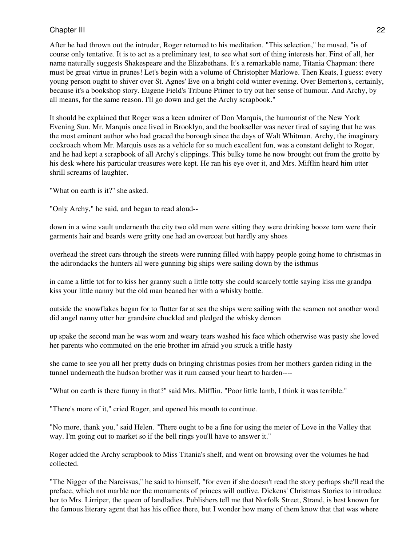After he had thrown out the intruder, Roger returned to his meditation. "This selection," he mused, "is of course only tentative. It is to act as a preliminary test, to see what sort of thing interests her. First of all, her name naturally suggests Shakespeare and the Elizabethans. It's a remarkable name, Titania Chapman: there must be great virtue in prunes! Let's begin with a volume of Christopher Marlowe. Then Keats, I guess: every young person ought to shiver over St. Agnes' Eve on a bright cold winter evening. Over Bemerton's, certainly, because it's a bookshop story. Eugene Field's Tribune Primer to try out her sense of humour. And Archy, by all means, for the same reason. I'll go down and get the Archy scrapbook."

It should be explained that Roger was a keen admirer of Don Marquis, the humourist of the New York Evening Sun. Mr. Marquis once lived in Brooklyn, and the bookseller was never tired of saying that he was the most eminent author who had graced the borough since the days of Walt Whitman. Archy, the imaginary cockroach whom Mr. Marquis uses as a vehicle for so much excellent fun, was a constant delight to Roger, and he had kept a scrapbook of all Archy's clippings. This bulky tome he now brought out from the grotto by his desk where his particular treasures were kept. He ran his eye over it, and Mrs. Mifflin heard him utter shrill screams of laughter.

"What on earth is it?" she asked.

"Only Archy," he said, and began to read aloud--

down in a wine vault underneath the city two old men were sitting they were drinking booze torn were their garments hair and beards were gritty one had an overcoat but hardly any shoes

overhead the street cars through the streets were running filled with happy people going home to christmas in the adirondacks the hunters all were gunning big ships were sailing down by the isthmus

in came a little tot for to kiss her granny such a little totty she could scarcely tottle saying kiss me grandpa kiss your little nanny but the old man beaned her with a whisky bottle.

outside the snowflakes began for to flutter far at sea the ships were sailing with the seamen not another word did angel nanny utter her grandsire chuckled and pledged the whisky demon

up spake the second man he was worn and weary tears washed his face which otherwise was pasty she loved her parents who commuted on the erie brother im afraid you struck a trifle hasty

she came to see you all her pretty duds on bringing christmas posies from her mothers garden riding in the tunnel underneath the hudson brother was it rum caused your heart to harden----

"What on earth is there funny in that?" said Mrs. Mifflin. "Poor little lamb, I think it was terrible."

"There's more of it," cried Roger, and opened his mouth to continue.

"No more, thank you," said Helen. "There ought to be a fine for using the meter of Love in the Valley that way. I'm going out to market so if the bell rings you'll have to answer it."

Roger added the Archy scrapbook to Miss Titania's shelf, and went on browsing over the volumes he had collected.

"The Nigger of the Narcissus," he said to himself, "for even if she doesn't read the story perhaps she'll read the preface, which not marble nor the monuments of princes will outlive. Dickens' Christmas Stories to introduce her to Mrs. Lirriper, the queen of landladies. Publishers tell me that Norfolk Street, Strand, is best known for the famous literary agent that has his office there, but I wonder how many of them know that that was where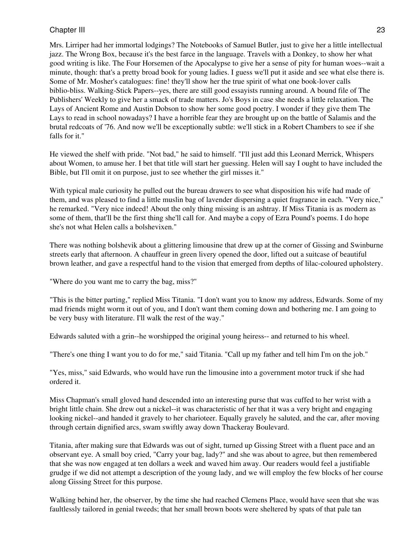Mrs. Lirriper had her immortal lodgings? The Notebooks of Samuel Butler, just to give her a little intellectual jazz. The Wrong Box, because it's the best farce in the language. Travels with a Donkey, to show her what good writing is like. The Four Horsemen of the Apocalypse to give her a sense of pity for human woes--wait a minute, though: that's a pretty broad book for young ladies. I guess we'll put it aside and see what else there is. Some of Mr. Mosher's catalogues: fine! they'll show her the true spirit of what one book-lover calls biblio-bliss. Walking-Stick Papers--yes, there are still good essayists running around. A bound file of The Publishers' Weekly to give her a smack of trade matters. Jo's Boys in case she needs a little relaxation. The Lays of Ancient Rome and Austin Dobson to show her some good poetry. I wonder if they give them The Lays to read in school nowadays? I have a horrible fear they are brought up on the battle of Salamis and the brutal redcoats of '76. And now we'll be exceptionally subtle: we'll stick in a Robert Chambers to see if she falls for it."

He viewed the shelf with pride. "Not bad," he said to himself. "I'll just add this Leonard Merrick, Whispers about Women, to amuse her. I bet that title will start her guessing. Helen will say I ought to have included the Bible, but I'll omit it on purpose, just to see whether the girl misses it."

With typical male curiosity he pulled out the bureau drawers to see what disposition his wife had made of them, and was pleased to find a little muslin bag of lavender dispersing a quiet fragrance in each. "Very nice," he remarked. "Very nice indeed! About the only thing missing is an ashtray. If Miss Titania is as modern as some of them, that'll be the first thing she'll call for. And maybe a copy of Ezra Pound's poems. I do hope she's not what Helen calls a bolshevixen."

There was nothing bolshevik about a glittering limousine that drew up at the corner of Gissing and Swinburne streets early that afternoon. A chauffeur in green livery opened the door, lifted out a suitcase of beautiful brown leather, and gave a respectful hand to the vision that emerged from depths of lilac-coloured upholstery.

"Where do you want me to carry the bag, miss?"

"This is the bitter parting," replied Miss Titania. "I don't want you to know my address, Edwards. Some of my mad friends might worm it out of you, and I don't want them coming down and bothering me. I am going to be very busy with literature. I'll walk the rest of the way."

Edwards saluted with a grin--he worshipped the original young heiress-- and returned to his wheel.

"There's one thing I want you to do for me," said Titania. "Call up my father and tell him I'm on the job."

"Yes, miss," said Edwards, who would have run the limousine into a government motor truck if she had ordered it.

Miss Chapman's small gloved hand descended into an interesting purse that was cuffed to her wrist with a bright little chain. She drew out a nickel--it was characteristic of her that it was a very bright and engaging looking nickel--and handed it gravely to her charioteer. Equally gravely he saluted, and the car, after moving through certain dignified arcs, swam swiftly away down Thackeray Boulevard.

Titania, after making sure that Edwards was out of sight, turned up Gissing Street with a fluent pace and an observant eye. A small boy cried, "Carry your bag, lady?" and she was about to agree, but then remembered that she was now engaged at ten dollars a week and waved him away. Our readers would feel a justifiable grudge if we did not attempt a description of the young lady, and we will employ the few blocks of her course along Gissing Street for this purpose.

Walking behind her, the observer, by the time she had reached Clemens Place, would have seen that she was faultlessly tailored in genial tweeds; that her small brown boots were sheltered by spats of that pale tan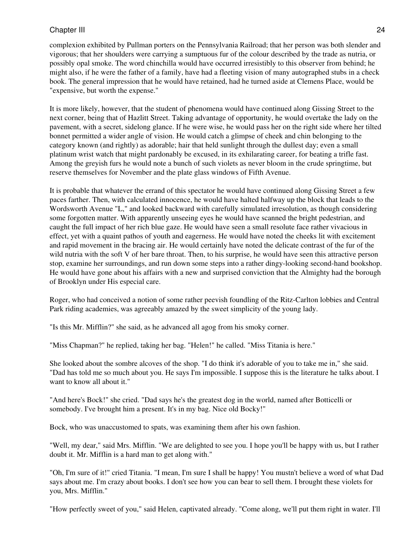complexion exhibited by Pullman porters on the Pennsylvania Railroad; that her person was both slender and vigorous; that her shoulders were carrying a sumptuous fur of the colour described by the trade as nutria, or possibly opal smoke. The word chinchilla would have occurred irresistibly to this observer from behind; he might also, if he were the father of a family, have had a fleeting vision of many autographed stubs in a check book. The general impression that he would have retained, had he turned aside at Clemens Place, would be "expensive, but worth the expense."

It is more likely, however, that the student of phenomena would have continued along Gissing Street to the next corner, being that of Hazlitt Street. Taking advantage of opportunity, he would overtake the lady on the pavement, with a secret, sidelong glance. If he were wise, he would pass her on the right side where her tilted bonnet permitted a wider angle of vision. He would catch a glimpse of cheek and chin belonging to the category known (and rightly) as adorable; hair that held sunlight through the dullest day; even a small platinum wrist watch that might pardonably be excused, in its exhilarating career, for beating a trifle fast. Among the greyish furs he would note a bunch of such violets as never bloom in the crude springtime, but reserve themselves for November and the plate glass windows of Fifth Avenue.

It is probable that whatever the errand of this spectator he would have continued along Gissing Street a few paces farther. Then, with calculated innocence, he would have halted halfway up the block that leads to the Wordsworth Avenue "L," and looked backward with carefully simulated irresolution, as though considering some forgotten matter. With apparently unseeing eyes he would have scanned the bright pedestrian, and caught the full impact of her rich blue gaze. He would have seen a small resolute face rather vivacious in effect, yet with a quaint pathos of youth and eagerness. He would have noted the cheeks lit with excitement and rapid movement in the bracing air. He would certainly have noted the delicate contrast of the fur of the wild nutria with the soft V of her bare throat. Then, to his surprise, he would have seen this attractive person stop, examine her surroundings, and run down some steps into a rather dingy-looking second-hand bookshop. He would have gone about his affairs with a new and surprised conviction that the Almighty had the borough of Brooklyn under His especial care.

Roger, who had conceived a notion of some rather peevish foundling of the Ritz-Carlton lobbies and Central Park riding academies, was agreeably amazed by the sweet simplicity of the young lady.

"Is this Mr. Mifflin?" she said, as he advanced all agog from his smoky corner.

"Miss Chapman?" he replied, taking her bag. "Helen!" he called. "Miss Titania is here."

She looked about the sombre alcoves of the shop. "I do think it's adorable of you to take me in," she said. "Dad has told me so much about you. He says I'm impossible. I suppose this is the literature he talks about. I want to know all about it."

"And here's Bock!" she cried. "Dad says he's the greatest dog in the world, named after Botticelli or somebody. I've brought him a present. It's in my bag. Nice old Bocky!"

Bock, who was unaccustomed to spats, was examining them after his own fashion.

"Well, my dear," said Mrs. Mifflin. "We are delighted to see you. I hope you'll be happy with us, but I rather doubt it. Mr. Mifflin is a hard man to get along with."

"Oh, I'm sure of it!" cried Titania. "I mean, I'm sure I shall be happy! You mustn't believe a word of what Dad says about me. I'm crazy about books. I don't see how you can bear to sell them. I brought these violets for you, Mrs. Mifflin."

"How perfectly sweet of you," said Helen, captivated already. "Come along, we'll put them right in water. I'll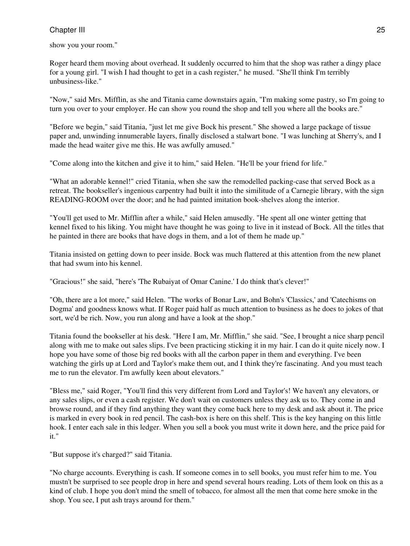show you your room."

Roger heard them moving about overhead. It suddenly occurred to him that the shop was rather a dingy place for a young girl. "I wish I had thought to get in a cash register," he mused. "She'll think I'm terribly unbusiness-like."

"Now," said Mrs. Mifflin, as she and Titania came downstairs again, "I'm making some pastry, so I'm going to turn you over to your employer. He can show you round the shop and tell you where all the books are."

"Before we begin," said Titania, "just let me give Bock his present." She showed a large package of tissue paper and, unwinding innumerable layers, finally disclosed a stalwart bone. "I was lunching at Sherry's, and I made the head waiter give me this. He was awfully amused."

"Come along into the kitchen and give it to him," said Helen. "He'll be your friend for life."

"What an adorable kennel!" cried Titania, when she saw the remodelled packing-case that served Bock as a retreat. The bookseller's ingenious carpentry had built it into the similitude of a Carnegie library, with the sign READING-ROOM over the door; and he had painted imitation book-shelves along the interior.

"You'll get used to Mr. Mifflin after a while," said Helen amusedly. "He spent all one winter getting that kennel fixed to his liking. You might have thought he was going to live in it instead of Bock. All the titles that he painted in there are books that have dogs in them, and a lot of them he made up."

Titania insisted on getting down to peer inside. Bock was much flattered at this attention from the new planet that had swum into his kennel.

"Gracious!" she said, "here's 'The Rubaiyat of Omar Canine.' I do think that's clever!"

"Oh, there are a lot more," said Helen. "The works of Bonar Law, and Bohn's 'Classics,' and 'Catechisms on Dogma' and goodness knows what. If Roger paid half as much attention to business as he does to jokes of that sort, we'd be rich. Now, you run along and have a look at the shop."

Titania found the bookseller at his desk. "Here I am, Mr. Mifflin," she said. "See, I brought a nice sharp pencil along with me to make out sales slips. I've been practicing sticking it in my hair. I can do it quite nicely now. I hope you have some of those big red books with all the carbon paper in them and everything. I've been watching the girls up at Lord and Taylor's make them out, and I think they're fascinating. And you must teach me to run the elevator. I'm awfully keen about elevators."

"Bless me," said Roger, "You'll find this very different from Lord and Taylor's! We haven't any elevators, or any sales slips, or even a cash register. We don't wait on customers unless they ask us to. They come in and browse round, and if they find anything they want they come back here to my desk and ask about it. The price is marked in every book in red pencil. The cash-box is here on this shelf. This is the key hanging on this little hook. I enter each sale in this ledger. When you sell a book you must write it down here, and the price paid for it."

"But suppose it's charged?" said Titania.

"No charge accounts. Everything is cash. If someone comes in to sell books, you must refer him to me. You mustn't be surprised to see people drop in here and spend several hours reading. Lots of them look on this as a kind of club. I hope you don't mind the smell of tobacco, for almost all the men that come here smoke in the shop. You see, I put ash trays around for them."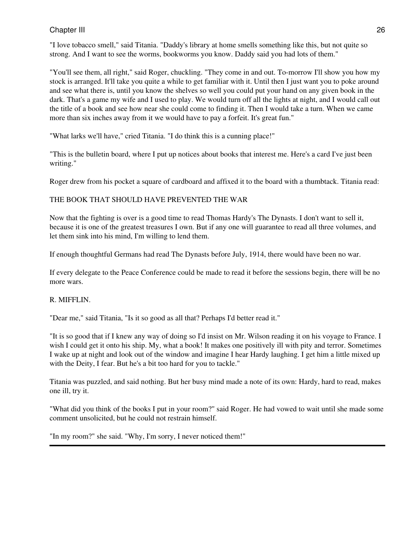"I love tobacco smell," said Titania. "Daddy's library at home smells something like this, but not quite so strong. And I want to see the worms, bookworms you know. Daddy said you had lots of them."

"You'll see them, all right," said Roger, chuckling. "They come in and out. To-morrow I'll show you how my stock is arranged. It'll take you quite a while to get familiar with it. Until then I just want you to poke around and see what there is, until you know the shelves so well you could put your hand on any given book in the dark. That's a game my wife and I used to play. We would turn off all the lights at night, and I would call out the title of a book and see how near she could come to finding it. Then I would take a turn. When we came more than six inches away from it we would have to pay a forfeit. It's great fun."

"What larks we'll have," cried Titania. "I do think this is a cunning place!"

"This is the bulletin board, where I put up notices about books that interest me. Here's a card I've just been writing."

Roger drew from his pocket a square of cardboard and affixed it to the board with a thumbtack. Titania read:

# THE BOOK THAT SHOULD HAVE PREVENTED THE WAR

Now that the fighting is over is a good time to read Thomas Hardy's The Dynasts. I don't want to sell it, because it is one of the greatest treasures I own. But if any one will guarantee to read all three volumes, and let them sink into his mind, I'm willing to lend them.

If enough thoughtful Germans had read The Dynasts before July, 1914, there would have been no war.

If every delegate to the Peace Conference could be made to read it before the sessions begin, there will be no more wars.

#### R. MIFFLIN.

"Dear me," said Titania, "Is it so good as all that? Perhaps I'd better read it."

"It is so good that if I knew any way of doing so I'd insist on Mr. Wilson reading it on his voyage to France. I wish I could get it onto his ship. My, what a book! It makes one positively ill with pity and terror. Sometimes I wake up at night and look out of the window and imagine I hear Hardy laughing. I get him a little mixed up with the Deity, I fear. But he's a bit too hard for you to tackle."

Titania was puzzled, and said nothing. But her busy mind made a note of its own: Hardy, hard to read, makes one ill, try it.

"What did you think of the books I put in your room?" said Roger. He had vowed to wait until she made some comment unsolicited, but he could not restrain himself.

"In my room?" she said. "Why, I'm sorry, I never noticed them!"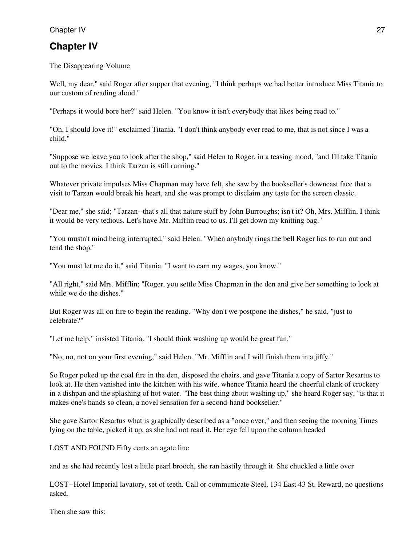The Disappearing Volume

Well, my dear," said Roger after supper that evening, "I think perhaps we had better introduce Miss Titania to our custom of reading aloud."

"Perhaps it would bore her?" said Helen. "You know it isn't everybody that likes being read to."

"Oh, I should love it!" exclaimed Titania. "I don't think anybody ever read to me, that is not since I was a child."

"Suppose we leave you to look after the shop," said Helen to Roger, in a teasing mood, "and I'll take Titania out to the movies. I think Tarzan is still running."

Whatever private impulses Miss Chapman may have felt, she saw by the bookseller's downcast face that a visit to Tarzan would break his heart, and she was prompt to disclaim any taste for the screen classic.

"Dear me," she said; "Tarzan--that's all that nature stuff by John Burroughs; isn't it? Oh, Mrs. Mifflin, I think it would be very tedious. Let's have Mr. Mifflin read to us. I'll get down my knitting bag."

"You mustn't mind being interrupted," said Helen. "When anybody rings the bell Roger has to run out and tend the shop."

"You must let me do it," said Titania. "I want to earn my wages, you know."

"All right," said Mrs. Mifflin; "Roger, you settle Miss Chapman in the den and give her something to look at while we do the dishes."

But Roger was all on fire to begin the reading. "Why don't we postpone the dishes," he said, "just to celebrate?"

"Let me help," insisted Titania. "I should think washing up would be great fun."

"No, no, not on your first evening," said Helen. "Mr. Mifflin and I will finish them in a jiffy."

So Roger poked up the coal fire in the den, disposed the chairs, and gave Titania a copy of Sartor Resartus to look at. He then vanished into the kitchen with his wife, whence Titania heard the cheerful clank of crockery in a dishpan and the splashing of hot water. "The best thing about washing up," she heard Roger say, "is that it makes one's hands so clean, a novel sensation for a second-hand bookseller."

She gave Sartor Resartus what is graphically described as a "once over," and then seeing the morning Times lying on the table, picked it up, as she had not read it. Her eye fell upon the column headed

LOST AND FOUND Fifty cents an agate line

and as she had recently lost a little pearl brooch, she ran hastily through it. She chuckled a little over

LOST--Hotel Imperial lavatory, set of teeth. Call or communicate Steel, 134 East 43 St. Reward, no questions asked.

Then she saw this: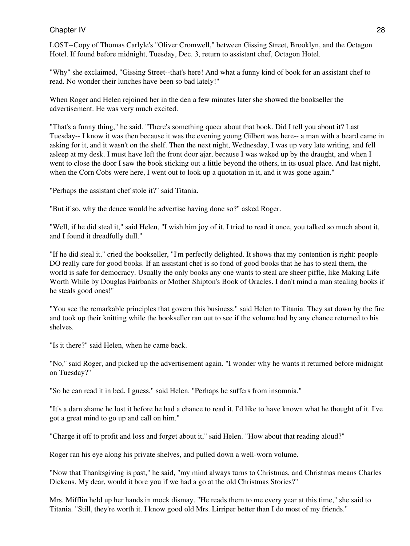LOST--Copy of Thomas Carlyle's "Oliver Cromwell," between Gissing Street, Brooklyn, and the Octagon Hotel. If found before midnight, Tuesday, Dec. 3, return to assistant chef, Octagon Hotel.

"Why" she exclaimed, "Gissing Street--that's here! And what a funny kind of book for an assistant chef to read. No wonder their lunches have been so bad lately!"

When Roger and Helen rejoined her in the den a few minutes later she showed the bookseller the advertisement. He was very much excited.

"That's a funny thing," he said. "There's something queer about that book. Did I tell you about it? Last Tuesday-- I know it was then because it was the evening young Gilbert was here-- a man with a beard came in asking for it, and it wasn't on the shelf. Then the next night, Wednesday, I was up very late writing, and fell asleep at my desk. I must have left the front door ajar, because I was waked up by the draught, and when I went to close the door I saw the book sticking out a little beyond the others, in its usual place. And last night, when the Corn Cobs were here, I went out to look up a quotation in it, and it was gone again."

"Perhaps the assistant chef stole it?" said Titania.

"But if so, why the deuce would he advertise having done so?" asked Roger.

"Well, if he did steal it," said Helen, "I wish him joy of it. I tried to read it once, you talked so much about it, and I found it dreadfully dull."

"If he did steal it," cried the bookseller, "I'm perfectly delighted. It shows that my contention is right: people DO really care for good books. If an assistant chef is so fond of good books that he has to steal them, the world is safe for democracy. Usually the only books any one wants to steal are sheer piffle, like Making Life Worth While by Douglas Fairbanks or Mother Shipton's Book of Oracles. I don't mind a man stealing books if he steals good ones!"

"You see the remarkable principles that govern this business," said Helen to Titania. They sat down by the fire and took up their knitting while the bookseller ran out to see if the volume had by any chance returned to his shelves.

"Is it there?" said Helen, when he came back.

"No," said Roger, and picked up the advertisement again. "I wonder why he wants it returned before midnight on Tuesday?"

"So he can read it in bed, I guess," said Helen. "Perhaps he suffers from insomnia."

"It's a darn shame he lost it before he had a chance to read it. I'd like to have known what he thought of it. I've got a great mind to go up and call on him."

"Charge it off to profit and loss and forget about it," said Helen. "How about that reading aloud?"

Roger ran his eye along his private shelves, and pulled down a well-worn volume.

"Now that Thanksgiving is past," he said, "my mind always turns to Christmas, and Christmas means Charles Dickens. My dear, would it bore you if we had a go at the old Christmas Stories?"

Mrs. Mifflin held up her hands in mock dismay. "He reads them to me every year at this time," she said to Titania. "Still, they're worth it. I know good old Mrs. Lirriper better than I do most of my friends."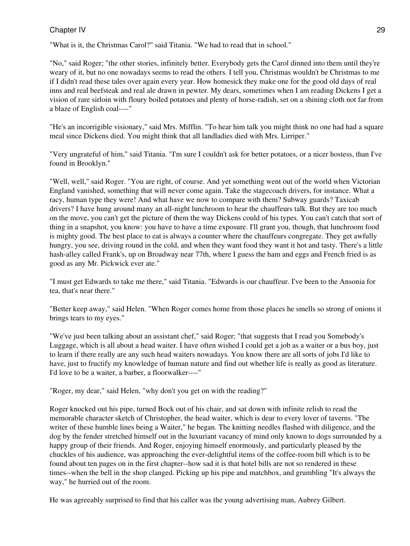"What is it, the Christmas Carol?" said Titania. "We had to read that in school."

"No," said Roger; "the other stories, infinitely better. Everybody gets the Carol dinned into them until they're weary of it, but no one nowadays seems to read the others. I tell you, Christmas wouldn't be Christmas to me if I didn't read these tales over again every year. How homesick they make one for the good old days of real inns and real beefsteak and real ale drawn in pewter. My dears, sometimes when I am reading Dickens I get a vision of rare sirloin with floury boiled potatoes and plenty of horse-radish, set on a shining cloth not far from a blaze of English coal----"

"He's an incorrigible visionary," said Mrs. Mifflin. "To hear him talk you might think no one had had a square meal since Dickens died. You might think that all landladies died with Mrs. Lirriper."

"Very ungrateful of him," said Titania. "I'm sure I couldn't ask for better potatoes, or a nicer hostess, than I've found in Brooklyn."

"Well, well," said Roger. "You are right, of course. And yet something went out of the world when Victorian England vanished, something that will never come again. Take the stagecoach drivers, for instance. What a racy, human type they were! And what have we now to compare with them? Subway guards? Taxicab drivers? I have hung around many an all-night lunchroom to hear the chauffeurs talk. But they are too much on the move, you can't get the picture of them the way Dickens could of his types. You can't catch that sort of thing in a snapshot, you know: you have to have a time exposure. I'll grant you, though, that lunchroom food is mighty good. The best place to eat is always a counter where the chauffeurs congregate. They get awfully hungry, you see, driving round in the cold, and when they want food they want it hot and tasty. There's a little hash-alley called Frank's, up on Broadway near 77th, where I guess the ham and eggs and French fried is as good as any Mr. Pickwick ever ate."

"I must get Edwards to take me there," said Titania. "Edwards is our chauffeur. I've been to the Ansonia for tea, that's near there."

"Better keep away," said Helen. "When Roger comes home from those places he smells so strong of onions it brings tears to my eyes."

"We've just been talking about an assistant chef," said Roger; "that suggests that I read you Somebody's Luggage, which is all about a head waiter. I have often wished I could get a job as a waiter or a bus boy, just to learn if there really are any such head waiters nowadays. You know there are all sorts of jobs I'd like to have, just to fructify my knowledge of human nature and find out whether life is really as good as literature. I'd love to be a waiter, a barber, a floorwalker----"

"Roger, my dear," said Helen, "why don't you get on with the reading?"

Roger knocked out his pipe, turned Bock out of his chair, and sat down with infinite relish to read the memorable character sketch of Christopher, the head waiter, which is dear to every lover of taverns. "The writer of these humble lines being a Waiter," he began. The knitting needles flashed with diligence, and the dog by the fender stretched himself out in the luxuriant vacancy of mind only known to dogs surrounded by a happy group of their friends. And Roger, enjoying himself enormously, and particularly pleased by the chuckles of his audience, was approaching the ever-delightful items of the coffee-room bill which is to be found about ten pages on in the first chapter--how sad it is that hotel bills are not so rendered in these times--when the bell in the shop clanged. Picking up his pipe and matchbox, and grumbling "It's always the way," he hurried out of the room.

He was agreeably surprised to find that his caller was the young advertising man, Aubrey Gilbert.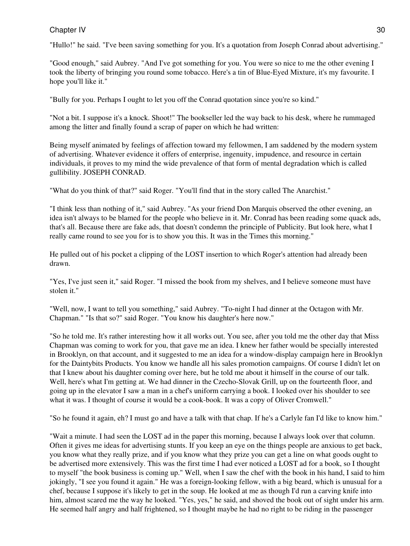"Hullo!" he said. "I've been saving something for you. It's a quotation from Joseph Conrad about advertising."

"Good enough," said Aubrey. "And I've got something for you. You were so nice to me the other evening I took the liberty of bringing you round some tobacco. Here's a tin of Blue-Eyed Mixture, it's my favourite. I hope you'll like it."

"Bully for you. Perhaps I ought to let you off the Conrad quotation since you're so kind."

"Not a bit. I suppose it's a knock. Shoot!" The bookseller led the way back to his desk, where he rummaged among the litter and finally found a scrap of paper on which he had written:

Being myself animated by feelings of affection toward my fellowmen, I am saddened by the modern system of advertising. Whatever evidence it offers of enterprise, ingenuity, impudence, and resource in certain individuals, it proves to my mind the wide prevalence of that form of mental degradation which is called gullibility. JOSEPH CONRAD.

"What do you think of that?" said Roger. "You'll find that in the story called The Anarchist."

"I think less than nothing of it," said Aubrey. "As your friend Don Marquis observed the other evening, an idea isn't always to be blamed for the people who believe in it. Mr. Conrad has been reading some quack ads, that's all. Because there are fake ads, that doesn't condemn the principle of Publicity. But look here, what I really came round to see you for is to show you this. It was in the Times this morning."

He pulled out of his pocket a clipping of the LOST insertion to which Roger's attention had already been drawn.

"Yes, I've just seen it," said Roger. "I missed the book from my shelves, and I believe someone must have stolen it."

"Well, now, I want to tell you something," said Aubrey. "To-night I had dinner at the Octagon with Mr. Chapman." "Is that so?" said Roger. "You know his daughter's here now."

"So he told me. It's rather interesting how it all works out. You see, after you told me the other day that Miss Chapman was coming to work for you, that gave me an idea. I knew her father would be specially interested in Brooklyn, on that account, and it suggested to me an idea for a window-display campaign here in Brooklyn for the Daintybits Products. You know we handle all his sales promotion campaigns. Of course I didn't let on that I knew about his daughter coming over here, but he told me about it himself in the course of our talk. Well, here's what I'm getting at. We had dinner in the Czecho-Slovak Grill, up on the fourteenth floor, and going up in the elevator I saw a man in a chef's uniform carrying a book. I looked over his shoulder to see what it was. I thought of course it would be a cook-book. It was a copy of Oliver Cromwell."

"So he found it again, eh? I must go and have a talk with that chap. If he's a Carlyle fan I'd like to know him."

"Wait a minute. I had seen the LOST ad in the paper this morning, because I always look over that column. Often it gives me ideas for advertising stunts. If you keep an eye on the things people are anxious to get back, you know what they really prize, and if you know what they prize you can get a line on what goods ought to be advertised more extensively. This was the first time I had ever noticed a LOST ad for a book, so I thought to myself "the book business is coming up." Well, when I saw the chef with the book in his hand, I said to him jokingly, "I see you found it again." He was a foreign-looking fellow, with a big beard, which is unusual for a chef, because I suppose it's likely to get in the soup. He looked at me as though I'd run a carving knife into him, almost scared me the way he looked. "Yes, yes," he said, and shoved the book out of sight under his arm. He seemed half angry and half frightened, so I thought maybe he had no right to be riding in the passenger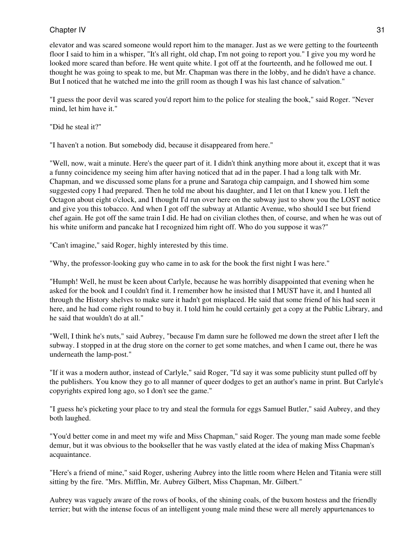elevator and was scared someone would report him to the manager. Just as we were getting to the fourteenth floor I said to him in a whisper, "It's all right, old chap, I'm not going to report you." I give you my word he looked more scared than before. He went quite white. I got off at the fourteenth, and he followed me out. I thought he was going to speak to me, but Mr. Chapman was there in the lobby, and he didn't have a chance. But I noticed that he watched me into the grill room as though I was his last chance of salvation."

"I guess the poor devil was scared you'd report him to the police for stealing the book," said Roger. "Never mind, let him have it."

"Did he steal it?"

"I haven't a notion. But somebody did, because it disappeared from here."

"Well, now, wait a minute. Here's the queer part of it. I didn't think anything more about it, except that it was a funny coincidence my seeing him after having noticed that ad in the paper. I had a long talk with Mr. Chapman, and we discussed some plans for a prune and Saratoga chip campaign, and I showed him some suggested copy I had prepared. Then he told me about his daughter, and I let on that I knew you. I left the Octagon about eight o'clock, and I thought I'd run over here on the subway just to show you the LOST notice and give you this tobacco. And when I got off the subway at Atlantic Avenue, who should I see but friend chef again. He got off the same train I did. He had on civilian clothes then, of course, and when he was out of his white uniform and pancake hat I recognized him right off. Who do you suppose it was?"

"Can't imagine," said Roger, highly interested by this time.

"Why, the professor-looking guy who came in to ask for the book the first night I was here."

"Humph! Well, he must be keen about Carlyle, because he was horribly disappointed that evening when he asked for the book and I couldn't find it. I remember how he insisted that I MUST have it, and I hunted all through the History shelves to make sure it hadn't got misplaced. He said that some friend of his had seen it here, and he had come right round to buy it. I told him he could certainly get a copy at the Public Library, and he said that wouldn't do at all."

"Well, I think he's nuts," said Aubrey, "because I'm damn sure he followed me down the street after I left the subway. I stopped in at the drug store on the corner to get some matches, and when I came out, there he was underneath the lamp-post."

"If it was a modern author, instead of Carlyle," said Roger, "I'd say it was some publicity stunt pulled off by the publishers. You know they go to all manner of queer dodges to get an author's name in print. But Carlyle's copyrights expired long ago, so I don't see the game."

"I guess he's picketing your place to try and steal the formula for eggs Samuel Butler," said Aubrey, and they both laughed.

"You'd better come in and meet my wife and Miss Chapman," said Roger. The young man made some feeble demur, but it was obvious to the bookseller that he was vastly elated at the idea of making Miss Chapman's acquaintance.

"Here's a friend of mine," said Roger, ushering Aubrey into the little room where Helen and Titania were still sitting by the fire. "Mrs. Mifflin, Mr. Aubrey Gilbert, Miss Chapman, Mr. Gilbert."

Aubrey was vaguely aware of the rows of books, of the shining coals, of the buxom hostess and the friendly terrier; but with the intense focus of an intelligent young male mind these were all merely appurtenances to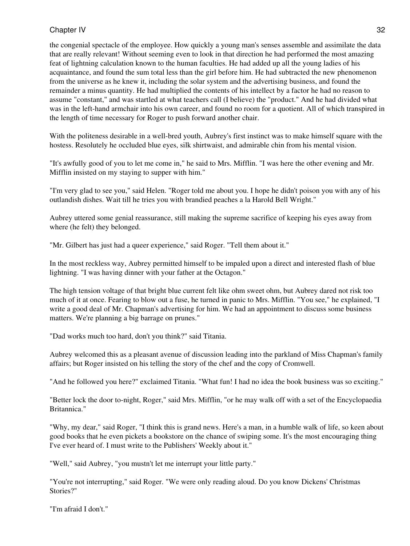the congenial spectacle of the employee. How quickly a young man's senses assemble and assimilate the data that are really relevant! Without seeming even to look in that direction he had performed the most amazing feat of lightning calculation known to the human faculties. He had added up all the young ladies of his acquaintance, and found the sum total less than the girl before him. He had subtracted the new phenomenon from the universe as he knew it, including the solar system and the advertising business, and found the remainder a minus quantity. He had multiplied the contents of his intellect by a factor he had no reason to assume "constant," and was startled at what teachers call (I believe) the "product." And he had divided what was in the left-hand armchair into his own career, and found no room for a quotient. All of which transpired in the length of time necessary for Roger to push forward another chair.

With the politeness desirable in a well-bred youth, Aubrey's first instinct was to make himself square with the hostess. Resolutely he occluded blue eyes, silk shirtwaist, and admirable chin from his mental vision.

"It's awfully good of you to let me come in," he said to Mrs. Mifflin. "I was here the other evening and Mr. Mifflin insisted on my staying to supper with him."

"I'm very glad to see you," said Helen. "Roger told me about you. I hope he didn't poison you with any of his outlandish dishes. Wait till he tries you with brandied peaches a la Harold Bell Wright."

Aubrey uttered some genial reassurance, still making the supreme sacrifice of keeping his eyes away from where (he felt) they belonged.

"Mr. Gilbert has just had a queer experience," said Roger. "Tell them about it."

In the most reckless way, Aubrey permitted himself to be impaled upon a direct and interested flash of blue lightning. "I was having dinner with your father at the Octagon."

The high tension voltage of that bright blue current felt like ohm sweet ohm, but Aubrey dared not risk too much of it at once. Fearing to blow out a fuse, he turned in panic to Mrs. Mifflin. "You see," he explained, "I write a good deal of Mr. Chapman's advertising for him. We had an appointment to discuss some business matters. We're planning a big barrage on prunes."

"Dad works much too hard, don't you think?" said Titania.

Aubrey welcomed this as a pleasant avenue of discussion leading into the parkland of Miss Chapman's family affairs; but Roger insisted on his telling the story of the chef and the copy of Cromwell.

"And he followed you here?" exclaimed Titania. "What fun! I had no idea the book business was so exciting."

"Better lock the door to-night, Roger," said Mrs. Mifflin, "or he may walk off with a set of the Encyclopaedia Britannica."

"Why, my dear," said Roger, "I think this is grand news. Here's a man, in a humble walk of life, so keen about good books that he even pickets a bookstore on the chance of swiping some. It's the most encouraging thing I've ever heard of. I must write to the Publishers' Weekly about it."

"Well," said Aubrey, "you mustn't let me interrupt your little party."

"You're not interrupting," said Roger. "We were only reading aloud. Do you know Dickens' Christmas Stories?"

"I'm afraid I don't."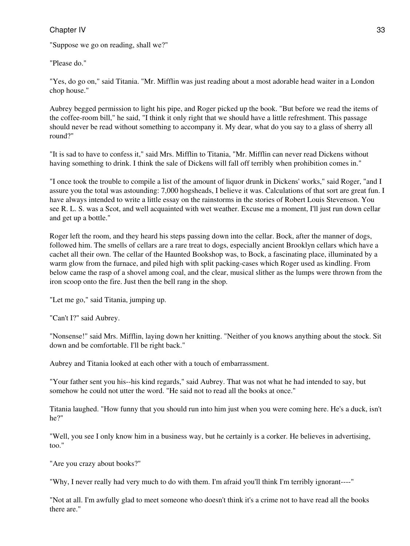"Suppose we go on reading, shall we?"

"Please do."

"Yes, do go on," said Titania. "Mr. Mifflin was just reading about a most adorable head waiter in a London chop house."

Aubrey begged permission to light his pipe, and Roger picked up the book. "But before we read the items of the coffee-room bill," he said, "I think it only right that we should have a little refreshment. This passage should never be read without something to accompany it. My dear, what do you say to a glass of sherry all round?"

"It is sad to have to confess it," said Mrs. Mifflin to Titania, "Mr. Mifflin can never read Dickens without having something to drink. I think the sale of Dickens will fall off terribly when prohibition comes in."

"I once took the trouble to compile a list of the amount of liquor drunk in Dickens' works," said Roger, "and I assure you the total was astounding: 7,000 hogsheads, I believe it was. Calculations of that sort are great fun. I have always intended to write a little essay on the rainstorms in the stories of Robert Louis Stevenson. You see R. L. S. was a Scot, and well acquainted with wet weather. Excuse me a moment, I'll just run down cellar and get up a bottle."

Roger left the room, and they heard his steps passing down into the cellar. Bock, after the manner of dogs, followed him. The smells of cellars are a rare treat to dogs, especially ancient Brooklyn cellars which have a cachet all their own. The cellar of the Haunted Bookshop was, to Bock, a fascinating place, illuminated by a warm glow from the furnace, and piled high with split packing-cases which Roger used as kindling. From below came the rasp of a shovel among coal, and the clear, musical slither as the lumps were thrown from the iron scoop onto the fire. Just then the bell rang in the shop.

"Let me go," said Titania, jumping up.

"Can't I?" said Aubrey.

"Nonsense!" said Mrs. Mifflin, laying down her knitting. "Neither of you knows anything about the stock. Sit down and be comfortable. I'll be right back."

Aubrey and Titania looked at each other with a touch of embarrassment.

"Your father sent you his--his kind regards," said Aubrey. That was not what he had intended to say, but somehow he could not utter the word. "He said not to read all the books at once."

Titania laughed. "How funny that you should run into him just when you were coming here. He's a duck, isn't he?"

"Well, you see I only know him in a business way, but he certainly is a corker. He believes in advertising, too."

"Are you crazy about books?"

"Why, I never really had very much to do with them. I'm afraid you'll think I'm terribly ignorant----"

"Not at all. I'm awfully glad to meet someone who doesn't think it's a crime not to have read all the books there are."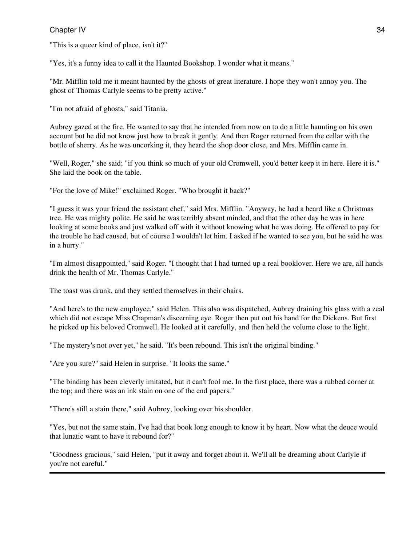#### Chapter IV and the set of the set of the set of the set of the set of the set of the set of the set of the set of the set of the set of the set of the set of the set of the set of the set of the set of the set of the set o

"This is a queer kind of place, isn't it?"

"Yes, it's a funny idea to call it the Haunted Bookshop. I wonder what it means."

"Mr. Mifflin told me it meant haunted by the ghosts of great literature. I hope they won't annoy you. The ghost of Thomas Carlyle seems to be pretty active."

"I'm not afraid of ghosts," said Titania.

Aubrey gazed at the fire. He wanted to say that he intended from now on to do a little haunting on his own account but he did not know just how to break it gently. And then Roger returned from the cellar with the bottle of sherry. As he was uncorking it, they heard the shop door close, and Mrs. Mifflin came in.

"Well, Roger," she said; "if you think so much of your old Cromwell, you'd better keep it in here. Here it is." She laid the book on the table.

"For the love of Mike!" exclaimed Roger. "Who brought it back?"

"I guess it was your friend the assistant chef," said Mrs. Mifflin. "Anyway, he had a beard like a Christmas tree. He was mighty polite. He said he was terribly absent minded, and that the other day he was in here looking at some books and just walked off with it without knowing what he was doing. He offered to pay for the trouble he had caused, but of course I wouldn't let him. I asked if he wanted to see you, but he said he was in a hurry."

"I'm almost disappointed," said Roger. "I thought that I had turned up a real booklover. Here we are, all hands drink the health of Mr. Thomas Carlyle."

The toast was drunk, and they settled themselves in their chairs.

"And here's to the new employee," said Helen. This also was dispatched, Aubrey draining his glass with a zeal which did not escape Miss Chapman's discerning eye. Roger then put out his hand for the Dickens. But first he picked up his beloved Cromwell. He looked at it carefully, and then held the volume close to the light.

"The mystery's not over yet," he said. "It's been rebound. This isn't the original binding."

"Are you sure?" said Helen in surprise. "It looks the same."

"The binding has been cleverly imitated, but it can't fool me. In the first place, there was a rubbed corner at the top; and there was an ink stain on one of the end papers."

"There's still a stain there," said Aubrey, looking over his shoulder.

"Yes, but not the same stain. I've had that book long enough to know it by heart. Now what the deuce would that lunatic want to have it rebound for?"

"Goodness gracious," said Helen, "put it away and forget about it. We'll all be dreaming about Carlyle if you're not careful."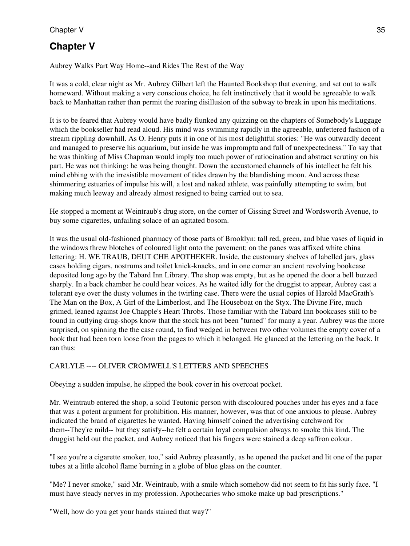# Chapter V and the set of the set of the set of the set of the set of the set of the set of the set of the set of the set of the set of the set of the set of the set of the set of the set of the set of the set of the set of

# **Chapter V**

Aubrey Walks Part Way Home--and Rides The Rest of the Way

It was a cold, clear night as Mr. Aubrey Gilbert left the Haunted Bookshop that evening, and set out to walk homeward. Without making a very conscious choice, he felt instinctively that it would be agreeable to walk back to Manhattan rather than permit the roaring disillusion of the subway to break in upon his meditations.

It is to be feared that Aubrey would have badly flunked any quizzing on the chapters of Somebody's Luggage which the bookseller had read aloud. His mind was swimming rapidly in the agreeable, unfettered fashion of a stream rippling downhill. As O. Henry puts it in one of his most delightful stories: "He was outwardly decent and managed to preserve his aquarium, but inside he was impromptu and full of unexpectedness." To say that he was thinking of Miss Chapman would imply too much power of ratiocination and abstract scrutiny on his part. He was not thinking: he was being thought. Down the accustomed channels of his intellect he felt his mind ebbing with the irresistible movement of tides drawn by the blandishing moon. And across these shimmering estuaries of impulse his will, a lost and naked athlete, was painfully attempting to swim, but making much leeway and already almost resigned to being carried out to sea.

He stopped a moment at Weintraub's drug store, on the corner of Gissing Street and Wordsworth Avenue, to buy some cigarettes, unfailing solace of an agitated bosom.

It was the usual old-fashioned pharmacy of those parts of Brooklyn: tall red, green, and blue vases of liquid in the windows threw blotches of coloured light onto the pavement; on the panes was affixed white china lettering: H. WE TRAUB, DEUT CHE APOTHEKER. Inside, the customary shelves of labelled jars, glass cases holding cigars, nostrums and toilet knick-knacks, and in one corner an ancient revolving bookcase deposited long ago by the Tabard Inn Library. The shop was empty, but as he opened the door a bell buzzed sharply. In a back chamber he could hear voices. As he waited idly for the druggist to appear, Aubrey cast a tolerant eye over the dusty volumes in the twirling case. There were the usual copies of Harold MacGrath's The Man on the Box, A Girl of the Limberlost, and The Houseboat on the Styx. The Divine Fire, much grimed, leaned against Joe Chapple's Heart Throbs. Those familiar with the Tabard Inn bookcases still to be found in outlying drug-shops know that the stock has not been "turned" for many a year. Aubrey was the more surprised, on spinning the the case round, to find wedged in between two other volumes the empty cover of a book that had been torn loose from the pages to which it belonged. He glanced at the lettering on the back. It ran thus:

#### CARLYLE ---- OLIVER CROMWELL'S LETTERS AND SPEECHES

Obeying a sudden impulse, he slipped the book cover in his overcoat pocket.

Mr. Weintraub entered the shop, a solid Teutonic person with discoloured pouches under his eyes and a face that was a potent argument for prohibition. His manner, however, was that of one anxious to please. Aubrey indicated the brand of cigarettes he wanted. Having himself coined the advertising catchword for them--They're mild-- but they satisfy--he felt a certain loyal compulsion always to smoke this kind. The druggist held out the packet, and Aubrey noticed that his fingers were stained a deep saffron colour.

"I see you're a cigarette smoker, too," said Aubrey pleasantly, as he opened the packet and lit one of the paper tubes at a little alcohol flame burning in a globe of blue glass on the counter.

"Me? I never smoke," said Mr. Weintraub, with a smile which somehow did not seem to fit his surly face. "I must have steady nerves in my profession. Apothecaries who smoke make up bad prescriptions."

"Well, how do you get your hands stained that way?"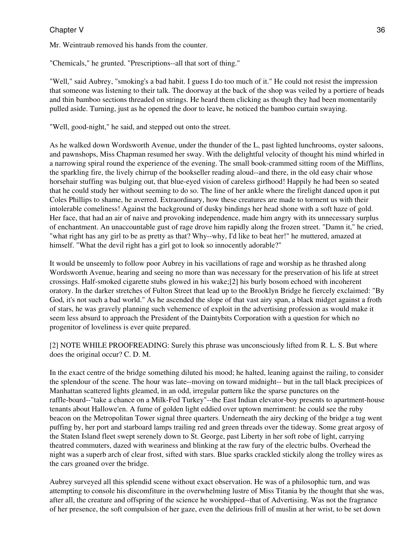Mr. Weintraub removed his hands from the counter.

"Chemicals," he grunted. "Prescriptions--all that sort of thing."

"Well," said Aubrey, "smoking's a bad habit. I guess I do too much of it." He could not resist the impression that someone was listening to their talk. The doorway at the back of the shop was veiled by a portiere of beads and thin bamboo sections threaded on strings. He heard them clicking as though they had been momentarily pulled aside. Turning, just as he opened the door to leave, he noticed the bamboo curtain swaying.

"Well, good-night," he said, and stepped out onto the street.

As he walked down Wordsworth Avenue, under the thunder of the L, past lighted lunchrooms, oyster saloons, and pawnshops, Miss Chapman resumed her sway. With the delightful velocity of thought his mind whirled in a narrowing spiral round the experience of the evening. The small book-crammed sitting room of the Mifflins, the sparkling fire, the lively chirrup of the bookseller reading aloud--and there, in the old easy chair whose horsehair stuffing was bulging out, that blue-eyed vision of careless girlhood! Happily he had been so seated that he could study her without seeming to do so. The line of her ankle where the firelight danced upon it put Coles Phillips to shame, he averred. Extraordinary, how these creatures are made to torment us with their intolerable comeliness! Against the background of dusky bindings her head shone with a soft haze of gold. Her face, that had an air of naive and provoking independence, made him angry with its unnecessary surplus of enchantment. An unaccountable gust of rage drove him rapidly along the frozen street. "Damn it," he cried, "what right has any girl to be as pretty as that? Why--why, I'd like to beat her!" he muttered, amazed at himself. "What the devil right has a girl got to look so innocently adorable?"

It would be unseemly to follow poor Aubrey in his vacillations of rage and worship as he thrashed along Wordsworth Avenue, hearing and seeing no more than was necessary for the preservation of his life at street crossings. Half-smoked cigarette stubs glowed in his wake;[2] his burly bosom echoed with incoherent oratory. In the darker stretches of Fulton Street that lead up to the Brooklyn Bridge he fiercely exclaimed: "By God, it's not such a bad world." As he ascended the slope of that vast airy span, a black midget against a froth of stars, he was gravely planning such vehemence of exploit in the advertising profession as would make it seem less absurd to approach the President of the Daintybits Corporation with a question for which no progenitor of loveliness is ever quite prepared.

[2] NOTE WHILE PROOFREADING: Surely this phrase was unconsciously lifted from R. L. S. But where does the original occur? C. D. M.

In the exact centre of the bridge something diluted his mood; he halted, leaning against the railing, to consider the splendour of the scene. The hour was late--moving on toward midnight-- but in the tall black precipices of Manhattan scattered lights gleamed, in an odd, irregular pattern like the sparse punctures on the raffle-board--"take a chance on a Milk-Fed Turkey"--the East Indian elevator-boy presents to apartment-house tenants about Hallowe'en. A fume of golden light eddied over uptown merriment: he could see the ruby beacon on the Metropolitan Tower signal three quarters. Underneath the airy decking of the bridge a tug went puffing by, her port and starboard lamps trailing red and green threads over the tideway. Some great argosy of the Staten Island fleet swept serenely down to St. George, past Liberty in her soft robe of light, carrying theatred commuters, dazed with weariness and blinking at the raw fury of the electric bulbs. Overhead the night was a superb arch of clear frost, sifted with stars. Blue sparks crackled stickily along the trolley wires as the cars groaned over the bridge.

Aubrey surveyed all this splendid scene without exact observation. He was of a philosophic turn, and was attempting to console his discomfiture in the overwhelming lustre of Miss Titania by the thought that she was, after all, the creature and offspring of the science he worshipped--that of Advertising. Was not the fragrance of her presence, the soft compulsion of her gaze, even the delirious frill of muslin at her wrist, to be set down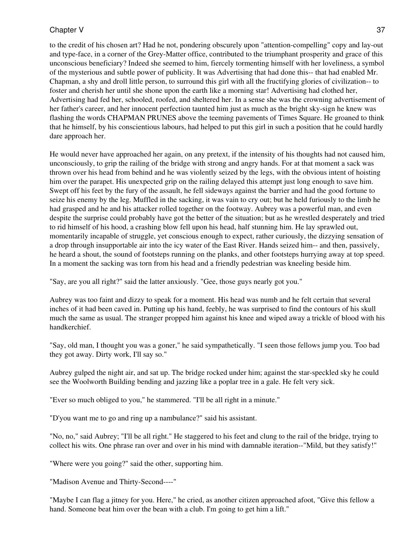### Chapter V and the set of the set of the set of the set of the set of the set of the set of the set of the set of the set of the set of the set of the set of the set of the set of the set of the set of the set of the set of

to the credit of his chosen art? Had he not, pondering obscurely upon "attention-compelling" copy and lay-out and type-face, in a corner of the Grey-Matter office, contributed to the triumphant prosperity and grace of this unconscious beneficiary? Indeed she seemed to him, fiercely tormenting himself with her loveliness, a symbol of the mysterious and subtle power of publicity. It was Advertising that had done this-- that had enabled Mr. Chapman, a shy and droll little person, to surround this girl with all the fructifying glories of civilization-- to foster and cherish her until she shone upon the earth like a morning star! Advertising had clothed her, Advertising had fed her, schooled, roofed, and sheltered her. In a sense she was the crowning advertisement of her father's career, and her innocent perfection taunted him just as much as the bright sky-sign he knew was flashing the words CHAPMAN PRUNES above the teeming pavements of Times Square. He groaned to think that he himself, by his conscientious labours, had helped to put this girl in such a position that he could hardly dare approach her.

He would never have approached her again, on any pretext, if the intensity of his thoughts had not caused him, unconsciously, to grip the railing of the bridge with strong and angry hands. For at that moment a sack was thrown over his head from behind and he was violently seized by the legs, with the obvious intent of hoisting him over the parapet. His unexpected grip on the railing delayed this attempt just long enough to save him. Swept off his feet by the fury of the assault, he fell sideways against the barrier and had the good fortune to seize his enemy by the leg. Muffled in the sacking, it was vain to cry out; but he held furiously to the limb he had grasped and he and his attacker rolled together on the footway. Aubrey was a powerful man, and even despite the surprise could probably have got the better of the situation; but as he wrestled desperately and tried to rid himself of his hood, a crashing blow fell upon his head, half stunning him. He lay sprawled out, momentarily incapable of struggle, yet conscious enough to expect, rather curiously, the dizzying sensation of a drop through insupportable air into the icy water of the East River. Hands seized him-- and then, passively, he heard a shout, the sound of footsteps running on the planks, and other footsteps hurrying away at top speed. In a moment the sacking was torn from his head and a friendly pedestrian was kneeling beside him.

"Say, are you all right?" said the latter anxiously. "Gee, those guys nearly got you."

Aubrey was too faint and dizzy to speak for a moment. His head was numb and he felt certain that several inches of it had been caved in. Putting up his hand, feebly, he was surprised to find the contours of his skull much the same as usual. The stranger propped him against his knee and wiped away a trickle of blood with his handkerchief.

"Say, old man, I thought you was a goner," he said sympathetically. "I seen those fellows jump you. Too bad they got away. Dirty work, I'll say so."

Aubrey gulped the night air, and sat up. The bridge rocked under him; against the star-speckled sky he could see the Woolworth Building bending and jazzing like a poplar tree in a gale. He felt very sick.

"Ever so much obliged to you," he stammered. "I'll be all right in a minute."

"D'you want me to go and ring up a nambulance?" said his assistant.

"No, no," said Aubrey; "I'll be all right." He staggered to his feet and clung to the rail of the bridge, trying to collect his wits. One phrase ran over and over in his mind with damnable iteration--"Mild, but they satisfy!"

"Where were you going?" said the other, supporting him.

"Madison Avenue and Thirty-Second----"

"Maybe I can flag a jitney for you. Here," he cried, as another citizen approached afoot, "Give this fellow a hand. Someone beat him over the bean with a club. I'm going to get him a lift."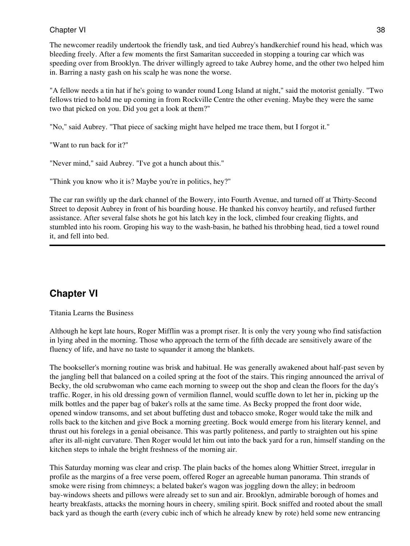The newcomer readily undertook the friendly task, and tied Aubrey's handkerchief round his head, which was bleeding freely. After a few moments the first Samaritan succeeded in stopping a touring car which was speeding over from Brooklyn. The driver willingly agreed to take Aubrey home, and the other two helped him in. Barring a nasty gash on his scalp he was none the worse.

"A fellow needs a tin hat if he's going to wander round Long Island at night," said the motorist genially. "Two fellows tried to hold me up coming in from Rockville Centre the other evening. Maybe they were the same two that picked on you. Did you get a look at them?"

"No," said Aubrey. "That piece of sacking might have helped me trace them, but I forgot it."

"Want to run back for it?"

"Never mind," said Aubrey. "I've got a hunch about this."

"Think you know who it is? Maybe you're in politics, hey?"

The car ran swiftly up the dark channel of the Bowery, into Fourth Avenue, and turned off at Thirty-Second Street to deposit Aubrey in front of his boarding house. He thanked his convoy heartily, and refused further assistance. After several false shots he got his latch key in the lock, climbed four creaking flights, and stumbled into his room. Groping his way to the wash-basin, he bathed his throbbing head, tied a towel round it, and fell into bed.

# **Chapter VI**

Titania Learns the Business

Although he kept late hours, Roger Mifflin was a prompt riser. It is only the very young who find satisfaction in lying abed in the morning. Those who approach the term of the fifth decade are sensitively aware of the fluency of life, and have no taste to squander it among the blankets.

The bookseller's morning routine was brisk and habitual. He was generally awakened about half-past seven by the jangling bell that balanced on a coiled spring at the foot of the stairs. This ringing announced the arrival of Becky, the old scrubwoman who came each morning to sweep out the shop and clean the floors for the day's traffic. Roger, in his old dressing gown of vermilion flannel, would scuffle down to let her in, picking up the milk bottles and the paper bag of baker's rolls at the same time. As Becky propped the front door wide, opened window transoms, and set about buffeting dust and tobacco smoke, Roger would take the milk and rolls back to the kitchen and give Bock a morning greeting. Bock would emerge from his literary kennel, and thrust out his forelegs in a genial obeisance. This was partly politeness, and partly to straighten out his spine after its all-night curvature. Then Roger would let him out into the back yard for a run, himself standing on the kitchen steps to inhale the bright freshness of the morning air.

This Saturday morning was clear and crisp. The plain backs of the homes along Whittier Street, irregular in profile as the margins of a free verse poem, offered Roger an agreeable human panorama. Thin strands of smoke were rising from chimneys; a belated baker's wagon was joggling down the alley; in bedroom bay-windows sheets and pillows were already set to sun and air. Brooklyn, admirable borough of homes and hearty breakfasts, attacks the morning hours in cheery, smiling spirit. Bock sniffed and rooted about the small back yard as though the earth (every cubic inch of which he already knew by rote) held some new entrancing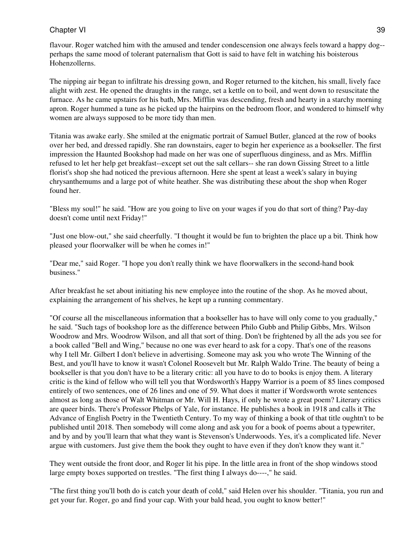flavour. Roger watched him with the amused and tender condescension one always feels toward a happy dog- perhaps the same mood of tolerant paternalism that Gott is said to have felt in watching his boisterous Hohenzollerns.

The nipping air began to infiltrate his dressing gown, and Roger returned to the kitchen, his small, lively face alight with zest. He opened the draughts in the range, set a kettle on to boil, and went down to resuscitate the furnace. As he came upstairs for his bath, Mrs. Mifflin was descending, fresh and hearty in a starchy morning apron. Roger hummed a tune as he picked up the hairpins on the bedroom floor, and wondered to himself why women are always supposed to be more tidy than men.

Titania was awake early. She smiled at the enigmatic portrait of Samuel Butler, glanced at the row of books over her bed, and dressed rapidly. She ran downstairs, eager to begin her experience as a bookseller. The first impression the Haunted Bookshop had made on her was one of superfluous dinginess, and as Mrs. Mifflin refused to let her help get breakfast--except set out the salt cellars-- she ran down Gissing Street to a little florist's shop she had noticed the previous afternoon. Here she spent at least a week's salary in buying chrysanthemums and a large pot of white heather. She was distributing these about the shop when Roger found her.

"Bless my soul!" he said. "How are you going to live on your wages if you do that sort of thing? Pay-day doesn't come until next Friday!"

"Just one blow-out," she said cheerfully. "I thought it would be fun to brighten the place up a bit. Think how pleased your floorwalker will be when he comes in!"

"Dear me," said Roger. "I hope you don't really think we have floorwalkers in the second-hand book business."

After breakfast he set about initiating his new employee into the routine of the shop. As he moved about, explaining the arrangement of his shelves, he kept up a running commentary.

"Of course all the miscellaneous information that a bookseller has to have will only come to you gradually," he said. "Such tags of bookshop lore as the difference between Philo Gubb and Philip Gibbs, Mrs. Wilson Woodrow and Mrs. Woodrow Wilson, and all that sort of thing. Don't be frightened by all the ads you see for a book called "Bell and Wing," because no one was ever heard to ask for a copy. That's one of the reasons why I tell Mr. Gilbert I don't believe in advertising. Someone may ask you who wrote The Winning of the Best, and you'll have to know it wasn't Colonel Roosevelt but Mr. Ralph Waldo Trine. The beauty of being a bookseller is that you don't have to be a literary critic: all you have to do to books is enjoy them. A literary critic is the kind of fellow who will tell you that Wordsworth's Happy Warrior is a poem of 85 lines composed entirely of two sentences, one of 26 lines and one of 59. What does it matter if Wordsworth wrote sentences almost as long as those of Walt Whitman or Mr. Will H. Hays, if only he wrote a great poem? Literary critics are queer birds. There's Professor Phelps of Yale, for instance. He publishes a book in 1918 and calls it The Advance of English Poetry in the Twentieth Century. To my way of thinking a book of that title oughtn't to be published until 2018. Then somebody will come along and ask you for a book of poems about a typewriter, and by and by you'll learn that what they want is Stevenson's Underwoods. Yes, it's a complicated life. Never argue with customers. Just give them the book they ought to have even if they don't know they want it."

They went outside the front door, and Roger lit his pipe. In the little area in front of the shop windows stood large empty boxes supported on trestles. "The first thing I always do----," he said.

"The first thing you'll both do is catch your death of cold," said Helen over his shoulder. "Titania, you run and get your fur. Roger, go and find your cap. With your bald head, you ought to know better!"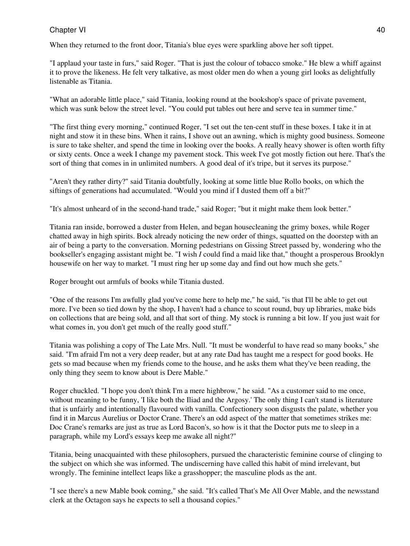When they returned to the front door, Titania's blue eyes were sparkling above her soft tippet.

"I applaud your taste in furs," said Roger. "That is just the colour of tobacco smoke." He blew a whiff against it to prove the likeness. He felt very talkative, as most older men do when a young girl looks as delightfully listenable as Titania.

"What an adorable little place," said Titania, looking round at the bookshop's space of private pavement, which was sunk below the street level. "You could put tables out here and serve tea in summer time."

"The first thing every morning," continued Roger, "I set out the ten-cent stuff in these boxes. I take it in at night and stow it in these bins. When it rains, I shove out an awning, which is mighty good business. Someone is sure to take shelter, and spend the time in looking over the books. A really heavy shower is often worth fifty or sixty cents. Once a week I change my pavement stock. This week I've got mostly fiction out here. That's the sort of thing that comes in in unlimited numbers. A good deal of it's tripe, but it serves its purpose."

"Aren't they rather dirty?" said Titania doubtfully, looking at some little blue Rollo books, on which the siftings of generations had accumulated. "Would you mind if I dusted them off a bit?"

"It's almost unheard of in the second-hand trade," said Roger; "but it might make them look better."

Titania ran inside, borrowed a duster from Helen, and began housecleaning the grimy boxes, while Roger chatted away in high spirits. Bock already noticing the new order of things, squatted on the doorstep with an air of being a party to the conversation. Morning pedestrians on Gissing Street passed by, wondering who the bookseller's engaging assistant might be. "I wish *I* could find a maid like that," thought a prosperous Brooklyn housewife on her way to market. "I must ring her up some day and find out how much she gets."

Roger brought out armfuls of books while Titania dusted.

"One of the reasons I'm awfully glad you've come here to help me," he said, "is that I'll be able to get out more. I've been so tied down by the shop, I haven't had a chance to scout round, buy up libraries, make bids on collections that are being sold, and all that sort of thing. My stock is running a bit low. If you just wait for what comes in, you don't get much of the really good stuff."

Titania was polishing a copy of The Late Mrs. Null. "It must be wonderful to have read so many books," she said. "I'm afraid I'm not a very deep reader, but at any rate Dad has taught me a respect for good books. He gets so mad because when my friends come to the house, and he asks them what they've been reading, the only thing they seem to know about is Dere Mable."

Roger chuckled. "I hope you don't think I'm a mere highbrow," he said. "As a customer said to me once, without meaning to be funny, 'I like both the Iliad and the Argosy.' The only thing I can't stand is literature that is unfairly and intentionally flavoured with vanilla. Confectionery soon disgusts the palate, whether you find it in Marcus Aurelius or Doctor Crane. There's an odd aspect of the matter that sometimes strikes me: Doc Crane's remarks are just as true as Lord Bacon's, so how is it that the Doctor puts me to sleep in a paragraph, while my Lord's essays keep me awake all night?"

Titania, being unacquainted with these philosophers, pursued the characteristic feminine course of clinging to the subject on which she was informed. The undiscerning have called this habit of mind irrelevant, but wrongly. The feminine intellect leaps like a grasshopper; the masculine plods as the ant.

"I see there's a new Mable book coming," she said. "It's called That's Me All Over Mable, and the newsstand clerk at the Octagon says he expects to sell a thousand copies."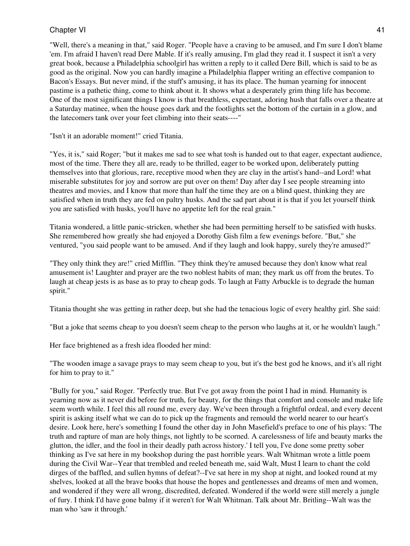"Well, there's a meaning in that," said Roger. "People have a craving to be amused, and I'm sure I don't blame 'em. I'm afraid I haven't read Dere Mable. If it's really amusing, I'm glad they read it. I suspect it isn't a very great book, because a Philadelphia schoolgirl has written a reply to it called Dere Bill, which is said to be as good as the original. Now you can hardly imagine a Philadelphia flapper writing an effective companion to Bacon's Essays. But never mind, if the stuff's amusing, it has its place. The human yearning for innocent pastime is a pathetic thing, come to think about it. It shows what a desperately grim thing life has become. One of the most significant things I know is that breathless, expectant, adoring hush that falls over a theatre at a Saturday matinee, when the house goes dark and the footlights set the bottom of the curtain in a glow, and the latecomers tank over your feet climbing into their seats----"

"Isn't it an adorable moment!" cried Titania.

"Yes, it is," said Roger; "but it makes me sad to see what tosh is handed out to that eager, expectant audience, most of the time. There they all are, ready to be thrilled, eager to be worked upon, deliberately putting themselves into that glorious, rare, receptive mood when they are clay in the artist's hand--and Lord! what miserable substitutes for joy and sorrow are put over on them! Day after day I see people streaming into theatres and movies, and I know that more than half the time they are on a blind quest, thinking they are satisfied when in truth they are fed on paltry husks. And the sad part about it is that if you let yourself think you are satisfied with husks, you'll have no appetite left for the real grain."

Titania wondered, a little panic-stricken, whether she had been permitting herself to be satisfied with husks. She remembered how greatly she had enjoyed a Dorothy Gish film a few evenings before. "But," she ventured, "you said people want to be amused. And if they laugh and look happy, surely they're amused?"

"They only think they are!" cried Mifflin. "They think they're amused because they don't know what real amusement is! Laughter and prayer are the two noblest habits of man; they mark us off from the brutes. To laugh at cheap jests is as base as to pray to cheap gods. To laugh at Fatty Arbuckle is to degrade the human spirit."

Titania thought she was getting in rather deep, but she had the tenacious logic of every healthy girl. She said:

"But a joke that seems cheap to you doesn't seem cheap to the person who laughs at it, or he wouldn't laugh."

Her face brightened as a fresh idea flooded her mind:

"The wooden image a savage prays to may seem cheap to you, but it's the best god he knows, and it's all right for him to pray to it."

"Bully for you," said Roger. "Perfectly true. But I've got away from the point I had in mind. Humanity is yearning now as it never did before for truth, for beauty, for the things that comfort and console and make life seem worth while. I feel this all round me, every day. We've been through a frightful ordeal, and every decent spirit is asking itself what we can do to pick up the fragments and remould the world nearer to our heart's desire. Look here, here's something I found the other day in John Masefield's preface to one of his plays: 'The truth and rapture of man are holy things, not lightly to be scorned. A carelessness of life and beauty marks the glutton, the idler, and the fool in their deadly path across history.' I tell you, I've done some pretty sober thinking as I've sat here in my bookshop during the past horrible years. Walt Whitman wrote a little poem during the Civil War--Year that trembled and reeled beneath me, said Walt, Must I learn to chant the cold dirges of the baffled, and sullen hymns of defeat?--I've sat here in my shop at night, and looked round at my shelves, looked at all the brave books that house the hopes and gentlenesses and dreams of men and women, and wondered if they were all wrong, discredited, defeated. Wondered if the world were still merely a jungle of fury. I think I'd have gone balmy if it weren't for Walt Whitman. Talk about Mr. Britling--Walt was the man who 'saw it through.'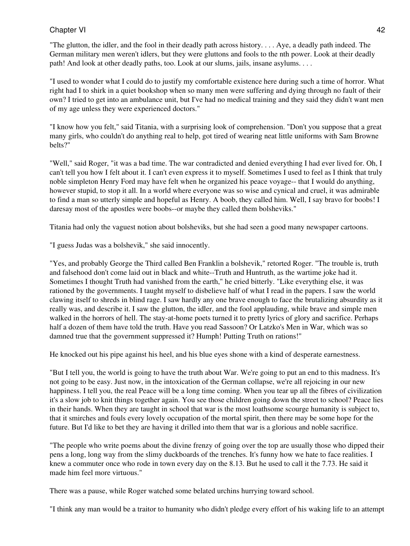"The glutton, the idler, and the fool in their deadly path across history. . . . Aye, a deadly path indeed. The German military men weren't idlers, but they were gluttons and fools to the nth power. Look at their deadly path! And look at other deadly paths, too. Look at our slums, jails, insane asylums. . . .

"I used to wonder what I could do to justify my comfortable existence here during such a time of horror. What right had I to shirk in a quiet bookshop when so many men were suffering and dying through no fault of their own? I tried to get into an ambulance unit, but I've had no medical training and they said they didn't want men of my age unless they were experienced doctors."

"I know how you felt," said Titania, with a surprising look of comprehension. "Don't you suppose that a great many girls, who couldn't do anything real to help, got tired of wearing neat little uniforms with Sam Browne belts?"

"Well," said Roger, "it was a bad time. The war contradicted and denied everything I had ever lived for. Oh, I can't tell you how I felt about it. I can't even express it to myself. Sometimes I used to feel as I think that truly noble simpleton Henry Ford may have felt when he organized his peace voyage-- that I would do anything, however stupid, to stop it all. In a world where everyone was so wise and cynical and cruel, it was admirable to find a man so utterly simple and hopeful as Henry. A boob, they called him. Well, I say bravo for boobs! I daresay most of the apostles were boobs--or maybe they called them bolsheviks."

Titania had only the vaguest notion about bolsheviks, but she had seen a good many newspaper cartoons.

"I guess Judas was a bolshevik," she said innocently.

"Yes, and probably George the Third called Ben Franklin a bolshevik," retorted Roger. "The trouble is, truth and falsehood don't come laid out in black and white--Truth and Huntruth, as the wartime joke had it. Sometimes I thought Truth had vanished from the earth," he cried bitterly. "Like everything else, it was rationed by the governments. I taught myself to disbelieve half of what I read in the papers. I saw the world clawing itself to shreds in blind rage. I saw hardly any one brave enough to face the brutalizing absurdity as it really was, and describe it. I saw the glutton, the idler, and the fool applauding, while brave and simple men walked in the horrors of hell. The stay-at-home poets turned it to pretty lyrics of glory and sacrifice. Perhaps half a dozen of them have told the truth. Have you read Sassoon? Or Latzko's Men in War, which was so damned true that the government suppressed it? Humph! Putting Truth on rations!"

He knocked out his pipe against his heel, and his blue eyes shone with a kind of desperate earnestness.

"But I tell you, the world is going to have the truth about War. We're going to put an end to this madness. It's not going to be easy. Just now, in the intoxication of the German collapse, we're all rejoicing in our new happiness. I tell you, the real Peace will be a long time coming. When you tear up all the fibres of civilization it's a slow job to knit things together again. You see those children going down the street to school? Peace lies in their hands. When they are taught in school that war is the most loathsome scourge humanity is subject to, that it smirches and fouls every lovely occupation of the mortal spirit, then there may be some hope for the future. But I'd like to bet they are having it drilled into them that war is a glorious and noble sacrifice.

"The people who write poems about the divine frenzy of going over the top are usually those who dipped their pens a long, long way from the slimy duckboards of the trenches. It's funny how we hate to face realities. I knew a commuter once who rode in town every day on the 8.13. But he used to call it the 7.73. He said it made him feel more virtuous."

There was a pause, while Roger watched some belated urchins hurrying toward school.

"I think any man would be a traitor to humanity who didn't pledge every effort of his waking life to an attempt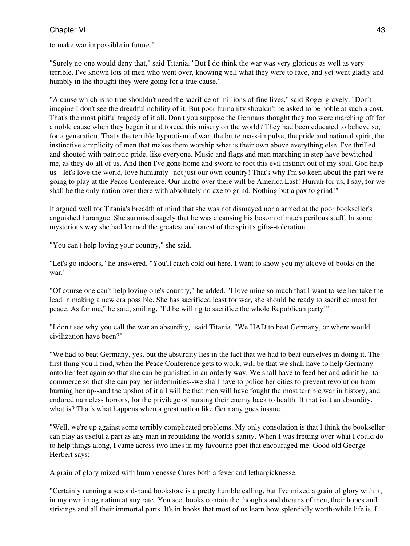to make war impossible in future."

"Surely no one would deny that," said Titania. "But I do think the war was very glorious as well as very terrible. I've known lots of men who went over, knowing well what they were to face, and yet went gladly and humbly in the thought they were going for a true cause."

"A cause which is so true shouldn't need the sacrifice of millions of fine lives," said Roger gravely. "Don't imagine I don't see the dreadful nobility of it. But poor humanity shouldn't be asked to be noble at such a cost. That's the most pitiful tragedy of it all. Don't you suppose the Germans thought they too were marching off for a noble cause when they began it and forced this misery on the world? They had been educated to believe so, for a generation. That's the terrible hypnotism of war, the brute mass-impulse, the pride and national spirit, the instinctive simplicity of men that makes them worship what is their own above everything else. I've thrilled and shouted with patriotic pride, like everyone. Music and flags and men marching in step have bewitched me, as they do all of us. And then I've gone home and sworn to root this evil instinct out of my soul. God help us-- let's love the world, love humanity--not just our own country! That's why I'm so keen about the part we're going to play at the Peace Conference. Our motto over there will be America Last! Hurrah for us, I say, for we shall be the only nation over there with absolutely no axe to grind. Nothing but a pax to grind!"

It argued well for Titania's breadth of mind that she was not dismayed nor alarmed at the poor bookseller's anguished harangue. She surmised sagely that he was cleansing his bosom of much perilous stuff. In some mysterious way she had learned the greatest and rarest of the spirit's gifts--toleration.

"You can't help loving your country," she said.

"Let's go indoors," he answered. "You'll catch cold out here. I want to show you my alcove of books on the war."

"Of course one can't help loving one's country," he added. "I love mine so much that I want to see her take the lead in making a new era possible. She has sacrificed least for war, she should be ready to sacrifice most for peace. As for me," he said, smiling, "I'd be willing to sacrifice the whole Republican party!"

"I don't see why you call the war an absurdity," said Titania. "We HAD to beat Germany, or where would civilization have been?"

"We had to beat Germany, yes, but the absurdity lies in the fact that we had to beat ourselves in doing it. The first thing you'll find, when the Peace Conference gets to work, will be that we shall have to help Germany onto her feet again so that she can be punished in an orderly way. We shall have to feed her and admit her to commerce so that she can pay her indemnities--we shall have to police her cities to prevent revolution from burning her up--and the upshot of it all will be that men will have fought the most terrible war in history, and endured nameless horrors, for the privilege of nursing their enemy back to health. If that isn't an absurdity, what is? That's what happens when a great nation like Germany goes insane.

"Well, we're up against some terribly complicated problems. My only consolation is that I think the bookseller can play as useful a part as any man in rebuilding the world's sanity. When I was fretting over what I could do to help things along, I came across two lines in my favourite poet that encouraged me. Good old George Herbert says:

A grain of glory mixed with humblenesse Cures both a fever and lethargicknesse.

"Certainly running a second-hand bookstore is a pretty humble calling, but I've mixed a grain of glory with it, in my own imagination at any rate. You see, books contain the thoughts and dreams of men, their hopes and strivings and all their immortal parts. It's in books that most of us learn how splendidly worth-while life is. I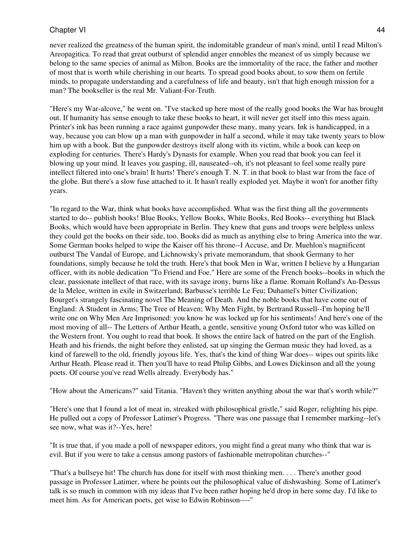never realized the greatness of the human spirit, the indomitable grandeur of man's mind, until I read Milton's Areopagitica. To read that great outburst of splendid anger ennobles the meanest of us simply because we belong to the same species of animal as Milton. Books are the immortality of the race, the father and mother of most that is worth while cherishing in our hearts. To spread good books about, to sow them on fertile minds, to propagate understanding and a carefulness of life and beauty, isn't that high enough mission for a man? The bookseller is the real Mr. Valiant-For-Truth.

"Here's my War-alcove," he went on. "I've stacked up here most of the really good books the War has brought out. If humanity has sense enough to take these books to heart, it will never get itself into this mess again. Printer's ink has been running a race against gunpowder these many, many years. Ink is handicapped, in a way, because you can blow up a man with gunpowder in half a second, while it may take twenty years to blow him up with a book. But the gunpowder destroys itself along with its victim, while a book can keep on exploding for centuries. There's Hardy's Dynasts for example. When you read that book you can feel it blowing up your mind. It leaves you gasping, ill, nauseated--oh, it's not pleasant to feel some really pure intellect filtered into one's brain! It hurts! There's enough T. N. T. in that book to blast war from the face of the globe. But there's a slow fuse attached to it. It hasn't really exploded yet. Maybe it won't for another fifty years.

"In regard to the War, think what books have accomplished. What was the first thing all the governments started to do-- publish books! Blue Books, Yellow Books, White Books, Red Books-- everything but Black Books, which would have been appropriate in Berlin. They knew that guns and troops were helpless unless they could get the books on their side, too. Books did as much as anything else to bring America into the war. Some German books helped to wipe the Kaiser off his throne--I Accuse, and Dr. Muehlon's magnificent outburst The Vandal of Europe, and Lichnowsky's private memorandum, that shook Germany to her foundations, simply because he told the truth. Here's that book Men in War, written I believe by a Hungarian officer, with its noble dedication "To Friend and Foe." Here are some of the French books--books in which the clear, passionate intellect of that race, with its savage irony, burns like a flame. Romain Rolland's Au-Dessus de la Melee, written in exile in Switzerland; Barbusse's terrible Le Feu; Duhamel's bitter Civilization; Bourget's strangely fascinating novel The Meaning of Death. And the noble books that have come out of England: A Student in Arms; The Tree of Heaven; Why Men Fight, by Bertrand Russell--I'm hoping he'll write one on Why Men Are Imprisoned: you know he was locked up for his sentiments! And here's one of the most moving of all-- The Letters of Arthur Heath, a gentle, sensitive young Oxford tutor who was killed on the Western front. You ought to read that book. It shows the entire lack of hatred on the part of the English. Heath and his friends, the night before they enlisted, sat up singing the German music they had loved, as a kind of farewell to the old, friendly joyous life. Yes, that's the kind of thing War does-- wipes out spirits like Arthur Heath. Please read it. Then you'll have to read Philip Gibbs, and Lowes Dickinson and all the young poets. Of course you've read Wells already. Everybody has."

"How about the Americans?" said Titania. "Haven't they written anything about the war that's worth while?"

"Here's one that I found a lot of meat in, streaked with philosophical gristle," said Roger, relighting his pipe. He pulled out a copy of Professor Latimer's Progress. "There was one passage that I remember marking--let's see now, what was it?--Yes, here!

"It is true that, if you made a poll of newspaper editors, you might find a great many who think that war is evil. But if you were to take a census among pastors of fashionable metropolitan churches--"

"That's a bullseye hit! The church has done for itself with most thinking men. . . . There's another good passage in Professor Latimer, where he points out the philosophical value of dishwashing. Some of Latimer's talk is so much in common with my ideas that I've been rather hoping he'd drop in here some day. I'd like to meet him. As for American poets, get wise to Edwin Robinson----"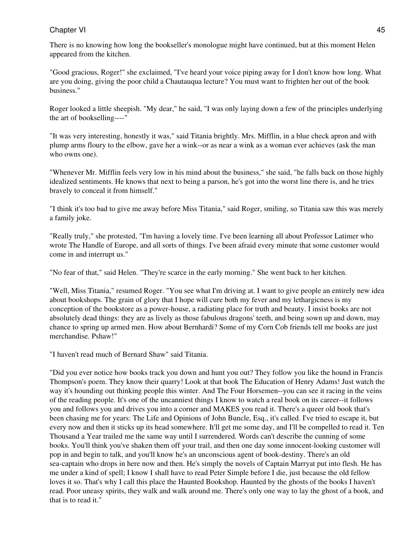There is no knowing how long the bookseller's monologue might have continued, but at this moment Helen appeared from the kitchen.

"Good gracious, Roger!" she exclaimed, "I've heard your voice piping away for I don't know how long. What are you doing, giving the poor child a Chautauqua lecture? You must want to frighten her out of the book business."

Roger looked a little sheepish. "My dear," he said, "I was only laying down a few of the principles underlying the art of bookselling----"

"It was very interesting, honestly it was," said Titania brightly. Mrs. Mifflin, in a blue check apron and with plump arms floury to the elbow, gave her a wink--or as near a wink as a woman ever achieves (ask the man who owns one).

"Whenever Mr. Mifflin feels very low in his mind about the business," she said, "he falls back on those highly idealized sentiments. He knows that next to being a parson, he's got into the worst line there is, and he tries bravely to conceal it from himself."

"I think it's too bad to give me away before Miss Titania," said Roger, smiling, so Titania saw this was merely a family joke.

"Really truly," she protested, "I'm having a lovely time. I've been learning all about Professor Latimer who wrote The Handle of Europe, and all sorts of things. I've been afraid every minute that some customer would come in and interrupt us."

"No fear of that," said Helen. "They're scarce in the early morning." She went back to her kitchen.

"Well, Miss Titania," resumed Roger. "You see what I'm driving at. I want to give people an entirely new idea about bookshops. The grain of glory that I hope will cure both my fever and my lethargicness is my conception of the bookstore as a power-house, a radiating place for truth and beauty. I insist books are not absolutely dead things: they are as lively as those fabulous dragons' teeth, and being sown up and down, may chance to spring up armed men. How about Bernhardi? Some of my Corn Cob friends tell me books are just merchandise. Pshaw!"

"I haven't read much of Bernard Shaw" said Titania.

"Did you ever notice how books track you down and hunt you out? They follow you like the hound in Francis Thompson's poem. They know their quarry! Look at that book The Education of Henry Adams! Just watch the way it's hounding out thinking people this winter. And The Four Horsemen--you can see it racing in the veins of the reading people. It's one of the uncanniest things I know to watch a real book on its career--it follows you and follows you and drives you into a corner and MAKES you read it. There's a queer old book that's been chasing me for years: The Life and Opinions of John Buncle, Esq., it's called. I've tried to escape it, but every now and then it sticks up its head somewhere. It'll get me some day, and I'll be compelled to read it. Ten Thousand a Year trailed me the same way until I surrendered. Words can't describe the cunning of some books. You'll think you've shaken them off your trail, and then one day some innocent-looking customer will pop in and begin to talk, and you'll know he's an unconscious agent of book-destiny. There's an old sea-captain who drops in here now and then. He's simply the novels of Captain Marryat put into flesh. He has me under a kind of spell; I know I shall have to read Peter Simple before I die, just because the old fellow loves it so. That's why I call this place the Haunted Bookshop. Haunted by the ghosts of the books I haven't read. Poor uneasy spirits, they walk and walk around me. There's only one way to lay the ghost of a book, and that is to read it."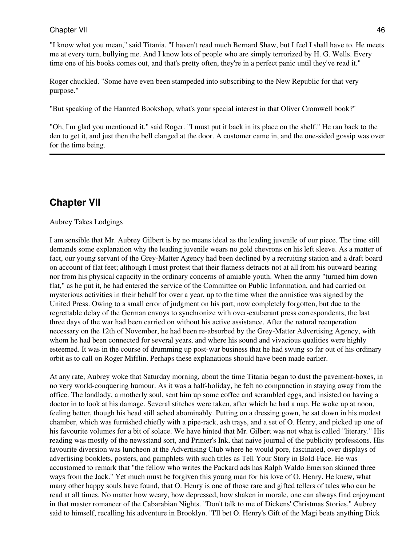"I know what you mean," said Titania. "I haven't read much Bernard Shaw, but I feel I shall have to. He meets me at every turn, bullying me. And I know lots of people who are simply terrorized by H. G. Wells. Every time one of his books comes out, and that's pretty often, they're in a perfect panic until they've read it."

Roger chuckled. "Some have even been stampeded into subscribing to the New Republic for that very purpose."

"But speaking of the Haunted Bookshop, what's your special interest in that Oliver Cromwell book?"

"Oh, I'm glad you mentioned it," said Roger. "I must put it back in its place on the shelf." He ran back to the den to get it, and just then the bell clanged at the door. A customer came in, and the one-sided gossip was over for the time being.

## **Chapter VII**

Aubrey Takes Lodgings

I am sensible that Mr. Aubrey Gilbert is by no means ideal as the leading juvenile of our piece. The time still demands some explanation why the leading juvenile wears no gold chevrons on his left sleeve. As a matter of fact, our young servant of the Grey-Matter Agency had been declined by a recruiting station and a draft board on account of flat feet; although I must protest that their flatness detracts not at all from his outward bearing nor from his physical capacity in the ordinary concerns of amiable youth. When the army "turned him down flat," as he put it, he had entered the service of the Committee on Public Information, and had carried on mysterious activities in their behalf for over a year, up to the time when the armistice was signed by the United Press. Owing to a small error of judgment on his part, now completely forgotten, but due to the regrettable delay of the German envoys to synchronize with over-exuberant press correspondents, the last three days of the war had been carried on without his active assistance. After the natural recuperation necessary on the 12th of November, he had been re-absorbed by the Grey-Matter Advertising Agency, with whom he had been connected for several years, and where his sound and vivacious qualities were highly esteemed. It was in the course of drumming up post-war business that he had swung so far out of his ordinary orbit as to call on Roger Mifflin. Perhaps these explanations should have been made earlier.

At any rate, Aubrey woke that Saturday morning, about the time Titania began to dust the pavement-boxes, in no very world-conquering humour. As it was a half-holiday, he felt no compunction in staying away from the office. The landlady, a motherly soul, sent him up some coffee and scrambled eggs, and insisted on having a doctor in to look at his damage. Several stitches were taken, after which he had a nap. He woke up at noon, feeling better, though his head still ached abominably. Putting on a dressing gown, he sat down in his modest chamber, which was furnished chiefly with a pipe-rack, ash trays, and a set of O. Henry, and picked up one of his favourite volumes for a bit of solace. We have hinted that Mr. Gilbert was not what is called "literary." His reading was mostly of the newsstand sort, and Printer's Ink, that naive journal of the publicity professions. His favourite diversion was luncheon at the Advertising Club where he would pore, fascinated, over displays of advertising booklets, posters, and pamphlets with such titles as Tell Your Story in Bold-Face. He was accustomed to remark that "the fellow who writes the Packard ads has Ralph Waldo Emerson skinned three ways from the Jack." Yet much must be forgiven this young man for his love of O. Henry. He knew, what many other happy souls have found, that O. Henry is one of those rare and gifted tellers of tales who can be read at all times. No matter how weary, how depressed, how shaken in morale, one can always find enjoyment in that master romancer of the Cabarabian Nights. "Don't talk to me of Dickens' Christmas Stories," Aubrey said to himself, recalling his adventure in Brooklyn. "I'll bet O. Henry's Gift of the Magi beats anything Dick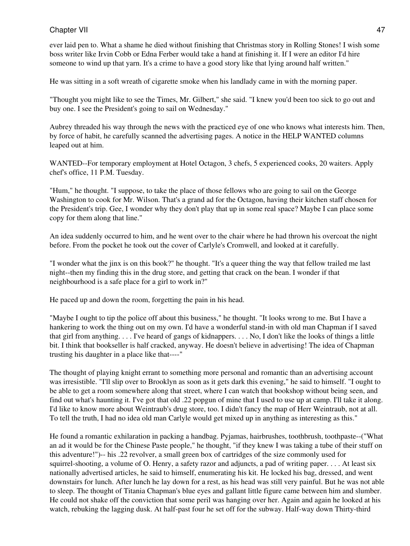ever laid pen to. What a shame he died without finishing that Christmas story in Rolling Stones! I wish some boss writer like Irvin Cobb or Edna Ferber would take a hand at finishing it. If I were an editor I'd hire someone to wind up that yarn. It's a crime to have a good story like that lying around half written."

He was sitting in a soft wreath of cigarette smoke when his landlady came in with the morning paper.

"Thought you might like to see the Times, Mr. Gilbert," she said. "I knew you'd been too sick to go out and buy one. I see the President's going to sail on Wednesday."

Aubrey threaded his way through the news with the practiced eye of one who knows what interests him. Then, by force of habit, he carefully scanned the advertising pages. A notice in the HELP WANTED columns leaped out at him.

WANTED--For temporary employment at Hotel Octagon, 3 chefs, 5 experienced cooks, 20 waiters. Apply chef's office, 11 P.M. Tuesday.

"Hum," he thought. "I suppose, to take the place of those fellows who are going to sail on the George Washington to cook for Mr. Wilson. That's a grand ad for the Octagon, having their kitchen staff chosen for the President's trip. Gee, I wonder why they don't play that up in some real space? Maybe I can place some copy for them along that line."

An idea suddenly occurred to him, and he went over to the chair where he had thrown his overcoat the night before. From the pocket he took out the cover of Carlyle's Cromwell, and looked at it carefully.

"I wonder what the jinx is on this book?" he thought. "It's a queer thing the way that fellow trailed me last night--then my finding this in the drug store, and getting that crack on the bean. I wonder if that neighbourhood is a safe place for a girl to work in?"

He paced up and down the room, forgetting the pain in his head.

"Maybe I ought to tip the police off about this business," he thought. "It looks wrong to me. But I have a hankering to work the thing out on my own. I'd have a wonderful stand-in with old man Chapman if I saved that girl from anything. . . . I've heard of gangs of kidnappers. . . . No, I don't like the looks of things a little bit. I think that bookseller is half cracked, anyway. He doesn't believe in advertising! The idea of Chapman trusting his daughter in a place like that----"

The thought of playing knight errant to something more personal and romantic than an advertising account was irresistible. "I'll slip over to Brooklyn as soon as it gets dark this evening," he said to himself. "I ought to be able to get a room somewhere along that street, where I can watch that bookshop without being seen, and find out what's haunting it. I've got that old .22 popgun of mine that I used to use up at camp. I'll take it along. I'd like to know more about Weintraub's drug store, too. I didn't fancy the map of Herr Weintraub, not at all. To tell the truth, I had no idea old man Carlyle would get mixed up in anything as interesting as this."

He found a romantic exhilaration in packing a handbag. Pyjamas, hairbrushes, toothbrush, toothpaste--("What an ad it would be for the Chinese Paste people," he thought, "if they knew I was taking a tube of their stuff on this adventure!")-- his .22 revolver, a small green box of cartridges of the size commonly used for squirrel-shooting, a volume of O. Henry, a safety razor and adjuncts, a pad of writing paper. . . . At least six nationally advertised articles, he said to himself, enumerating his kit. He locked his bag, dressed, and went downstairs for lunch. After lunch he lay down for a rest, as his head was still very painful. But he was not able to sleep. The thought of Titania Chapman's blue eyes and gallant little figure came between him and slumber. He could not shake off the conviction that some peril was hanging over her. Again and again he looked at his watch, rebuking the lagging dusk. At half-past four he set off for the subway. Half-way down Thirty-third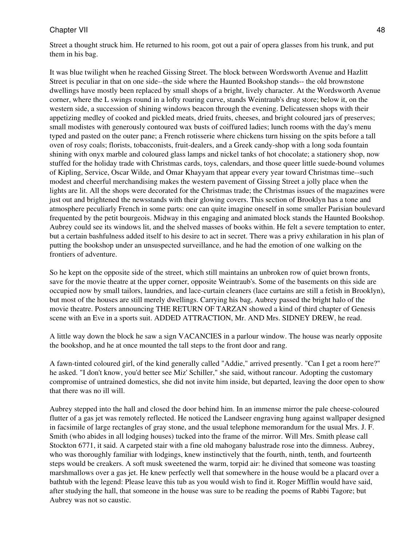Street a thought struck him. He returned to his room, got out a pair of opera glasses from his trunk, and put them in his bag.

It was blue twilight when he reached Gissing Street. The block between Wordsworth Avenue and Hazlitt Street is peculiar in that on one side--the side where the Haunted Bookshop stands-- the old brownstone dwellings have mostly been replaced by small shops of a bright, lively character. At the Wordsworth Avenue corner, where the L swings round in a lofty roaring curve, stands Weintraub's drug store; below it, on the western side, a succession of shining windows beacon through the evening. Delicatessen shops with their appetizing medley of cooked and pickled meats, dried fruits, cheeses, and bright coloured jars of preserves; small modistes with generously contoured wax busts of coiffured ladies; lunch rooms with the day's menu typed and pasted on the outer pane; a French rotisserie where chickens turn hissing on the spits before a tall oven of rosy coals; florists, tobacconists, fruit-dealers, and a Greek candy-shop with a long soda fountain shining with onyx marble and coloured glass lamps and nickel tanks of hot chocolate; a stationery shop, now stuffed for the holiday trade with Christmas cards, toys, calendars, and those queer little suede-bound volumes of Kipling, Service, Oscar Wilde, and Omar Khayyam that appear every year toward Christmas time--such modest and cheerful merchandising makes the western pavement of Gissing Street a jolly place when the lights are lit. All the shops were decorated for the Christmas trade; the Christmas issues of the magazines were just out and brightened the newsstands with their glowing covers. This section of Brooklyn has a tone and atmosphere peculiarly French in some parts: one can quite imagine oneself in some smaller Parisian boulevard frequented by the petit bourgeois. Midway in this engaging and animated block stands the Haunted Bookshop. Aubrey could see its windows lit, and the shelved masses of books within. He felt a severe temptation to enter, but a certain bashfulness added itself to his desire to act in secret. There was a privy exhilaration in his plan of putting the bookshop under an unsuspected surveillance, and he had the emotion of one walking on the frontiers of adventure.

So he kept on the opposite side of the street, which still maintains an unbroken row of quiet brown fronts, save for the movie theatre at the upper corner, opposite Weintraub's. Some of the basements on this side are occupied now by small tailors, laundries, and lace-curtain cleaners (lace curtains are still a fetish in Brooklyn), but most of the houses are still merely dwellings. Carrying his bag, Aubrey passed the bright halo of the movie theatre. Posters announcing THE RETURN OF TARZAN showed a kind of third chapter of Genesis scene with an Eve in a sports suit. ADDED ATTRACTION, Mr. AND Mrs. SIDNEY DREW, he read.

A little way down the block he saw a sign VACANCIES in a parlour window. The house was nearly opposite the bookshop, and he at once mounted the tall steps to the front door and rang.

A fawn-tinted coloured girl, of the kind generally called "Addie," arrived presently. "Can I get a room here?" he asked. "I don't know, you'd better see Miz' Schiller," she said, without rancour. Adopting the customary compromise of untrained domestics, she did not invite him inside, but departed, leaving the door open to show that there was no ill will.

Aubrey stepped into the hall and closed the door behind him. In an immense mirror the pale cheese-coloured flutter of a gas jet was remotely reflected. He noticed the Landseer engraving hung against wallpaper designed in facsimile of large rectangles of gray stone, and the usual telephone memorandum for the usual Mrs. J. F. Smith (who abides in all lodging houses) tucked into the frame of the mirror. Will Mrs. Smith please call Stockton 6771, it said. A carpeted stair with a fine old mahogany balustrade rose into the dimness. Aubrey, who was thoroughly familiar with lodgings, knew instinctively that the fourth, ninth, tenth, and fourteenth steps would be creakers. A soft musk sweetened the warm, torpid air: he divined that someone was toasting marshmallows over a gas jet. He knew perfectly well that somewhere in the house would be a placard over a bathtub with the legend: Please leave this tub as you would wish to find it. Roger Mifflin would have said, after studying the hall, that someone in the house was sure to be reading the poems of Rabbi Tagore; but Aubrey was not so caustic.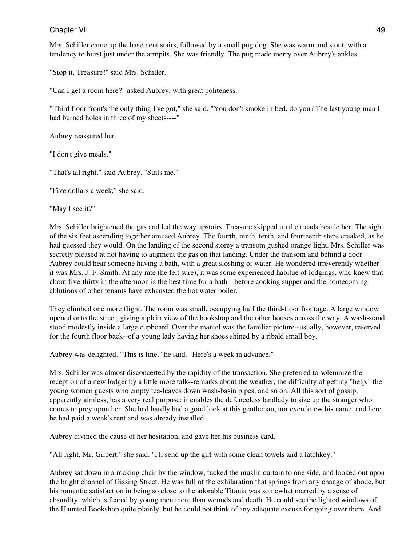Mrs. Schiller came up the basement stairs, followed by a small pug dog. She was warm and stout, with a tendency to burst just under the armpits. She was friendly. The pug made merry over Aubrey's ankles.

"Stop it, Treasure!" said Mrs. Schiller.

"Can I get a room here?" asked Aubrey, with great politeness.

"Third floor front's the only thing I've got," she said. "You don't smoke in bed, do you? The last young man I had burned holes in three of my sheets----"

Aubrey reassured her.

"I don't give meals."

"That's all right," said Aubrey. "Suits me."

"Five dollars a week," she said.

"May I see it?"

Mrs. Schiller brightened the gas and led the way upstairs. Treasure skipped up the treads beside her. The sight of the six feet ascending together amused Aubrey. The fourth, ninth, tenth, and fourteenth steps creaked, as he had guessed they would. On the landing of the second storey a transom gushed orange light. Mrs. Schiller was secretly pleased at not having to augment the gas on that landing. Under the transom and behind a door Aubrey could hear someone having a bath, with a great sloshing of water. He wondered irreverently whether it was Mrs. J. F. Smith. At any rate (he felt sure), it was some experienced habitue of lodgings, who knew that about five-thirty in the afternoon is the best time for a bath-- before cooking supper and the homecoming ablutions of other tenants have exhausted the hot water boiler.

They climbed one more flight. The room was small, occupying half the third-floor frontage. A large window opened onto the street, giving a plain view of the bookshop and the other houses across the way. A wash-stand stood modestly inside a large cupboard. Over the mantel was the familiar picture--usually, however, reserved for the fourth floor back--of a young lady having her shoes shined by a ribald small boy.

Aubrey was delighted. "This is fine," he said. "Here's a week in advance."

Mrs. Schiller was almost disconcerted by the rapidity of the transaction. She preferred to solemnize the reception of a new lodger by a little more talk--remarks about the weather, the difficulty of getting "help," the young women guests who empty tea-leaves down wash-basin pipes, and so on. All this sort of gossip, apparently aimless, has a very real purpose: it enables the defenceless landlady to size up the stranger who comes to prey upon her. She had hardly had a good look at this gentleman, nor even knew his name, and here he had paid a week's rent and was already installed.

Aubrey divined the cause of her hesitation, and gave her his business card.

"All right, Mr. Gilbert," she said. "I'll send up the girl with some clean towels and a latchkey."

Aubrey sat down in a rocking chair by the window, tucked the muslin curtain to one side, and looked out upon the bright channel of Gissing Street. He was full of the exhilaration that springs from any change of abode, but his romantic satisfaction in being so close to the adorable Titania was somewhat marred by a sense of absurdity, which is feared by young men more than wounds and death. He could see the lighted windows of the Haunted Bookshop quite plainly, but he could not think of any adequate excuse for going over there. And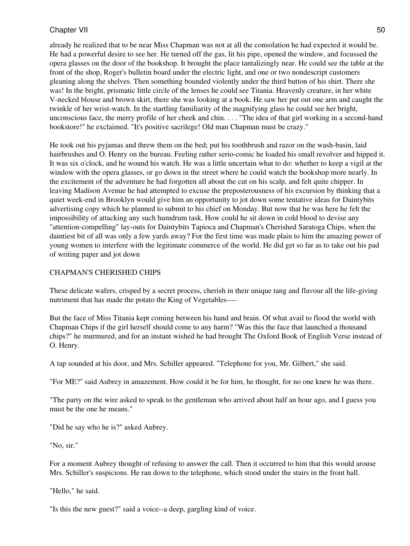already he realized that to be near Miss Chapman was not at all the consolation he had expected it would be. He had a powerful desire to see her. He turned off the gas, lit his pipe, opened the window, and focussed the opera glasses on the door of the bookshop. It brought the place tantalizingly near. He could see the table at the front of the shop, Roger's bulletin board under the electric light, and one or two nondescript customers gleaning along the shelves. Then something bounded violently under the third button of his shirt. There she was! In the bright, prismatic little circle of the lenses he could see Titania. Heavenly creature, in her white V-necked blouse and brown skirt, there she was looking at a book. He saw her put out one arm and caught the twinkle of her wrist-watch. In the startling familiarity of the magnifying glass he could see her bright, unconscious face, the merry profile of her cheek and chin. . . . "The idea of that girl working in a second-hand bookstore!" he exclaimed. "It's positive sacrilege! Old man Chapman must be crazy."

He took out his pyjamas and threw them on the bed; put his toothbrush and razor on the wash-basin, laid hairbrushes and O. Henry on the bureau. Feeling rather serio-comic he loaded his small revolver and hipped it. It was six o'clock, and he wound his watch. He was a little uncertain what to do: whether to keep a vigil at the window with the opera glasses, or go down in the street where he could watch the bookshop more nearly. In the excitement of the adventure he had forgotten all about the cut on his scalp, and felt quite chipper. In leaving Madison Avenue he had attempted to excuse the preposterousness of his excursion by thinking that a quiet week-end in Brooklyn would give him an opportunity to jot down some tentative ideas for Daintybits advertising copy which he planned to submit to his chief on Monday. But now that he was here he felt the impossibility of attacking any such humdrum task. How could he sit down in cold blood to devise any "attention-compelling" lay-outs for Daintybits Tapioca and Chapman's Cherished Saratoga Chips, when the daintiest bit of all was only a few yards away? For the first time was made plain to him the amazing power of young women to interfere with the legitimate commerce of the world. He did get so far as to take out his pad of writing paper and jot down

### CHAPMAN'S CHERISHED CHIPS

These delicate wafers, crisped by a secret process, cherish in their unique tang and flavour all the life-giving nutriment that has made the potato the King of Vegetables----

But the face of Miss Titania kept coming between his hand and brain. Of what avail to flood the world with Chapman Chips if the girl herself should come to any harm? "Was this the face that launched a thousand chips?" he murmured, and for an instant wished he had brought The Oxford Book of English Verse instead of O. Henry.

A tap sounded at his door, and Mrs. Schiller appeared. "Telephone for you, Mr. Gilbert," she said.

"For ME?" said Aubrey in amazement. How could it be for him, he thought, for no one knew he was there.

"The party on the wire asked to speak to the gentleman who arrived about half an hour ago, and I guess you must be the one he means."

"Did he say who he is?" asked Aubrey.

"No, sir."

For a moment Aubrey thought of refusing to answer the call. Then it occurred to him that this would arouse Mrs. Schiller's suspicions. He ran down to the telephone, which stood under the stairs in the front hall.

"Hello," he said.

"Is this the new guest?" said a voice--a deep, gargling kind of voice.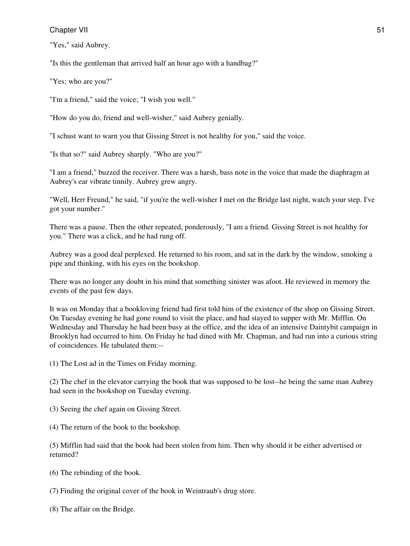"Yes," said Aubrey.

"Is this the gentleman that arrived half an hour ago with a handbag?"

"Yes; who are you?"

"I'm a friend," said the voice; "I wish you well."

"How do you do, friend and well-wisher," said Aubrey genially.

"I schust want to warn you that Gissing Street is not healthy for you," said the voice.

"Is that so?" said Aubrey sharply. "Who are you?"

"I am a friend," buzzed the receiver. There was a harsh, bass note in the voice that made the diaphragm at Aubrey's ear vibrate tinnily. Aubrey grew angry.

"Well, Herr Freund," he said, "if you're the well-wisher I met on the Bridge last night, watch your step. I've got your number."

There was a pause. Then the other repeated, ponderously, "I am a friend. Gissing Street is not healthy for you." There was a click, and he had rung off.

Aubrey was a good deal perplexed. He returned to his room, and sat in the dark by the window, smoking a pipe and thinking, with his eyes on the bookshop.

There was no longer any doubt in his mind that something sinister was afoot. He reviewed in memory the events of the past few days.

It was on Monday that a bookloving friend had first told him of the existence of the shop on Gissing Street. On Tuesday evening he had gone round to visit the place, and had stayed to supper with Mr. Mifflin. On Wednesday and Thursday he had been busy at the office, and the idea of an intensive Daintybit campaign in Brooklyn had occurred to him. On Friday he had dined with Mr. Chapman, and had run into a curious string of coincidences. He tabulated them:--

(1) The Lost ad in the Times on Friday morning.

(2) The chef in the elevator carrying the book that was supposed to be lost--he being the same man Aubrey had seen in the bookshop on Tuesday evening.

(3) Seeing the chef again on Gissing Street.

(4) The return of the book to the bookshop.

(5) Mifflin had said that the book had been stolen from him. Then why should it be either advertised or returned?

- (6) The rebinding of the book.
- (7) Finding the original cover of the book in Weintraub's drug store.
- (8) The affair on the Bridge.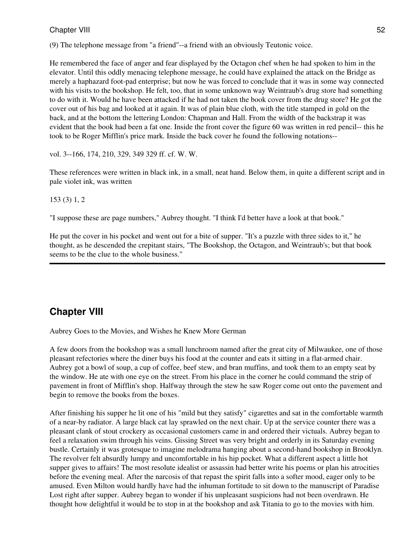(9) The telephone message from "a friend"--a friend with an obviously Teutonic voice.

He remembered the face of anger and fear displayed by the Octagon chef when he had spoken to him in the elevator. Until this oddly menacing telephone message, he could have explained the attack on the Bridge as merely a haphazard foot-pad enterprise; but now he was forced to conclude that it was in some way connected with his visits to the bookshop. He felt, too, that in some unknown way Weintraub's drug store had something to do with it. Would he have been attacked if he had not taken the book cover from the drug store? He got the cover out of his bag and looked at it again. It was of plain blue cloth, with the title stamped in gold on the back, and at the bottom the lettering London: Chapman and Hall. From the width of the backstrap it was evident that the book had been a fat one. Inside the front cover the figure 60 was written in red pencil-- this he took to be Roger Mifflin's price mark. Inside the back cover he found the following notations--

vol. 3--166, 174, 210, 329, 349 329 ff. cf. W. W.

These references were written in black ink, in a small, neat hand. Below them, in quite a different script and in pale violet ink, was written

153 (3) 1, 2

"I suppose these are page numbers," Aubrey thought. "I think I'd better have a look at that book."

He put the cover in his pocket and went out for a bite of supper. "It's a puzzle with three sides to it," he thought, as he descended the crepitant stairs, "The Bookshop, the Octagon, and Weintraub's; but that book seems to be the clue to the whole business."

### **Chapter VIII**

Aubrey Goes to the Movies, and Wishes he Knew More German

A few doors from the bookshop was a small lunchroom named after the great city of Milwaukee, one of those pleasant refectories where the diner buys his food at the counter and eats it sitting in a flat-armed chair. Aubrey got a bowl of soup, a cup of coffee, beef stew, and bran muffins, and took them to an empty seat by the window. He ate with one eye on the street. From his place in the corner he could command the strip of pavement in front of Mifflin's shop. Halfway through the stew he saw Roger come out onto the pavement and begin to remove the books from the boxes.

After finishing his supper he lit one of his "mild but they satisfy" cigarettes and sat in the comfortable warmth of a near-by radiator. A large black cat lay sprawled on the next chair. Up at the service counter there was a pleasant clank of stout crockery as occasional customers came in and ordered their victuals. Aubrey began to feel a relaxation swim through his veins. Gissing Street was very bright and orderly in its Saturday evening bustle. Certainly it was grotesque to imagine melodrama hanging about a second-hand bookshop in Brooklyn. The revolver felt absurdly lumpy and uncomfortable in his hip pocket. What a different aspect a little hot supper gives to affairs! The most resolute idealist or assassin had better write his poems or plan his atrocities before the evening meal. After the narcosis of that repast the spirit falls into a softer mood, eager only to be amused. Even Milton would hardly have had the inhuman fortitude to sit down to the manuscript of Paradise Lost right after supper. Aubrey began to wonder if his unpleasant suspicions had not been overdrawn. He thought how delightful it would be to stop in at the bookshop and ask Titania to go to the movies with him.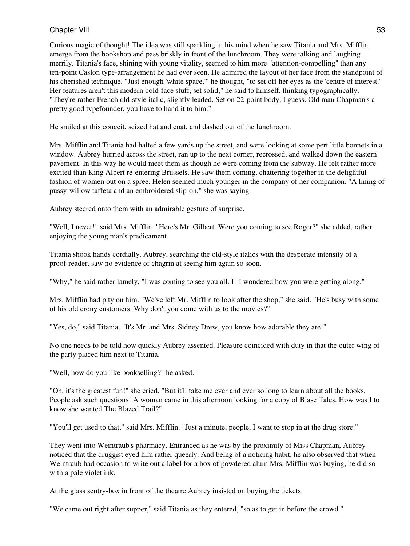Curious magic of thought! The idea was still sparkling in his mind when he saw Titania and Mrs. Mifflin emerge from the bookshop and pass briskly in front of the lunchroom. They were talking and laughing merrily. Titania's face, shining with young vitality, seemed to him more "attention-compelling" than any ten-point Caslon type-arrangement he had ever seen. He admired the layout of her face from the standpoint of his cherished technique. "Just enough 'white space,'" he thought, "to set off her eyes as the 'centre of interest.' Her features aren't this modern bold-face stuff, set solid," he said to himself, thinking typographically. "They're rather French old-style italic, slightly leaded. Set on 22-point body, I guess. Old man Chapman's a pretty good typefounder, you have to hand it to him."

He smiled at this conceit, seized hat and coat, and dashed out of the lunchroom.

Mrs. Mifflin and Titania had halted a few yards up the street, and were looking at some pert little bonnets in a window. Aubrey hurried across the street, ran up to the next corner, recrossed, and walked down the eastern pavement. In this way he would meet them as though he were coming from the subway. He felt rather more excited than King Albert re-entering Brussels. He saw them coming, chattering together in the delightful fashion of women out on a spree. Helen seemed much younger in the company of her companion. "A lining of pussy-willow taffeta and an embroidered slip-on," she was saying.

Aubrey steered onto them with an admirable gesture of surprise.

"Well, I never!" said Mrs. Mifflin. "Here's Mr. Gilbert. Were you coming to see Roger?" she added, rather enjoying the young man's predicament.

Titania shook hands cordially. Aubrey, searching the old-style italics with the desperate intensity of a proof-reader, saw no evidence of chagrin at seeing him again so soon.

"Why," he said rather lamely, "I was coming to see you all. I--I wondered how you were getting along."

Mrs. Mifflin had pity on him. "We've left Mr. Mifflin to look after the shop," she said. "He's busy with some of his old crony customers. Why don't you come with us to the movies?"

"Yes, do," said Titania. "It's Mr. and Mrs. Sidney Drew, you know how adorable they are!"

No one needs to be told how quickly Aubrey assented. Pleasure coincided with duty in that the outer wing of the party placed him next to Titania.

"Well, how do you like bookselling?" he asked.

"Oh, it's the greatest fun!" she cried. "But it'll take me ever and ever so long to learn about all the books. People ask such questions! A woman came in this afternoon looking for a copy of Blase Tales. How was I to know she wanted The Blazed Trail?"

"You'll get used to that," said Mrs. Mifflin. "Just a minute, people, I want to stop in at the drug store."

They went into Weintraub's pharmacy. Entranced as he was by the proximity of Miss Chapman, Aubrey noticed that the druggist eyed him rather queerly. And being of a noticing habit, he also observed that when Weintraub had occasion to write out a label for a box of powdered alum Mrs. Mifflin was buying, he did so with a pale violet ink.

At the glass sentry-box in front of the theatre Aubrey insisted on buying the tickets.

"We came out right after supper," said Titania as they entered, "so as to get in before the crowd."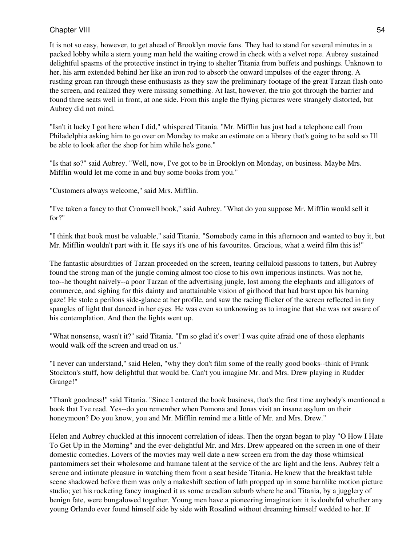It is not so easy, however, to get ahead of Brooklyn movie fans. They had to stand for several minutes in a packed lobby while a stern young man held the waiting crowd in check with a velvet rope. Aubrey sustained delightful spasms of the protective instinct in trying to shelter Titania from buffets and pushings. Unknown to her, his arm extended behind her like an iron rod to absorb the onward impulses of the eager throng. A rustling groan ran through these enthusiasts as they saw the preliminary footage of the great Tarzan flash onto the screen, and realized they were missing something. At last, however, the trio got through the barrier and found three seats well in front, at one side. From this angle the flying pictures were strangely distorted, but Aubrey did not mind.

"Isn't it lucky I got here when I did," whispered Titania. "Mr. Mifflin has just had a telephone call from Philadelphia asking him to go over on Monday to make an estimate on a library that's going to be sold so I'll be able to look after the shop for him while he's gone."

"Is that so?" said Aubrey. "Well, now, I've got to be in Brooklyn on Monday, on business. Maybe Mrs. Mifflin would let me come in and buy some books from you."

"Customers always welcome," said Mrs. Mifflin.

"I've taken a fancy to that Cromwell book," said Aubrey. "What do you suppose Mr. Mifflin would sell it for?"

"I think that book must be valuable," said Titania. "Somebody came in this afternoon and wanted to buy it, but Mr. Mifflin wouldn't part with it. He says it's one of his favourites. Gracious, what a weird film this is!"

The fantastic absurdities of Tarzan proceeded on the screen, tearing celluloid passions to tatters, but Aubrey found the strong man of the jungle coming almost too close to his own imperious instincts. Was not he, too--he thought naively--a poor Tarzan of the advertising jungle, lost among the elephants and alligators of commerce, and sighing for this dainty and unattainable vision of girlhood that had burst upon his burning gaze! He stole a perilous side-glance at her profile, and saw the racing flicker of the screen reflected in tiny spangles of light that danced in her eyes. He was even so unknowing as to imagine that she was not aware of his contemplation. And then the lights went up.

"What nonsense, wasn't it?" said Titania. "I'm so glad it's over! I was quite afraid one of those elephants would walk off the screen and tread on us."

"I never can understand," said Helen, "why they don't film some of the really good books--think of Frank Stockton's stuff, how delightful that would be. Can't you imagine Mr. and Mrs. Drew playing in Rudder Grange!"

"Thank goodness!" said Titania. "Since I entered the book business, that's the first time anybody's mentioned a book that I've read. Yes--do you remember when Pomona and Jonas visit an insane asylum on their honeymoon? Do you know, you and Mr. Mifflin remind me a little of Mr. and Mrs. Drew."

Helen and Aubrey chuckled at this innocent correlation of ideas. Then the organ began to play "O How I Hate To Get Up in the Morning" and the ever-delightful Mr. and Mrs. Drew appeared on the screen in one of their domestic comedies. Lovers of the movies may well date a new screen era from the day those whimsical pantomimers set their wholesome and humane talent at the service of the arc light and the lens. Aubrey felt a serene and intimate pleasure in watching them from a seat beside Titania. He knew that the breakfast table scene shadowed before them was only a makeshift section of lath propped up in some barnlike motion picture studio; yet his rocketing fancy imagined it as some arcadian suburb where he and Titania, by a jugglery of benign fate, were bungalowed together. Young men have a pioneering imagination: it is doubtful whether any young Orlando ever found himself side by side with Rosalind without dreaming himself wedded to her. If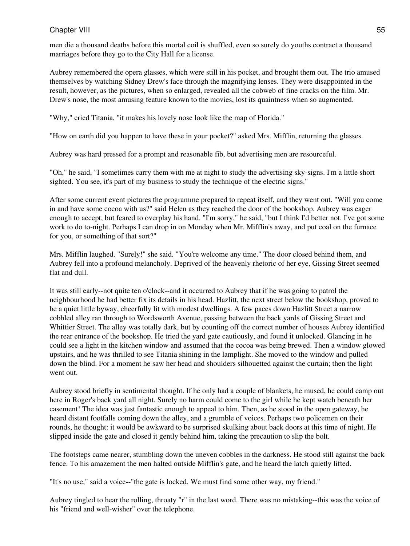men die a thousand deaths before this mortal coil is shuffled, even so surely do youths contract a thousand marriages before they go to the City Hall for a license.

Aubrey remembered the opera glasses, which were still in his pocket, and brought them out. The trio amused themselves by watching Sidney Drew's face through the magnifying lenses. They were disappointed in the result, however, as the pictures, when so enlarged, revealed all the cobweb of fine cracks on the film. Mr. Drew's nose, the most amusing feature known to the movies, lost its quaintness when so augmented.

"Why," cried Titania, "it makes his lovely nose look like the map of Florida."

"How on earth did you happen to have these in your pocket?" asked Mrs. Mifflin, returning the glasses.

Aubrey was hard pressed for a prompt and reasonable fib, but advertising men are resourceful.

"Oh," he said, "I sometimes carry them with me at night to study the advertising sky-signs. I'm a little short sighted. You see, it's part of my business to study the technique of the electric signs."

After some current event pictures the programme prepared to repeat itself, and they went out. "Will you come in and have some cocoa with us?" said Helen as they reached the door of the bookshop. Aubrey was eager enough to accept, but feared to overplay his hand. "I'm sorry," he said, "but I think I'd better not. I've got some work to do to-night. Perhaps I can drop in on Monday when Mr. Mifflin's away, and put coal on the furnace for you, or something of that sort?"

Mrs. Mifflin laughed. "Surely!" she said. "You're welcome any time." The door closed behind them, and Aubrey fell into a profound melancholy. Deprived of the heavenly rhetoric of her eye, Gissing Street seemed flat and dull.

It was still early--not quite ten o'clock--and it occurred to Aubrey that if he was going to patrol the neighbourhood he had better fix its details in his head. Hazlitt, the next street below the bookshop, proved to be a quiet little byway, cheerfully lit with modest dwellings. A few paces down Hazlitt Street a narrow cobbled alley ran through to Wordsworth Avenue, passing between the back yards of Gissing Street and Whittier Street. The alley was totally dark, but by counting off the correct number of houses Aubrey identified the rear entrance of the bookshop. He tried the yard gate cautiously, and found it unlocked. Glancing in he could see a light in the kitchen window and assumed that the cocoa was being brewed. Then a window glowed upstairs, and he was thrilled to see Titania shining in the lamplight. She moved to the window and pulled down the blind. For a moment he saw her head and shoulders silhouetted against the curtain; then the light went out.

Aubrey stood briefly in sentimental thought. If he only had a couple of blankets, he mused, he could camp out here in Roger's back yard all night. Surely no harm could come to the girl while he kept watch beneath her casement! The idea was just fantastic enough to appeal to him. Then, as he stood in the open gateway, he heard distant footfalls coming down the alley, and a grumble of voices. Perhaps two policemen on their rounds, he thought: it would be awkward to be surprised skulking about back doors at this time of night. He slipped inside the gate and closed it gently behind him, taking the precaution to slip the bolt.

The footsteps came nearer, stumbling down the uneven cobbles in the darkness. He stood still against the back fence. To his amazement the men halted outside Mifflin's gate, and he heard the latch quietly lifted.

"It's no use," said a voice--"the gate is locked. We must find some other way, my friend."

Aubrey tingled to hear the rolling, throaty "r" in the last word. There was no mistaking--this was the voice of his "friend and well-wisher" over the telephone.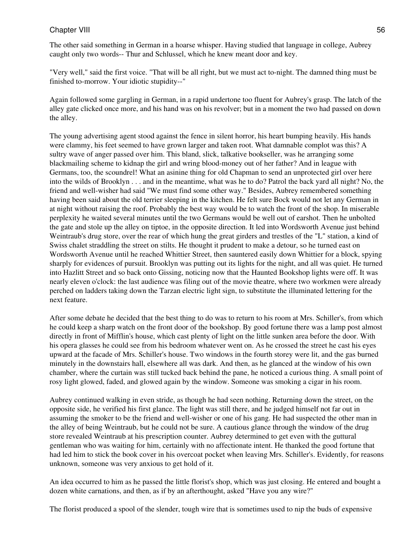The other said something in German in a hoarse whisper. Having studied that language in college, Aubrey caught only two words-- Thur and Schlussel, which he knew meant door and key.

"Very well," said the first voice. "That will be all right, but we must act to-night. The damned thing must be finished to-morrow. Your idiotic stupidity--"

Again followed some gargling in German, in a rapid undertone too fluent for Aubrey's grasp. The latch of the alley gate clicked once more, and his hand was on his revolver; but in a moment the two had passed on down the alley.

The young advertising agent stood against the fence in silent horror, his heart bumping heavily. His hands were clammy, his feet seemed to have grown larger and taken root. What damnable complot was this? A sultry wave of anger passed over him. This bland, slick, talkative bookseller, was he arranging some blackmailing scheme to kidnap the girl and wring blood-money out of her father? And in league with Germans, too, the scoundrel! What an asinine thing for old Chapman to send an unprotected girl over here into the wilds of Brooklyn . . . and in the meantime, what was he to do? Patrol the back yard all night? No, the friend and well-wisher had said "We must find some other way." Besides, Aubrey remembered something having been said about the old terrier sleeping in the kitchen. He felt sure Bock would not let any German in at night without raising the roof. Probably the best way would be to watch the front of the shop. In miserable perplexity he waited several minutes until the two Germans would be well out of earshot. Then he unbolted the gate and stole up the alley on tiptoe, in the opposite direction. It led into Wordsworth Avenue just behind Weintraub's drug store, over the rear of which hung the great girders and trestles of the "L" station, a kind of Swiss chalet straddling the street on stilts. He thought it prudent to make a detour, so he turned east on Wordsworth Avenue until he reached Whittier Street, then sauntered easily down Whittier for a block, spying sharply for evidences of pursuit. Brooklyn was putting out its lights for the night, and all was quiet. He turned into Hazlitt Street and so back onto Gissing, noticing now that the Haunted Bookshop lights were off. It was nearly eleven o'clock: the last audience was filing out of the movie theatre, where two workmen were already perched on ladders taking down the Tarzan electric light sign, to substitute the illuminated lettering for the next feature.

After some debate he decided that the best thing to do was to return to his room at Mrs. Schiller's, from which he could keep a sharp watch on the front door of the bookshop. By good fortune there was a lamp post almost directly in front of Mifflin's house, which cast plenty of light on the little sunken area before the door. With his opera glasses he could see from his bedroom whatever went on. As he crossed the street he cast his eyes upward at the facade of Mrs. Schiller's house. Two windows in the fourth storey were lit, and the gas burned minutely in the downstairs hall, elsewhere all was dark. And then, as he glanced at the window of his own chamber, where the curtain was still tucked back behind the pane, he noticed a curious thing. A small point of rosy light glowed, faded, and glowed again by the window. Someone was smoking a cigar in his room.

Aubrey continued walking in even stride, as though he had seen nothing. Returning down the street, on the opposite side, he verified his first glance. The light was still there, and he judged himself not far out in assuming the smoker to be the friend and well-wisher or one of his gang. He had suspected the other man in the alley of being Weintraub, but he could not be sure. A cautious glance through the window of the drug store revealed Weintraub at his prescription counter. Aubrey determined to get even with the guttural gentleman who was waiting for him, certainly with no affectionate intent. He thanked the good fortune that had led him to stick the book cover in his overcoat pocket when leaving Mrs. Schiller's. Evidently, for reasons unknown, someone was very anxious to get hold of it.

An idea occurred to him as he passed the little florist's shop, which was just closing. He entered and bought a dozen white carnations, and then, as if by an afterthought, asked "Have you any wire?"

The florist produced a spool of the slender, tough wire that is sometimes used to nip the buds of expensive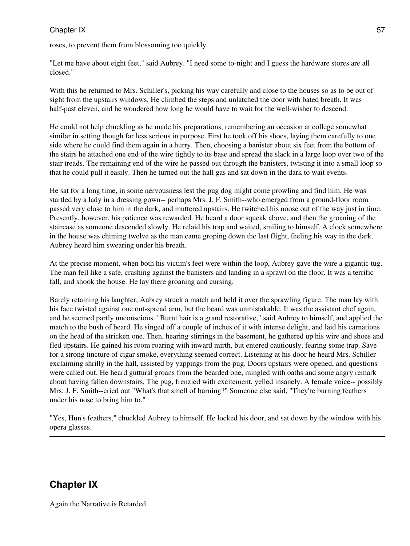roses, to prevent them from blossoming too quickly.

"Let me have about eight feet," said Aubrey. "I need some to-night and I guess the hardware stores are all closed."

With this he returned to Mrs. Schiller's, picking his way carefully and close to the houses so as to be out of sight from the upstairs windows. He climbed the steps and unlatched the door with bated breath. It was half-past eleven, and he wondered how long he would have to wait for the well-wisher to descend.

He could not help chuckling as he made his preparations, remembering an occasion at college somewhat similar in setting though far less serious in purpose. First he took off his shoes, laying them carefully to one side where he could find them again in a hurry. Then, choosing a banister about six feet from the bottom of the stairs he attached one end of the wire tightly to its base and spread the slack in a large loop over two of the stair treads. The remaining end of the wire he passed out through the banisters, twisting it into a small loop so that he could pull it easily. Then he turned out the hall gas and sat down in the dark to wait events.

He sat for a long time, in some nervousness lest the pug dog might come prowling and find him. He was startled by a lady in a dressing gown-- perhaps Mrs. J. F. Smith--who emerged from a ground-floor room passed very close to him in the dark, and muttered upstairs. He twitched his noose out of the way just in time. Presently, however, his patience was rewarded. He heard a door squeak above, and then the groaning of the staircase as someone descended slowly. He relaid his trap and waited, smiling to himself. A clock somewhere in the house was chiming twelve as the man came groping down the last flight, feeling his way in the dark. Aubrey heard him swearing under his breath.

At the precise moment, when both his victim's feet were within the loop, Aubrey gave the wire a gigantic tug. The man fell like a safe, crashing against the banisters and landing in a sprawl on the floor. It was a terrific fall, and shook the house. He lay there groaning and cursing.

Barely retaining his laughter, Aubrey struck a match and held it over the sprawling figure. The man lay with his face twisted against one out-spread arm, but the beard was unmistakable. It was the assistant chef again, and he seemed partly unconscious. "Burnt hair is a grand restorative," said Aubrey to himself, and applied the match to the bush of beard. He singed off a couple of inches of it with intense delight, and laid his carnations on the head of the stricken one. Then, hearing stirrings in the basement, he gathered up his wire and shoes and fled upstairs. He gained his room roaring with inward mirth, but entered cautiously, fearing some trap. Save for a strong tincture of cigar smoke, everything seemed correct. Listening at his door he heard Mrs. Schiller exclaiming shrilly in the hall, assisted by yappings from the pug. Doors upstairs were opened, and questions were called out. He heard guttural groans from the bearded one, mingled with oaths and some angry remark about having fallen downstairs. The pug, frenzied with excitement, yelled insanely. A female voice-- possibly Mrs. J. F. Smith--cried out "What's that smell of burning?" Someone else said, "They're burning feathers under his nose to bring him to."

"Yes, Hun's feathers," chuckled Aubrey to himself. He locked his door, and sat down by the window with his opera glasses.

# **Chapter IX**

Again the Narrative is Retarded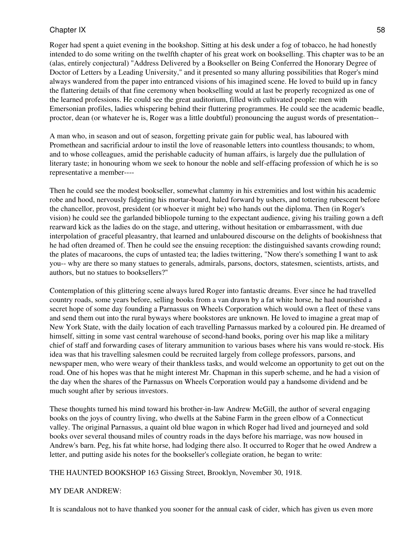Roger had spent a quiet evening in the bookshop. Sitting at his desk under a fog of tobacco, he had honestly intended to do some writing on the twelfth chapter of his great work on bookselling. This chapter was to be an (alas, entirely conjectural) "Address Delivered by a Bookseller on Being Conferred the Honorary Degree of Doctor of Letters by a Leading University," and it presented so many alluring possibilities that Roger's mind always wandered from the paper into entranced visions of his imagined scene. He loved to build up in fancy the flattering details of that fine ceremony when bookselling would at last be properly recognized as one of the learned professions. He could see the great auditorium, filled with cultivated people: men with Emersonian profiles, ladies whispering behind their fluttering programmes. He could see the academic beadle, proctor, dean (or whatever he is, Roger was a little doubtful) pronouncing the august words of presentation--

A man who, in season and out of season, forgetting private gain for public weal, has laboured with Promethean and sacrificial ardour to instil the love of reasonable letters into countless thousands; to whom, and to whose colleagues, amid the perishable caducity of human affairs, is largely due the pullulation of literary taste; in honouring whom we seek to honour the noble and self-effacing profession of which he is so representative a member----

Then he could see the modest bookseller, somewhat clammy in his extremities and lost within his academic robe and hood, nervously fidgeting his mortar-board, haled forward by ushers, and tottering rubescent before the chancellor, provost, president (or whoever it might be) who hands out the diploma. Then (in Roger's vision) he could see the garlanded bibliopole turning to the expectant audience, giving his trailing gown a deft rearward kick as the ladies do on the stage, and uttering, without hesitation or embarrassment, with due interpolation of graceful pleasantry, that learned and unlaboured discourse on the delights of bookishness that he had often dreamed of. Then he could see the ensuing reception: the distinguished savants crowding round; the plates of macaroons, the cups of untasted tea; the ladies twittering, "Now there's something I want to ask you-- why are there so many statues to generals, admirals, parsons, doctors, statesmen, scientists, artists, and authors, but no statues to booksellers?"

Contemplation of this glittering scene always lured Roger into fantastic dreams. Ever since he had travelled country roads, some years before, selling books from a van drawn by a fat white horse, he had nourished a secret hope of some day founding a Parnassus on Wheels Corporation which would own a fleet of these vans and send them out into the rural byways where bookstores are unknown. He loved to imagine a great map of New York State, with the daily location of each travelling Parnassus marked by a coloured pin. He dreamed of himself, sitting in some vast central warehouse of second-hand books, poring over his map like a military chief of staff and forwarding cases of literary ammunition to various bases where his vans would re-stock. His idea was that his travelling salesmen could be recruited largely from college professors, parsons, and newspaper men, who were weary of their thankless tasks, and would welcome an opportunity to get out on the road. One of his hopes was that he might interest Mr. Chapman in this superb scheme, and he had a vision of the day when the shares of the Parnassus on Wheels Corporation would pay a handsome dividend and be much sought after by serious investors.

These thoughts turned his mind toward his brother-in-law Andrew McGill, the author of several engaging books on the joys of country living, who dwells at the Sabine Farm in the green elbow of a Connecticut valley. The original Parnassus, a quaint old blue wagon in which Roger had lived and journeyed and sold books over several thousand miles of country roads in the days before his marriage, was now housed in Andrew's barn. Peg, his fat white horse, had lodging there also. It occurred to Roger that he owed Andrew a letter, and putting aside his notes for the bookseller's collegiate oration, he began to write:

THE HAUNTED BOOKSHOP 163 Gissing Street, Brooklyn, November 30, 1918.

### MY DEAR ANDREW:

It is scandalous not to have thanked you sooner for the annual cask of cider, which has given us even more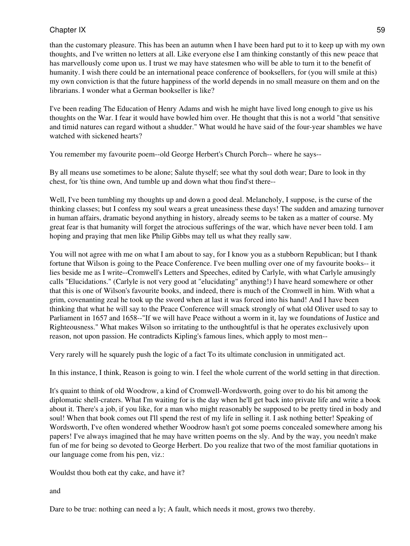than the customary pleasure. This has been an autumn when I have been hard put to it to keep up with my own thoughts, and I've written no letters at all. Like everyone else I am thinking constantly of this new peace that has marvellously come upon us. I trust we may have statesmen who will be able to turn it to the benefit of humanity. I wish there could be an international peace conference of booksellers, for (you will smile at this) my own conviction is that the future happiness of the world depends in no small measure on them and on the librarians. I wonder what a German bookseller is like?

I've been reading The Education of Henry Adams and wish he might have lived long enough to give us his thoughts on the War. I fear it would have bowled him over. He thought that this is not a world "that sensitive and timid natures can regard without a shudder." What would he have said of the four-year shambles we have watched with sickened hearts?

You remember my favourite poem--old George Herbert's Church Porch-- where he says--

By all means use sometimes to be alone; Salute thyself; see what thy soul doth wear; Dare to look in thy chest, for 'tis thine own, And tumble up and down what thou find'st there--

Well, I've been tumbling my thoughts up and down a good deal. Melancholy, I suppose, is the curse of the thinking classes; but I confess my soul wears a great uneasiness these days! The sudden and amazing turnover in human affairs, dramatic beyond anything in history, already seems to be taken as a matter of course. My great fear is that humanity will forget the atrocious sufferings of the war, which have never been told. I am hoping and praying that men like Philip Gibbs may tell us what they really saw.

You will not agree with me on what I am about to say, for I know you as a stubborn Republican; but I thank fortune that Wilson is going to the Peace Conference. I've been mulling over one of my favourite books-- it lies beside me as I write--Cromwell's Letters and Speeches, edited by Carlyle, with what Carlyle amusingly calls "Elucidations." (Carlyle is not very good at "elucidating" anything!) I have heard somewhere or other that this is one of Wilson's favourite books, and indeed, there is much of the Cromwell in him. With what a grim, covenanting zeal he took up the sword when at last it was forced into his hand! And I have been thinking that what he will say to the Peace Conference will smack strongly of what old Oliver used to say to Parliament in 1657 and 1658--"If we will have Peace without a worm in it, lay we foundations of Justice and Righteousness." What makes Wilson so irritating to the unthoughtful is that he operates exclusively upon reason, not upon passion. He contradicts Kipling's famous lines, which apply to most men--

Very rarely will he squarely push the logic of a fact To its ultimate conclusion in unmitigated act.

In this instance, I think, Reason is going to win. I feel the whole current of the world setting in that direction.

It's quaint to think of old Woodrow, a kind of Cromwell-Wordsworth, going over to do his bit among the diplomatic shell-craters. What I'm waiting for is the day when he'll get back into private life and write a book about it. There's a job, if you like, for a man who might reasonably be supposed to be pretty tired in body and soul! When that book comes out I'll spend the rest of my life in selling it. I ask nothing better! Speaking of Wordsworth, I've often wondered whether Woodrow hasn't got some poems concealed somewhere among his papers! I've always imagined that he may have written poems on the sly. And by the way, you needn't make fun of me for being so devoted to George Herbert. Do you realize that two of the most familiar quotations in our language come from his pen, viz.:

Wouldst thou both eat thy cake, and have it?

and

Dare to be true: nothing can need a ly; A fault, which needs it most, grows two thereby.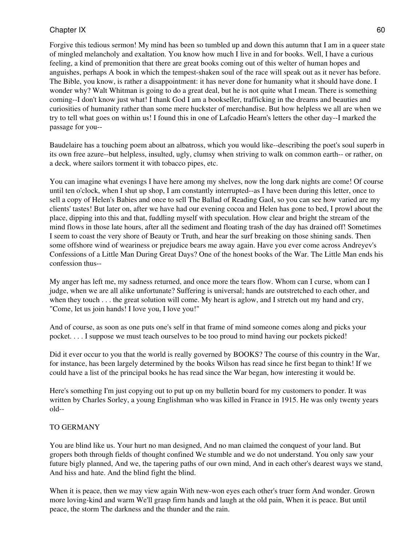Forgive this tedious sermon! My mind has been so tumbled up and down this autumn that I am in a queer state of mingled melancholy and exaltation. You know how much I live in and for books. Well, I have a curious feeling, a kind of premonition that there are great books coming out of this welter of human hopes and anguishes, perhaps A book in which the tempest-shaken soul of the race will speak out as it never has before. The Bible, you know, is rather a disappointment: it has never done for humanity what it should have done. I wonder why? Walt Whitman is going to do a great deal, but he is not quite what I mean. There is something coming--I don't know just what! I thank God I am a bookseller, trafficking in the dreams and beauties and curiosities of humanity rather than some mere huckster of merchandise. But how helpless we all are when we try to tell what goes on within us! I found this in one of Lafcadio Hearn's letters the other day--I marked the passage for you--

Baudelaire has a touching poem about an albatross, which you would like--describing the poet's soul superb in its own free azure--but helpless, insulted, ugly, clumsy when striving to walk on common earth-- or rather, on a deck, where sailors torment it with tobacco pipes, etc.

You can imagine what evenings I have here among my shelves, now the long dark nights are come! Of course until ten o'clock, when I shut up shop, I am constantly interrupted--as I have been during this letter, once to sell a copy of Helen's Babies and once to sell The Ballad of Reading Gaol, so you can see how varied are my clients' tastes! But later on, after we have had our evening cocoa and Helen has gone to bed, I prowl about the place, dipping into this and that, fuddling myself with speculation. How clear and bright the stream of the mind flows in those late hours, after all the sediment and floating trash of the day has drained off! Sometimes I seem to coast the very shore of Beauty or Truth, and hear the surf breaking on those shining sands. Then some offshore wind of weariness or prejudice bears me away again. Have you ever come across Andreyev's Confessions of a Little Man During Great Days? One of the honest books of the War. The Little Man ends his confession thus--

My anger has left me, my sadness returned, and once more the tears flow. Whom can I curse, whom can I judge, when we are all alike unfortunate? Suffering is universal; hands are outstretched to each other, and when they touch . . . the great solution will come. My heart is aglow, and I stretch out my hand and cry, "Come, let us join hands! I love you, I love you!"

And of course, as soon as one puts one's self in that frame of mind someone comes along and picks your pocket. . . . I suppose we must teach ourselves to be too proud to mind having our pockets picked!

Did it ever occur to you that the world is really governed by BOOKS? The course of this country in the War, for instance, has been largely determined by the books Wilson has read since he first began to think! If we could have a list of the principal books he has read since the War began, how interesting it would be.

Here's something I'm just copying out to put up on my bulletin board for my customers to ponder. It was written by Charles Sorley, a young Englishman who was killed in France in 1915. He was only twenty years old--

### TO GERMANY

You are blind like us. Your hurt no man designed, And no man claimed the conquest of your land. But gropers both through fields of thought confined We stumble and we do not understand. You only saw your future bigly planned, And we, the tapering paths of our own mind, And in each other's dearest ways we stand, And hiss and hate. And the blind fight the blind.

When it is peace, then we may view again With new-won eyes each other's truer form And wonder. Grown more loving-kind and warm We'll grasp firm hands and laugh at the old pain, When it is peace. But until peace, the storm The darkness and the thunder and the rain.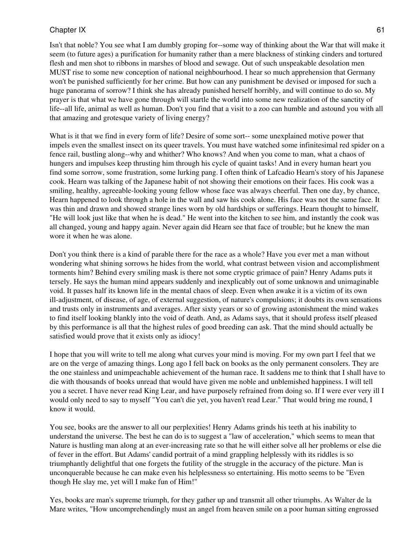Isn't that noble? You see what I am dumbly groping for--some way of thinking about the War that will make it seem (to future ages) a purification for humanity rather than a mere blackness of stinking cinders and tortured flesh and men shot to ribbons in marshes of blood and sewage. Out of such unspeakable desolation men MUST rise to some new conception of national neighbourhood. I hear so much apprehension that Germany won't be punished sufficiently for her crime. But how can any punishment be devised or imposed for such a huge panorama of sorrow? I think she has already punished herself horribly, and will continue to do so. My prayer is that what we have gone through will startle the world into some new realization of the sanctity of life--all life, animal as well as human. Don't you find that a visit to a zoo can humble and astound you with all that amazing and grotesque variety of living energy?

What is it that we find in every form of life? Desire of some sort-- some unexplained motive power that impels even the smallest insect on its queer travels. You must have watched some infinitesimal red spider on a fence rail, bustling along--why and whither? Who knows? And when you come to man, what a chaos of hungers and impulses keep thrusting him through his cycle of quaint tasks! And in every human heart you find some sorrow, some frustration, some lurking pang. I often think of Lafcadio Hearn's story of his Japanese cook. Hearn was talking of the Japanese habit of not showing their emotions on their faces. His cook was a smiling, healthy, agreeable-looking young fellow whose face was always cheerful. Then one day, by chance, Hearn happened to look through a hole in the wall and saw his cook alone. His face was not the same face. It was thin and drawn and showed strange lines worn by old hardships or sufferings. Hearn thought to himself, "He will look just like that when he is dead." He went into the kitchen to see him, and instantly the cook was all changed, young and happy again. Never again did Hearn see that face of trouble; but he knew the man wore it when he was alone.

Don't you think there is a kind of parable there for the race as a whole? Have you ever met a man without wondering what shining sorrows he hides from the world, what contrast between vision and accomplishment torments him? Behind every smiling mask is there not some cryptic grimace of pain? Henry Adams puts it tersely. He says the human mind appears suddenly and inexplicably out of some unknown and unimaginable void. It passes half its known life in the mental chaos of sleep. Even when awake it is a victim of its own ill-adjustment, of disease, of age, of external suggestion, of nature's compulsions; it doubts its own sensations and trusts only in instruments and averages. After sixty years or so of growing astonishment the mind wakes to find itself looking blankly into the void of death. And, as Adams says, that it should profess itself pleased by this performance is all that the highest rules of good breeding can ask. That the mind should actually be satisfied would prove that it exists only as idiocy!

I hope that you will write to tell me along what curves your mind is moving. For my own part I feel that we are on the verge of amazing things. Long ago I fell back on books as the only permanent consolers. They are the one stainless and unimpeachable achievement of the human race. It saddens me to think that I shall have to die with thousands of books unread that would have given me noble and unblemished happiness. I will tell you a secret. I have never read King Lear, and have purposely refrained from doing so. If I were ever very ill I would only need to say to myself "You can't die yet, you haven't read Lear." That would bring me round, I know it would.

You see, books are the answer to all our perplexities! Henry Adams grinds his teeth at his inability to understand the universe. The best he can do is to suggest a "law of acceleration," which seems to mean that Nature is hustling man along at an ever-increasing rate so that he will either solve all her problems or else die of fever in the effort. But Adams' candid portrait of a mind grappling helplessly with its riddles is so triumphantly delightful that one forgets the futility of the struggle in the accuracy of the picture. Man is unconquerable because he can make even his helplessness so entertaining. His motto seems to be "Even though He slay me, yet will I make fun of Him!"

Yes, books are man's supreme triumph, for they gather up and transmit all other triumphs. As Walter de la Mare writes, "How uncomprehendingly must an angel from heaven smile on a poor human sitting engrossed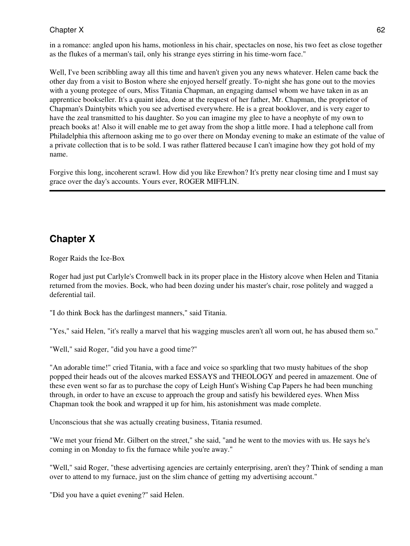in a romance: angled upon his hams, motionless in his chair, spectacles on nose, his two feet as close together as the flukes of a merman's tail, only his strange eyes stirring in his time-worn face."

Well, I've been scribbling away all this time and haven't given you any news whatever. Helen came back the other day from a visit to Boston where she enjoyed herself greatly. To-night she has gone out to the movies with a young protegee of ours, Miss Titania Chapman, an engaging damsel whom we have taken in as an apprentice bookseller. It's a quaint idea, done at the request of her father, Mr. Chapman, the proprietor of Chapman's Daintybits which you see advertised everywhere. He is a great booklover, and is very eager to have the zeal transmitted to his daughter. So you can imagine my glee to have a neophyte of my own to preach books at! Also it will enable me to get away from the shop a little more. I had a telephone call from Philadelphia this afternoon asking me to go over there on Monday evening to make an estimate of the value of a private collection that is to be sold. I was rather flattered because I can't imagine how they got hold of my name.

Forgive this long, incoherent scrawl. How did you like Erewhon? It's pretty near closing time and I must say grace over the day's accounts. Yours ever, ROGER MIFFLIN.

### **Chapter X**

Roger Raids the Ice-Box

Roger had just put Carlyle's Cromwell back in its proper place in the History alcove when Helen and Titania returned from the movies. Bock, who had been dozing under his master's chair, rose politely and wagged a deferential tail.

"I do think Bock has the darlingest manners," said Titania.

"Yes," said Helen, "it's really a marvel that his wagging muscles aren't all worn out, he has abused them so."

"Well," said Roger, "did you have a good time?"

"An adorable time!" cried Titania, with a face and voice so sparkling that two musty habitues of the shop popped their heads out of the alcoves marked ESSAYS and THEOLOGY and peered in amazement. One of these even went so far as to purchase the copy of Leigh Hunt's Wishing Cap Papers he had been munching through, in order to have an excuse to approach the group and satisfy his bewildered eyes. When Miss Chapman took the book and wrapped it up for him, his astonishment was made complete.

Unconscious that she was actually creating business, Titania resumed.

"We met your friend Mr. Gilbert on the street," she said, "and he went to the movies with us. He says he's coming in on Monday to fix the furnace while you're away."

"Well," said Roger, "these advertising agencies are certainly enterprising, aren't they? Think of sending a man over to attend to my furnace, just on the slim chance of getting my advertising account."

"Did you have a quiet evening?" said Helen.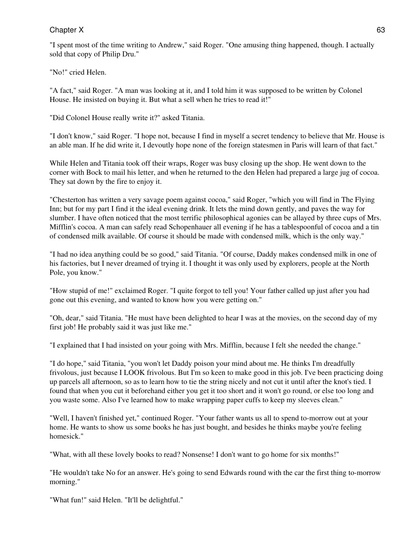"I spent most of the time writing to Andrew," said Roger. "One amusing thing happened, though. I actually sold that copy of Philip Dru."

"No!" cried Helen.

"A fact," said Roger. "A man was looking at it, and I told him it was supposed to be written by Colonel House. He insisted on buying it. But what a sell when he tries to read it!"

"Did Colonel House really write it?" asked Titania.

"I don't know," said Roger. "I hope not, because I find in myself a secret tendency to believe that Mr. House is an able man. If he did write it, I devoutly hope none of the foreign statesmen in Paris will learn of that fact."

While Helen and Titania took off their wraps, Roger was busy closing up the shop. He went down to the corner with Bock to mail his letter, and when he returned to the den Helen had prepared a large jug of cocoa. They sat down by the fire to enjoy it.

"Chesterton has written a very savage poem against cocoa," said Roger, "which you will find in The Flying Inn; but for my part I find it the ideal evening drink. It lets the mind down gently, and paves the way for slumber. I have often noticed that the most terrific philosophical agonies can be allayed by three cups of Mrs. Mifflin's cocoa. A man can safely read Schopenhauer all evening if he has a tablespoonful of cocoa and a tin of condensed milk available. Of course it should be made with condensed milk, which is the only way."

"I had no idea anything could be so good," said Titania. "Of course, Daddy makes condensed milk in one of his factories, but I never dreamed of trying it. I thought it was only used by explorers, people at the North Pole, you know."

"How stupid of me!" exclaimed Roger. "I quite forgot to tell you! Your father called up just after you had gone out this evening, and wanted to know how you were getting on."

"Oh, dear," said Titania. "He must have been delighted to hear I was at the movies, on the second day of my first job! He probably said it was just like me."

"I explained that I had insisted on your going with Mrs. Mifflin, because I felt she needed the change."

"I do hope," said Titania, "you won't let Daddy poison your mind about me. He thinks I'm dreadfully frivolous, just because I LOOK frivolous. But I'm so keen to make good in this job. I've been practicing doing up parcels all afternoon, so as to learn how to tie the string nicely and not cut it until after the knot's tied. I found that when you cut it beforehand either you get it too short and it won't go round, or else too long and you waste some. Also I've learned how to make wrapping paper cuffs to keep my sleeves clean."

"Well, I haven't finished yet," continued Roger. "Your father wants us all to spend to-morrow out at your home. He wants to show us some books he has just bought, and besides he thinks maybe you're feeling homesick."

"What, with all these lovely books to read? Nonsense! I don't want to go home for six months!"

"He wouldn't take No for an answer. He's going to send Edwards round with the car the first thing to-morrow morning."

"What fun!" said Helen. "It'll be delightful."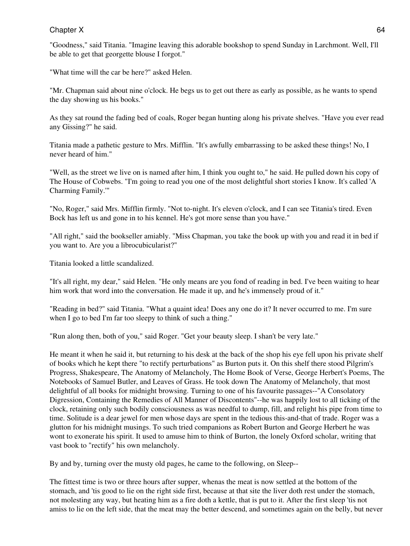"Goodness," said Titania. "Imagine leaving this adorable bookshop to spend Sunday in Larchmont. Well, I'll be able to get that georgette blouse I forgot."

"What time will the car be here?" asked Helen.

"Mr. Chapman said about nine o'clock. He begs us to get out there as early as possible, as he wants to spend the day showing us his books."

As they sat round the fading bed of coals, Roger began hunting along his private shelves. "Have you ever read any Gissing?" he said.

Titania made a pathetic gesture to Mrs. Mifflin. "It's awfully embarrassing to be asked these things! No, I never heard of him."

"Well, as the street we live on is named after him, I think you ought to," he said. He pulled down his copy of The House of Cobwebs. "I'm going to read you one of the most delightful short stories I know. It's called 'A Charming Family.'"

"No, Roger," said Mrs. Mifflin firmly. "Not to-night. It's eleven o'clock, and I can see Titania's tired. Even Bock has left us and gone in to his kennel. He's got more sense than you have."

"All right," said the bookseller amiably. "Miss Chapman, you take the book up with you and read it in bed if you want to. Are you a librocubicularist?"

Titania looked a little scandalized.

"It's all right, my dear," said Helen. "He only means are you fond of reading in bed. I've been waiting to hear him work that word into the conversation. He made it up, and he's immensely proud of it."

"Reading in bed?" said Titania. "What a quaint idea! Does any one do it? It never occurred to me. I'm sure when I go to bed I'm far too sleepy to think of such a thing."

"Run along then, both of you," said Roger. "Get your beauty sleep. I shan't be very late."

He meant it when he said it, but returning to his desk at the back of the shop his eye fell upon his private shelf of books which he kept there "to rectify perturbations" as Burton puts it. On this shelf there stood Pilgrim's Progress, Shakespeare, The Anatomy of Melancholy, The Home Book of Verse, George Herbert's Poems, The Notebooks of Samuel Butler, and Leaves of Grass. He took down The Anatomy of Melancholy, that most delightful of all books for midnight browsing. Turning to one of his favourite passages--"A Consolatory Digression, Containing the Remedies of All Manner of Discontents"--he was happily lost to all ticking of the clock, retaining only such bodily consciousness as was needful to dump, fill, and relight his pipe from time to time. Solitude is a dear jewel for men whose days are spent in the tedious this-and-that of trade. Roger was a glutton for his midnight musings. To such tried companions as Robert Burton and George Herbert he was wont to exonerate his spirit. It used to amuse him to think of Burton, the lonely Oxford scholar, writing that vast book to "rectify" his own melancholy.

By and by, turning over the musty old pages, he came to the following, on Sleep--

The fittest time is two or three hours after supper, whenas the meat is now settled at the bottom of the stomach, and 'tis good to lie on the right side first, because at that site the liver doth rest under the stomach, not molesting any way, but heating him as a fire doth a kettle, that is put to it. After the first sleep 'tis not amiss to lie on the left side, that the meat may the better descend, and sometimes again on the belly, but never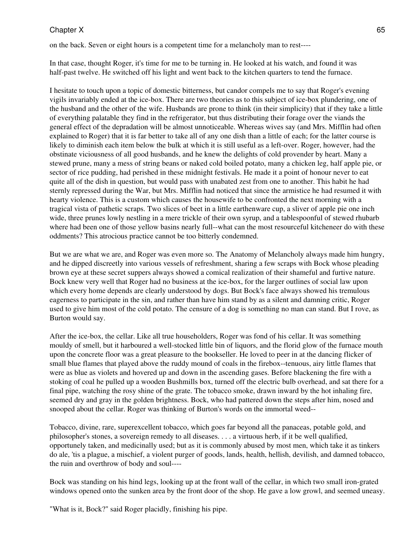on the back. Seven or eight hours is a competent time for a melancholy man to rest----

In that case, thought Roger, it's time for me to be turning in. He looked at his watch, and found it was half-past twelve. He switched off his light and went back to the kitchen quarters to tend the furnace.

I hesitate to touch upon a topic of domestic bitterness, but candor compels me to say that Roger's evening vigils invariably ended at the ice-box. There are two theories as to this subject of ice-box plundering, one of the husband and the other of the wife. Husbands are prone to think (in their simplicity) that if they take a little of everything palatable they find in the refrigerator, but thus distributing their forage over the viands the general effect of the depradation will be almost unnoticeable. Whereas wives say (and Mrs. Mifflin had often explained to Roger) that it is far better to take all of any one dish than a little of each; for the latter course is likely to diminish each item below the bulk at which it is still useful as a left-over. Roger, however, had the obstinate viciousness of all good husbands, and he knew the delights of cold provender by heart. Many a stewed prune, many a mess of string beans or naked cold boiled potato, many a chicken leg, half apple pie, or sector of rice pudding, had perished in these midnight festivals. He made it a point of honour never to eat quite all of the dish in question, but would pass with unabated zest from one to another. This habit he had sternly repressed during the War, but Mrs. Mifflin had noticed that since the armistice he had resumed it with hearty violence. This is a custom which causes the housewife to be confronted the next morning with a tragical vista of pathetic scraps. Two slices of beet in a little earthenware cup, a sliver of apple pie one inch wide, three prunes lowly nestling in a mere trickle of their own syrup, and a tablespoonful of stewed rhubarb where had been one of those yellow basins nearly full--what can the most resourceful kitcheneer do with these oddments? This atrocious practice cannot be too bitterly condemned.

But we are what we are, and Roger was even more so. The Anatomy of Melancholy always made him hungry, and he dipped discreetly into various vessels of refreshment, sharing a few scraps with Bock whose pleading brown eye at these secret suppers always showed a comical realization of their shameful and furtive nature. Bock knew very well that Roger had no business at the ice-box, for the larger outlines of social law upon which every home depends are clearly understood by dogs. But Bock's face always showed his tremulous eagerness to participate in the sin, and rather than have him stand by as a silent and damning critic, Roger used to give him most of the cold potato. The censure of a dog is something no man can stand. But I rove, as Burton would say.

After the ice-box, the cellar. Like all true householders, Roger was fond of his cellar. It was something mouldy of smell, but it harboured a well-stocked little bin of liquors, and the florid glow of the furnace mouth upon the concrete floor was a great pleasure to the bookseller. He loved to peer in at the dancing flicker of small blue flames that played above the ruddy mound of coals in the firebox--tenuous, airy little flames that were as blue as violets and hovered up and down in the ascending gases. Before blackening the fire with a stoking of coal he pulled up a wooden Bushmills box, turned off the electric bulb overhead, and sat there for a final pipe, watching the rosy shine of the grate. The tobacco smoke, drawn inward by the hot inhaling fire, seemed dry and gray in the golden brightness. Bock, who had pattered down the steps after him, nosed and snooped about the cellar. Roger was thinking of Burton's words on the immortal weed--

Tobacco, divine, rare, superexcellent tobacco, which goes far beyond all the panaceas, potable gold, and philosopher's stones, a sovereign remedy to all diseases. . . . a virtuous herb, if it be well qualified, opportunely taken, and medicinally used; but as it is commonly abused by most men, which take it as tinkers do ale, 'tis a plague, a mischief, a violent purger of goods, lands, health, hellish, devilish, and damned tobacco, the ruin and overthrow of body and soul----

Bock was standing on his hind legs, looking up at the front wall of the cellar, in which two small iron-grated windows opened onto the sunken area by the front door of the shop. He gave a low growl, and seemed uneasy.

"What is it, Bock?" said Roger placidly, finishing his pipe.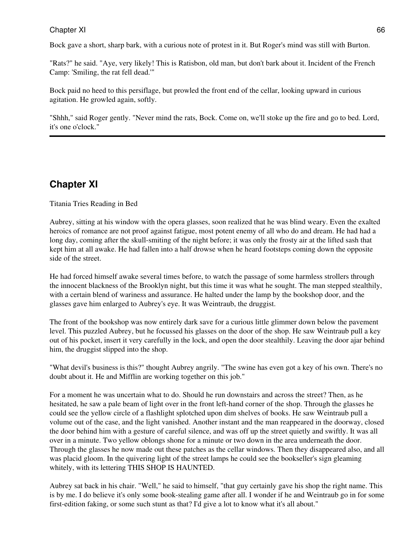Bock gave a short, sharp bark, with a curious note of protest in it. But Roger's mind was still with Burton.

"Rats?" he said. "Aye, very likely! This is Ratisbon, old man, but don't bark about it. Incident of the French Camp: 'Smiling, the rat fell dead.'"

Bock paid no heed to this persiflage, but prowled the front end of the cellar, looking upward in curious agitation. He growled again, softly.

"Shhh," said Roger gently. "Never mind the rats, Bock. Come on, we'll stoke up the fire and go to bed. Lord, it's one o'clock."

### **Chapter XI**

Titania Tries Reading in Bed

Aubrey, sitting at his window with the opera glasses, soon realized that he was blind weary. Even the exalted heroics of romance are not proof against fatigue, most potent enemy of all who do and dream. He had had a long day, coming after the skull-smiting of the night before; it was only the frosty air at the lifted sash that kept him at all awake. He had fallen into a half drowse when he heard footsteps coming down the opposite side of the street.

He had forced himself awake several times before, to watch the passage of some harmless strollers through the innocent blackness of the Brooklyn night, but this time it was what he sought. The man stepped stealthily, with a certain blend of wariness and assurance. He halted under the lamp by the bookshop door, and the glasses gave him enlarged to Aubrey's eye. It was Weintraub, the druggist.

The front of the bookshop was now entirely dark save for a curious little glimmer down below the pavement level. This puzzled Aubrey, but he focussed his glasses on the door of the shop. He saw Weintraub pull a key out of his pocket, insert it very carefully in the lock, and open the door stealthily. Leaving the door ajar behind him, the druggist slipped into the shop.

"What devil's business is this?" thought Aubrey angrily. "The swine has even got a key of his own. There's no doubt about it. He and Mifflin are working together on this job."

For a moment he was uncertain what to do. Should he run downstairs and across the street? Then, as he hesitated, he saw a pale beam of light over in the front left-hand corner of the shop. Through the glasses he could see the yellow circle of a flashlight splotched upon dim shelves of books. He saw Weintraub pull a volume out of the case, and the light vanished. Another instant and the man reappeared in the doorway, closed the door behind him with a gesture of careful silence, and was off up the street quietly and swiftly. It was all over in a minute. Two yellow oblongs shone for a minute or two down in the area underneath the door. Through the glasses he now made out these patches as the cellar windows. Then they disappeared also, and all was placid gloom. In the quivering light of the street lamps he could see the bookseller's sign gleaming whitely, with its lettering THIS SHOP IS HAUNTED.

Aubrey sat back in his chair. "Well," he said to himself, "that guy certainly gave his shop the right name. This is by me. I do believe it's only some book-stealing game after all. I wonder if he and Weintraub go in for some first-edition faking, or some such stunt as that? I'd give a lot to know what it's all about."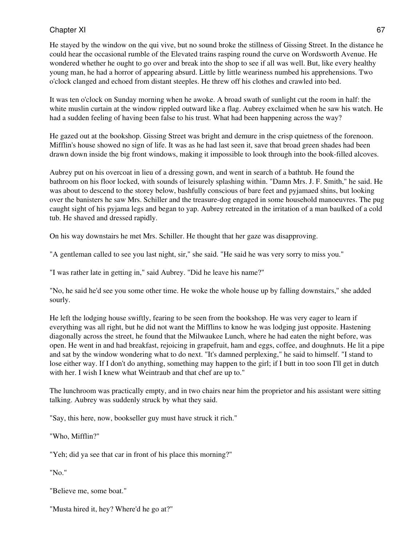He stayed by the window on the qui vive, but no sound broke the stillness of Gissing Street. In the distance he could hear the occasional rumble of the Elevated trains rasping round the curve on Wordsworth Avenue. He wondered whether he ought to go over and break into the shop to see if all was well. But, like every healthy young man, he had a horror of appearing absurd. Little by little weariness numbed his apprehensions. Two o'clock clanged and echoed from distant steeples. He threw off his clothes and crawled into bed.

It was ten o'clock on Sunday morning when he awoke. A broad swath of sunlight cut the room in half: the white muslin curtain at the window rippled outward like a flag. Aubrey exclaimed when he saw his watch. He had a sudden feeling of having been false to his trust. What had been happening across the way?

He gazed out at the bookshop. Gissing Street was bright and demure in the crisp quietness of the forenoon. Mifflin's house showed no sign of life. It was as he had last seen it, save that broad green shades had been drawn down inside the big front windows, making it impossible to look through into the book-filled alcoves.

Aubrey put on his overcoat in lieu of a dressing gown, and went in search of a bathtub. He found the bathroom on his floor locked, with sounds of leisurely splashing within. "Damn Mrs. J. F. Smith," he said. He was about to descend to the storey below, bashfully conscious of bare feet and pyjamaed shins, but looking over the banisters he saw Mrs. Schiller and the treasure-dog engaged in some household manoeuvres. The pug caught sight of his pyjama legs and began to yap. Aubrey retreated in the irritation of a man baulked of a cold tub. He shaved and dressed rapidly.

On his way downstairs he met Mrs. Schiller. He thought that her gaze was disapproving.

"A gentleman called to see you last night, sir," she said. "He said he was very sorry to miss you."

"I was rather late in getting in," said Aubrey. "Did he leave his name?"

"No, he said he'd see you some other time. He woke the whole house up by falling downstairs," she added sourly.

He left the lodging house swiftly, fearing to be seen from the bookshop. He was very eager to learn if everything was all right, but he did not want the Mifflins to know he was lodging just opposite. Hastening diagonally across the street, he found that the Milwaukee Lunch, where he had eaten the night before, was open. He went in and had breakfast, rejoicing in grapefruit, ham and eggs, coffee, and doughnuts. He lit a pipe and sat by the window wondering what to do next. "It's damned perplexing," he said to himself. "I stand to lose either way. If I don't do anything, something may happen to the girl; if I butt in too soon I'll get in dutch with her. I wish I knew what Weintraub and that chef are up to."

The lunchroom was practically empty, and in two chairs near him the proprietor and his assistant were sitting talking. Aubrey was suddenly struck by what they said.

"Say, this here, now, bookseller guy must have struck it rich."

"Who, Mifflin?"

"Yeh; did ya see that car in front of his place this morning?"

"No."

"Believe me, some boat."

"Musta hired it, hey? Where'd he go at?"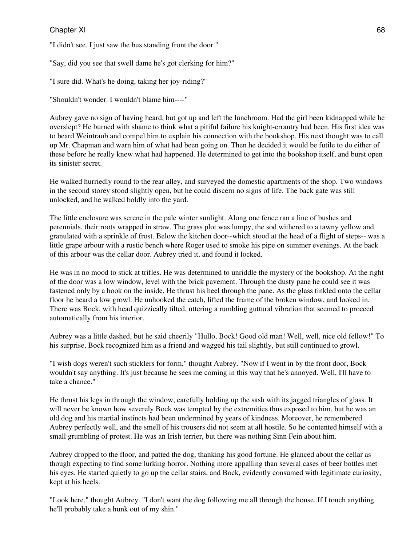"I didn't see. I just saw the bus standing front the door."

"Say, did you see that swell dame he's got clerking for him?"

"I sure did. What's he doing, taking her joy-riding?"

"Shouldn't wonder. I wouldn't blame him----"

Aubrey gave no sign of having heard, but got up and left the lunchroom. Had the girl been kidnapped while he overslept? He burned with shame to think what a pitiful failure his knight-errantry had been. His first idea was to beard Weintraub and compel him to explain his connection with the bookshop. His next thought was to call up Mr. Chapman and warn him of what had been going on. Then he decided it would be futile to do either of these before he really knew what had happened. He determined to get into the bookshop itself, and burst open its sinister secret.

He walked hurriedly round to the rear alley, and surveyed the domestic apartments of the shop. Two windows in the second storey stood slightly open, but he could discern no signs of life. The back gate was still unlocked, and he walked boldly into the yard.

The little enclosure was serene in the pale winter sunlight. Along one fence ran a line of bushes and perennials, their roots wrapped in straw. The grass plot was lumpy, the sod withered to a tawny yellow and granulated with a sprinkle of frost. Below the kitchen door--which stood at the head of a flight of steps-- was a little grape arbour with a rustic bench where Roger used to smoke his pipe on summer evenings. At the back of this arbour was the cellar door. Aubrey tried it, and found it locked.

He was in no mood to stick at trifles. He was determined to unriddle the mystery of the bookshop. At the right of the door was a low window, level with the brick pavement. Through the dusty pane he could see it was fastened only by a hook on the inside. He thrust his heel through the pane. As the glass tinkled onto the cellar floor he heard a low growl. He unhooked the catch, lifted the frame of the broken window, and looked in. There was Bock, with head quizzically tilted, uttering a rumbling guttural vibration that seemed to proceed automatically from his interior.

Aubrey was a little dashed, but he said cheerily "Hullo, Bock! Good old man! Well, well, nice old fellow!" To his surprise, Bock recognized him as a friend and wagged his tail slightly, but still continued to growl.

"I wish dogs weren't such sticklers for form," thought Aubrey. "Now if I went in by the front door, Bock wouldn't say anything. It's just because he sees me coming in this way that he's annoyed. Well, I'll have to take a chance."

He thrust his legs in through the window, carefully holding up the sash with its jagged triangles of glass. It will never be known how severely Bock was tempted by the extremities thus exposed to him, but he was an old dog and his martial instincts had been undermined by years of kindness. Moreover, he remembered Aubrey perfectly well, and the smell of his trousers did not seem at all hostile. So he contented himself with a small grumbling of protest. He was an Irish terrier, but there was nothing Sinn Fein about him.

Aubrey dropped to the floor, and patted the dog, thanking his good fortune. He glanced about the cellar as though expecting to find some lurking horror. Nothing more appalling than several cases of beer bottles met his eyes. He started quietly to go up the cellar stairs, and Bock, evidently consumed with legitimate curiosity, kept at his heels.

"Look here," thought Aubrey. "I don't want the dog following me all through the house. If I touch anything he'll probably take a hunk out of my shin."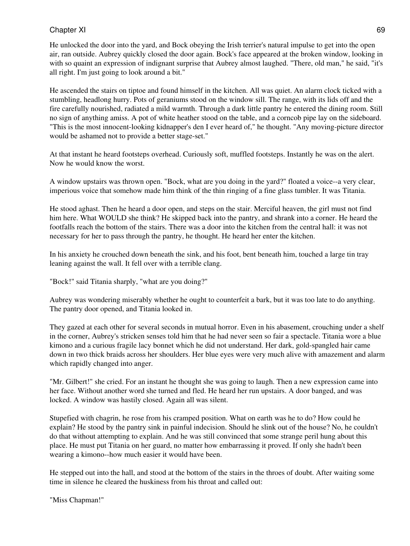He unlocked the door into the yard, and Bock obeying the Irish terrier's natural impulse to get into the open air, ran outside. Aubrey quickly closed the door again. Bock's face appeared at the broken window, looking in with so quaint an expression of indignant surprise that Aubrey almost laughed. "There, old man," he said, "it's all right. I'm just going to look around a bit."

He ascended the stairs on tiptoe and found himself in the kitchen. All was quiet. An alarm clock ticked with a stumbling, headlong hurry. Pots of geraniums stood on the window sill. The range, with its lids off and the fire carefully nourished, radiated a mild warmth. Through a dark little pantry he entered the dining room. Still no sign of anything amiss. A pot of white heather stood on the table, and a corncob pipe lay on the sideboard. "This is the most innocent-looking kidnapper's den I ever heard of," he thought. "Any moving-picture director would be ashamed not to provide a better stage-set."

At that instant he heard footsteps overhead. Curiously soft, muffled footsteps. Instantly he was on the alert. Now he would know the worst.

A window upstairs was thrown open. "Bock, what are you doing in the yard?" floated a voice--a very clear, imperious voice that somehow made him think of the thin ringing of a fine glass tumbler. It was Titania.

He stood aghast. Then he heard a door open, and steps on the stair. Merciful heaven, the girl must not find him here. What WOULD she think? He skipped back into the pantry, and shrank into a corner. He heard the footfalls reach the bottom of the stairs. There was a door into the kitchen from the central hall: it was not necessary for her to pass through the pantry, he thought. He heard her enter the kitchen.

In his anxiety he crouched down beneath the sink, and his foot, bent beneath him, touched a large tin tray leaning against the wall. It fell over with a terrible clang.

"Bock!" said Titania sharply, "what are you doing?"

Aubrey was wondering miserably whether he ought to counterfeit a bark, but it was too late to do anything. The pantry door opened, and Titania looked in.

They gazed at each other for several seconds in mutual horror. Even in his abasement, crouching under a shelf in the corner, Aubrey's stricken senses told him that he had never seen so fair a spectacle. Titania wore a blue kimono and a curious fragile lacy bonnet which he did not understand. Her dark, gold-spangled hair came down in two thick braids across her shoulders. Her blue eyes were very much alive with amazement and alarm which rapidly changed into anger.

"Mr. Gilbert!" she cried. For an instant he thought she was going to laugh. Then a new expression came into her face. Without another word she turned and fled. He heard her run upstairs. A door banged, and was locked. A window was hastily closed. Again all was silent.

Stupefied with chagrin, he rose from his cramped position. What on earth was he to do? How could he explain? He stood by the pantry sink in painful indecision. Should he slink out of the house? No, he couldn't do that without attempting to explain. And he was still convinced that some strange peril hung about this place. He must put Titania on her guard, no matter how embarrassing it proved. If only she hadn't been wearing a kimono--how much easier it would have been.

He stepped out into the hall, and stood at the bottom of the stairs in the throes of doubt. After waiting some time in silence he cleared the huskiness from his throat and called out:

"Miss Chapman!"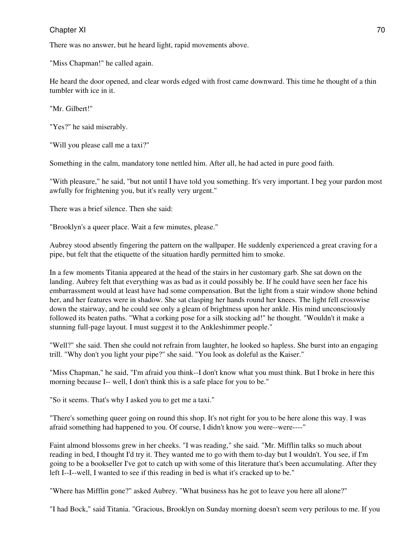There was no answer, but he heard light, rapid movements above.

"Miss Chapman!" he called again.

He heard the door opened, and clear words edged with frost came downward. This time he thought of a thin tumbler with ice in it.

"Mr. Gilbert!"

"Yes?" he said miserably.

"Will you please call me a taxi?"

Something in the calm, mandatory tone nettled him. After all, he had acted in pure good faith.

"With pleasure," he said, "but not until I have told you something. It's very important. I beg your pardon most awfully for frightening you, but it's really very urgent."

There was a brief silence. Then she said:

"Brooklyn's a queer place. Wait a few minutes, please."

Aubrey stood absently fingering the pattern on the wallpaper. He suddenly experienced a great craving for a pipe, but felt that the etiquette of the situation hardly permitted him to smoke.

In a few moments Titania appeared at the head of the stairs in her customary garb. She sat down on the landing. Aubrey felt that everything was as bad as it could possibly be. If he could have seen her face his embarrassment would at least have had some compensation. But the light from a stair window shone behind her, and her features were in shadow. She sat clasping her hands round her knees. The light fell crosswise down the stairway, and he could see only a gleam of brightness upon her ankle. His mind unconsciously followed its beaten paths. "What a corking pose for a silk stocking ad!" he thought. "Wouldn't it make a stunning full-page layout. I must suggest it to the Ankleshimmer people."

"Well?" she said. Then she could not refrain from laughter, he looked so hapless. She burst into an engaging trill. "Why don't you light your pipe?" she said. "You look as doleful as the Kaiser."

"Miss Chapman," he said, "I'm afraid you think--I don't know what you must think. But I broke in here this morning because I-- well, I don't think this is a safe place for you to be."

"So it seems. That's why I asked you to get me a taxi."

"There's something queer going on round this shop. It's not right for you to be here alone this way. I was afraid something had happened to you. Of course, I didn't know you were--were----"

Faint almond blossoms grew in her cheeks. "I was reading," she said. "Mr. Mifflin talks so much about reading in bed, I thought I'd try it. They wanted me to go with them to-day but I wouldn't. You see, if I'm going to be a bookseller I've got to catch up with some of this literature that's been accumulating. After they left I--I--well, I wanted to see if this reading in bed is what it's cracked up to be."

"Where has Mifflin gone?" asked Aubrey. "What business has he got to leave you here all alone?"

"I had Bock," said Titania. "Gracious, Brooklyn on Sunday morning doesn't seem very perilous to me. If you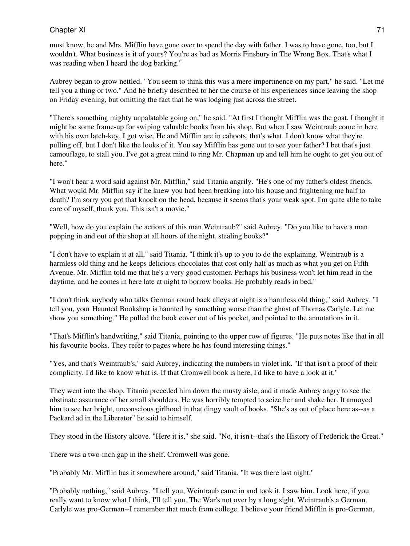must know, he and Mrs. Mifflin have gone over to spend the day with father. I was to have gone, too, but I wouldn't. What business is it of yours? You're as bad as Morris Finsbury in The Wrong Box. That's what I was reading when I heard the dog barking."

Aubrey began to grow nettled. "You seem to think this was a mere impertinence on my part," he said. "Let me tell you a thing or two." And he briefly described to her the course of his experiences since leaving the shop on Friday evening, but omitting the fact that he was lodging just across the street.

"There's something mighty unpalatable going on," he said. "At first I thought Mifflin was the goat. I thought it might be some frame-up for swiping valuable books from his shop. But when I saw Weintraub come in here with his own latch-key, I got wise. He and Mifflin are in cahoots, that's what. I don't know what they're pulling off, but I don't like the looks of it. You say Mifflin has gone out to see your father? I bet that's just camouflage, to stall you. I've got a great mind to ring Mr. Chapman up and tell him he ought to get you out of here."

"I won't hear a word said against Mr. Mifflin," said Titania angrily. "He's one of my father's oldest friends. What would Mr. Mifflin say if he knew you had been breaking into his house and frightening me half to death? I'm sorry you got that knock on the head, because it seems that's your weak spot. I'm quite able to take care of myself, thank you. This isn't a movie."

"Well, how do you explain the actions of this man Weintraub?" said Aubrey. "Do you like to have a man popping in and out of the shop at all hours of the night, stealing books?"

"I don't have to explain it at all," said Titania. "I think it's up to you to do the explaining. Weintraub is a harmless old thing and he keeps delicious chocolates that cost only half as much as what you get on Fifth Avenue. Mr. Mifflin told me that he's a very good customer. Perhaps his business won't let him read in the daytime, and he comes in here late at night to borrow books. He probably reads in bed."

"I don't think anybody who talks German round back alleys at night is a harmless old thing," said Aubrey. "I tell you, your Haunted Bookshop is haunted by something worse than the ghost of Thomas Carlyle. Let me show you something." He pulled the book cover out of his pocket, and pointed to the annotations in it.

"That's Mifflin's handwriting," said Titania, pointing to the upper row of figures. "He puts notes like that in all his favourite books. They refer to pages where he has found interesting things."

"Yes, and that's Weintraub's," said Aubrey, indicating the numbers in violet ink. "If that isn't a proof of their complicity, I'd like to know what is. If that Cromwell book is here, I'd like to have a look at it."

They went into the shop. Titania preceded him down the musty aisle, and it made Aubrey angry to see the obstinate assurance of her small shoulders. He was horribly tempted to seize her and shake her. It annoyed him to see her bright, unconscious girlhood in that dingy vault of books. "She's as out of place here as--as a Packard ad in the Liberator" he said to himself.

They stood in the History alcove. "Here it is," she said. "No, it isn't--that's the History of Frederick the Great."

There was a two-inch gap in the shelf. Cromwell was gone.

"Probably Mr. Mifflin has it somewhere around," said Titania. "It was there last night."

"Probably nothing," said Aubrey. "I tell you, Weintraub came in and took it. I saw him. Look here, if you really want to know what I think, I'll tell you. The War's not over by a long sight. Weintraub's a German. Carlyle was pro-German--I remember that much from college. I believe your friend Mifflin is pro-German,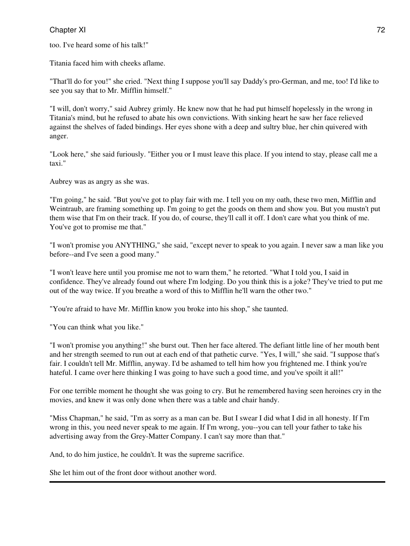too. I've heard some of his talk!"

Titania faced him with cheeks aflame.

"That'll do for you!" she cried. "Next thing I suppose you'll say Daddy's pro-German, and me, too! I'd like to see you say that to Mr. Mifflin himself."

"I will, don't worry," said Aubrey grimly. He knew now that he had put himself hopelessly in the wrong in Titania's mind, but he refused to abate his own convictions. With sinking heart he saw her face relieved against the shelves of faded bindings. Her eyes shone with a deep and sultry blue, her chin quivered with anger.

"Look here," she said furiously. "Either you or I must leave this place. If you intend to stay, please call me a taxi."

Aubrey was as angry as she was.

"I'm going," he said. "But you've got to play fair with me. I tell you on my oath, these two men, Mifflin and Weintraub, are framing something up. I'm going to get the goods on them and show you. But you mustn't put them wise that I'm on their track. If you do, of course, they'll call it off. I don't care what you think of me. You've got to promise me that."

"I won't promise you ANYTHING," she said, "except never to speak to you again. I never saw a man like you before--and I've seen a good many."

"I won't leave here until you promise me not to warn them," he retorted. "What I told you, I said in confidence. They've already found out where I'm lodging. Do you think this is a joke? They've tried to put me out of the way twice. If you breathe a word of this to Mifflin he'll warn the other two."

"You're afraid to have Mr. Mifflin know you broke into his shop," she taunted.

"You can think what you like."

"I won't promise you anything!" she burst out. Then her face altered. The defiant little line of her mouth bent and her strength seemed to run out at each end of that pathetic curve. "Yes, I will," she said. "I suppose that's fair. I couldn't tell Mr. Mifflin, anyway. I'd be ashamed to tell him how you frightened me. I think you're hateful. I came over here thinking I was going to have such a good time, and you've spoilt it all!"

For one terrible moment he thought she was going to cry. But he remembered having seen heroines cry in the movies, and knew it was only done when there was a table and chair handy.

"Miss Chapman," he said, "I'm as sorry as a man can be. But I swear I did what I did in all honesty. If I'm wrong in this, you need never speak to me again. If I'm wrong, you--you can tell your father to take his advertising away from the Grey-Matter Company. I can't say more than that."

And, to do him justice, he couldn't. It was the supreme sacrifice.

She let him out of the front door without another word.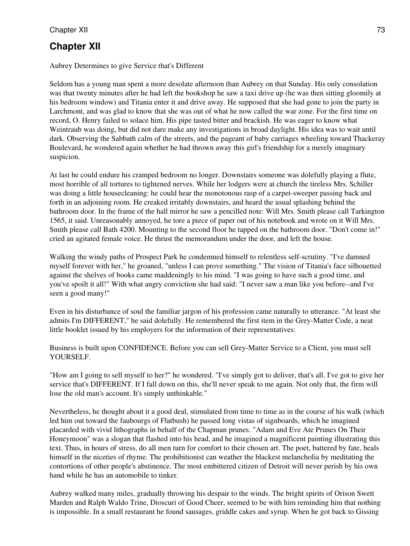Aubrey Determines to give Service that's Different

Seldom has a young man spent a more desolate afternoon than Aubrey on that Sunday. His only consolation was that twenty minutes after he had left the bookshop he saw a taxi drive up (he was then sitting gloomily at his bedroom window) and Titania enter it and drive away. He supposed that she had gone to join the party in Larchmont, and was glad to know that she was out of what he now called the war zone. For the first time on record, O. Henry failed to solace him. His pipe tasted bitter and brackish. He was eager to know what Weintraub was doing, but did not dare make any investigations in broad daylight. His idea was to wait until dark. Observing the Sabbath calm of the streets, and the pageant of baby carriages wheeling toward Thackeray Boulevard, he wondered again whether he had thrown away this girl's friendship for a merely imaginary suspicion.

At last he could endure his cramped bedroom no longer. Downstairs someone was dolefully playing a flute, most horrible of all tortures to tightened nerves. While her lodgers were at church the tireless Mrs. Schiller was doing a little housecleaning: he could hear the monotonous rasp of a carpet-sweeper passing back and forth in an adjoining room. He creaked irritably downstairs, and heard the usual splashing behind the bathroom door. In the frame of the hall mirror he saw a pencilled note: Will Mrs. Smith please call Tarkington 1565, it said. Unreasonably annoyed, he tore a piece of paper out of his notebook and wrote on it Will Mrs. Smith please call Bath 4200. Mounting to the second floor he tapped on the bathroom door. "Don't come in!" cried an agitated female voice. He thrust the memorandum under the door, and left the house.

Walking the windy paths of Prospect Park he condemned himself to relentless self-scrutiny. "I've damned myself forever with her," he groaned, "unless I can prove something." The vision of Titania's face silhouetted against the shelves of books came maddeningly to his mind. "I was going to have such a good time, and you've spoilt it all!" With what angry conviction she had said: "I never saw a man like you before--and I've seen a good many!"

Even in his disturbance of soul the familiar jargon of his profession came naturally to utterance. "At least she admits I'm DIFFERENT," he said dolefully. He remembered the first item in the Grey-Matter Code, a neat little booklet issued by his employers for the information of their representatives:

Business is built upon CONFIDENCE. Before you can sell Grey-Matter Service to a Client, you must sell YOURSELF.

"How am I going to sell myself to her?" he wondered. "I've simply got to deliver, that's all. I've got to give her service that's DIFFERENT. If I fall down on this, she'll never speak to me again. Not only that, the firm will lose the old man's account. It's simply unthinkable."

Nevertheless, he thought about it a good deal, stimulated from time to time as in the course of his walk (which led him out toward the faubourgs of Flatbush) he passed long vistas of signboards, which he imagined placarded with vivid lithographs in behalf of the Chapman prunes. "Adam and Eve Ate Prunes On Their Honeymoon" was a slogan that flashed into his head, and he imagined a magnificent painting illustrating this text. Thus, in hours of stress, do all men turn for comfort to their chosen art. The poet, battered by fate, heals himself in the niceties of rhyme. The prohibitionist can weather the blackest melancholia by meditating the contortions of other people's abstinence. The most embittered citizen of Detroit will never perish by his own hand while he has an automobile to tinker.

Aubrey walked many miles, gradually throwing his despair to the winds. The bright spirits of Orison Swett Marden and Ralph Waldo Trine, Dioscuri of Good Cheer, seemed to be with him reminding him that nothing is impossible. In a small restaurant he found sausages, griddle cakes and syrup. When he got back to Gissing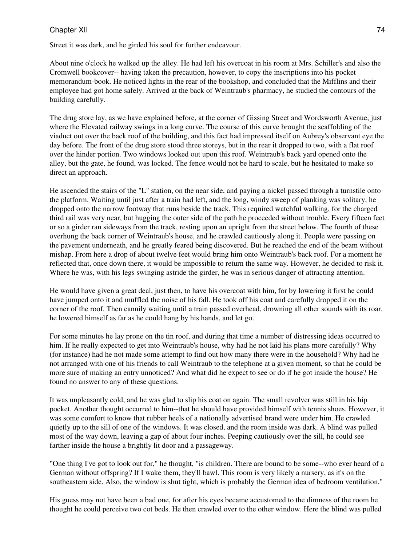Street it was dark, and he girded his soul for further endeavour.

About nine o'clock he walked up the alley. He had left his overcoat in his room at Mrs. Schiller's and also the Cromwell bookcover-- having taken the precaution, however, to copy the inscriptions into his pocket memorandum-book. He noticed lights in the rear of the bookshop, and concluded that the Mifflins and their employee had got home safely. Arrived at the back of Weintraub's pharmacy, he studied the contours of the building carefully.

The drug store lay, as we have explained before, at the corner of Gissing Street and Wordsworth Avenue, just where the Elevated railway swings in a long curve. The course of this curve brought the scaffolding of the viaduct out over the back roof of the building, and this fact had impressed itself on Aubrey's observant eye the day before. The front of the drug store stood three storeys, but in the rear it dropped to two, with a flat roof over the hinder portion. Two windows looked out upon this roof. Weintraub's back yard opened onto the alley, but the gate, he found, was locked. The fence would not be hard to scale, but he hesitated to make so direct an approach.

He ascended the stairs of the "L" station, on the near side, and paying a nickel passed through a turnstile onto the platform. Waiting until just after a train had left, and the long, windy sweep of planking was solitary, he dropped onto the narrow footway that runs beside the track. This required watchful walking, for the charged third rail was very near, but hugging the outer side of the path he proceeded without trouble. Every fifteen feet or so a girder ran sideways from the track, resting upon an upright from the street below. The fourth of these overhung the back corner of Weintraub's house, and he crawled cautiously along it. People were passing on the pavement underneath, and he greatly feared being discovered. But he reached the end of the beam without mishap. From here a drop of about twelve feet would bring him onto Weintraub's back roof. For a moment he reflected that, once down there, it would be impossible to return the same way. However, he decided to risk it. Where he was, with his legs swinging astride the girder, he was in serious danger of attracting attention.

He would have given a great deal, just then, to have his overcoat with him, for by lowering it first he could have jumped onto it and muffled the noise of his fall. He took off his coat and carefully dropped it on the corner of the roof. Then cannily waiting until a train passed overhead, drowning all other sounds with its roar, he lowered himself as far as he could hang by his hands, and let go.

For some minutes he lay prone on the tin roof, and during that time a number of distressing ideas occurred to him. If he really expected to get into Weintraub's house, why had he not laid his plans more carefully? Why (for instance) had he not made some attempt to find out how many there were in the household? Why had he not arranged with one of his friends to call Weintraub to the telephone at a given moment, so that he could be more sure of making an entry unnoticed? And what did he expect to see or do if he got inside the house? He found no answer to any of these questions.

It was unpleasantly cold, and he was glad to slip his coat on again. The small revolver was still in his hip pocket. Another thought occurred to him--that he should have provided himself with tennis shoes. However, it was some comfort to know that rubber heels of a nationally advertised brand were under him. He crawled quietly up to the sill of one of the windows. It was closed, and the room inside was dark. A blind was pulled most of the way down, leaving a gap of about four inches. Peeping cautiously over the sill, he could see farther inside the house a brightly lit door and a passageway.

"One thing I've got to look out for," he thought, "is children. There are bound to be some--who ever heard of a German without offspring? If I wake them, they'll bawl. This room is very likely a nursery, as it's on the southeastern side. Also, the window is shut tight, which is probably the German idea of bedroom ventilation."

His guess may not have been a bad one, for after his eyes became accustomed to the dimness of the room he thought he could perceive two cot beds. He then crawled over to the other window. Here the blind was pulled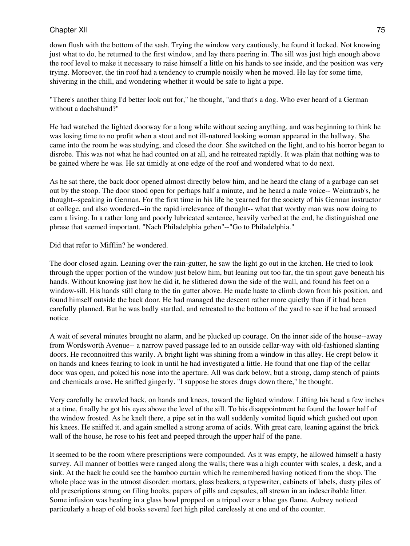down flush with the bottom of the sash. Trying the window very cautiously, he found it locked. Not knowing just what to do, he returned to the first window, and lay there peering in. The sill was just high enough above the roof level to make it necessary to raise himself a little on his hands to see inside, and the position was very trying. Moreover, the tin roof had a tendency to crumple noisily when he moved. He lay for some time, shivering in the chill, and wondering whether it would be safe to light a pipe.

"There's another thing I'd better look out for," he thought, "and that's a dog. Who ever heard of a German without a dachshund?"

He had watched the lighted doorway for a long while without seeing anything, and was beginning to think he was losing time to no profit when a stout and not ill-natured looking woman appeared in the hallway. She came into the room he was studying, and closed the door. She switched on the light, and to his horror began to disrobe. This was not what he had counted on at all, and he retreated rapidly. It was plain that nothing was to be gained where he was. He sat timidly at one edge of the roof and wondered what to do next.

As he sat there, the back door opened almost directly below him, and he heard the clang of a garbage can set out by the stoop. The door stood open for perhaps half a minute, and he heard a male voice-- Weintraub's, he thought--speaking in German. For the first time in his life he yearned for the society of his German instructor at college, and also wondered--in the rapid irrelevance of thought-- what that worthy man was now doing to earn a living. In a rather long and poorly lubricated sentence, heavily verbed at the end, he distinguished one phrase that seemed important. "Nach Philadelphia gehen"--"Go to Philadelphia."

#### Did that refer to Mifflin? he wondered.

The door closed again. Leaning over the rain-gutter, he saw the light go out in the kitchen. He tried to look through the upper portion of the window just below him, but leaning out too far, the tin spout gave beneath his hands. Without knowing just how he did it, he slithered down the side of the wall, and found his feet on a window-sill. His hands still clung to the tin gutter above. He made haste to climb down from his position, and found himself outside the back door. He had managed the descent rather more quietly than if it had been carefully planned. But he was badly startled, and retreated to the bottom of the yard to see if he had aroused notice.

A wait of several minutes brought no alarm, and he plucked up courage. On the inner side of the house--away from Wordsworth Avenue-- a narrow paved passage led to an outside cellar-way with old-fashioned slanting doors. He reconnoitred this warily. A bright light was shining from a window in this alley. He crept below it on hands and knees fearing to look in until he had investigated a little. He found that one flap of the cellar door was open, and poked his nose into the aperture. All was dark below, but a strong, damp stench of paints and chemicals arose. He sniffed gingerly. "I suppose he stores drugs down there," he thought.

Very carefully he crawled back, on hands and knees, toward the lighted window. Lifting his head a few inches at a time, finally he got his eyes above the level of the sill. To his disappointment he found the lower half of the window frosted. As he knelt there, a pipe set in the wall suddenly vomited liquid which gushed out upon his knees. He sniffed it, and again smelled a strong aroma of acids. With great care, leaning against the brick wall of the house, he rose to his feet and peeped through the upper half of the pane.

It seemed to be the room where prescriptions were compounded. As it was empty, he allowed himself a hasty survey. All manner of bottles were ranged along the walls; there was a high counter with scales, a desk, and a sink. At the back he could see the bamboo curtain which he remembered having noticed from the shop. The whole place was in the utmost disorder: mortars, glass beakers, a typewriter, cabinets of labels, dusty piles of old prescriptions strung on filing hooks, papers of pills and capsules, all strewn in an indescribable litter. Some infusion was heating in a glass bowl propped on a tripod over a blue gas flame. Aubrey noticed particularly a heap of old books several feet high piled carelessly at one end of the counter.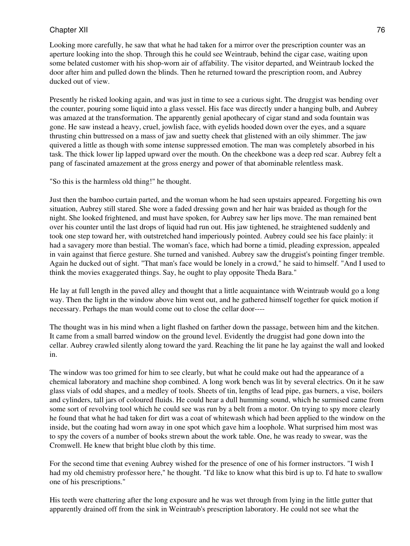Looking more carefully, he saw that what he had taken for a mirror over the prescription counter was an aperture looking into the shop. Through this he could see Weintraub, behind the cigar case, waiting upon some belated customer with his shop-worn air of affability. The visitor departed, and Weintraub locked the door after him and pulled down the blinds. Then he returned toward the prescription room, and Aubrey ducked out of view.

Presently he risked looking again, and was just in time to see a curious sight. The druggist was bending over the counter, pouring some liquid into a glass vessel. His face was directly under a hanging bulb, and Aubrey was amazed at the transformation. The apparently genial apothecary of cigar stand and soda fountain was gone. He saw instead a heavy, cruel, jowlish face, with eyelids hooded down over the eyes, and a square thrusting chin buttressed on a mass of jaw and suetty cheek that glistened with an oily shimmer. The jaw quivered a little as though with some intense suppressed emotion. The man was completely absorbed in his task. The thick lower lip lapped upward over the mouth. On the cheekbone was a deep red scar. Aubrey felt a pang of fascinated amazement at the gross energy and power of that abominable relentless mask.

"So this is the harmless old thing!" he thought.

Just then the bamboo curtain parted, and the woman whom he had seen upstairs appeared. Forgetting his own situation, Aubrey still stared. She wore a faded dressing gown and her hair was braided as though for the night. She looked frightened, and must have spoken, for Aubrey saw her lips move. The man remained bent over his counter until the last drops of liquid had run out. His jaw tightened, he straightened suddenly and took one step toward her, with outstretched hand imperiously pointed. Aubrey could see his face plainly: it had a savagery more than bestial. The woman's face, which had borne a timid, pleading expression, appealed in vain against that fierce gesture. She turned and vanished. Aubrey saw the druggist's pointing finger tremble. Again he ducked out of sight. "That man's face would be lonely in a crowd," he said to himself. "And I used to think the movies exaggerated things. Say, he ought to play opposite Theda Bara."

He lay at full length in the paved alley and thought that a little acquaintance with Weintraub would go a long way. Then the light in the window above him went out, and he gathered himself together for quick motion if necessary. Perhaps the man would come out to close the cellar door----

The thought was in his mind when a light flashed on farther down the passage, between him and the kitchen. It came from a small barred window on the ground level. Evidently the druggist had gone down into the cellar. Aubrey crawled silently along toward the yard. Reaching the lit pane he lay against the wall and looked in.

The window was too grimed for him to see clearly, but what he could make out had the appearance of a chemical laboratory and machine shop combined. A long work bench was lit by several electrics. On it he saw glass vials of odd shapes, and a medley of tools. Sheets of tin, lengths of lead pipe, gas burners, a vise, boilers and cylinders, tall jars of coloured fluids. He could hear a dull humming sound, which he surmised came from some sort of revolving tool which he could see was run by a belt from a motor. On trying to spy more clearly he found that what he had taken for dirt was a coat of whitewash which had been applied to the window on the inside, but the coating had worn away in one spot which gave him a loophole. What surprised him most was to spy the covers of a number of books strewn about the work table. One, he was ready to swear, was the Cromwell. He knew that bright blue cloth by this time.

For the second time that evening Aubrey wished for the presence of one of his former instructors. "I wish I had my old chemistry professor here," he thought. "I'd like to know what this bird is up to. I'd hate to swallow one of his prescriptions."

His teeth were chattering after the long exposure and he was wet through from lying in the little gutter that apparently drained off from the sink in Weintraub's prescription laboratory. He could not see what the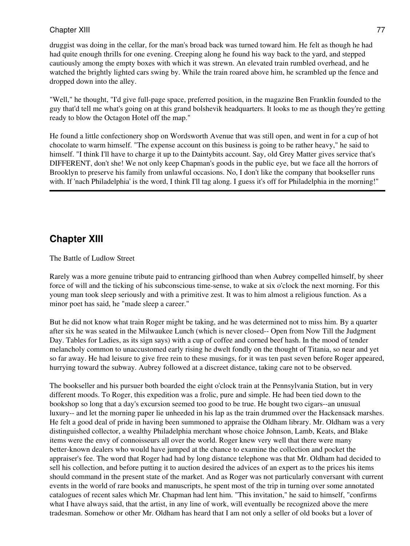druggist was doing in the cellar, for the man's broad back was turned toward him. He felt as though he had had quite enough thrills for one evening. Creeping along he found his way back to the yard, and stepped cautiously among the empty boxes with which it was strewn. An elevated train rumbled overhead, and he watched the brightly lighted cars swing by. While the train roared above him, he scrambled up the fence and dropped down into the alley.

"Well," he thought, "I'd give full-page space, preferred position, in the magazine Ben Franklin founded to the guy that'd tell me what's going on at this grand bolshevik headquarters. It looks to me as though they're getting ready to blow the Octagon Hotel off the map."

He found a little confectionery shop on Wordsworth Avenue that was still open, and went in for a cup of hot chocolate to warm himself. "The expense account on this business is going to be rather heavy," he said to himself. "I think I'll have to charge it up to the Daintybits account. Say, old Grey Matter gives service that's DIFFERENT, don't she! We not only keep Chapman's goods in the public eye, but we face all the horrors of Brooklyn to preserve his family from unlawful occasions. No, I don't like the company that bookseller runs with. If 'nach Philadelphia' is the word, I think I'll tag along. I guess it's off for Philadelphia in the morning!"

# **Chapter XIII**

The Battle of Ludlow Street

Rarely was a more genuine tribute paid to entrancing girlhood than when Aubrey compelled himself, by sheer force of will and the ticking of his subconscious time-sense, to wake at six o'clock the next morning. For this young man took sleep seriously and with a primitive zest. It was to him almost a religious function. As a minor poet has said, he "made sleep a career."

But he did not know what train Roger might be taking, and he was determined not to miss him. By a quarter after six he was seated in the Milwaukee Lunch (which is never closed-- Open from Now Till the Judgment Day. Tables for Ladies, as its sign says) with a cup of coffee and corned beef hash. In the mood of tender melancholy common to unaccustomed early rising he dwelt fondly on the thought of Titania, so near and yet so far away. He had leisure to give free rein to these musings, for it was ten past seven before Roger appeared, hurrying toward the subway. Aubrey followed at a discreet distance, taking care not to be observed.

The bookseller and his pursuer both boarded the eight o'clock train at the Pennsylvania Station, but in very different moods. To Roger, this expedition was a frolic, pure and simple. He had been tied down to the bookshop so long that a day's excursion seemed too good to be true. He bought two cigars--an unusual luxury-- and let the morning paper lie unheeded in his lap as the train drummed over the Hackensack marshes. He felt a good deal of pride in having been summoned to appraise the Oldham library. Mr. Oldham was a very distinguished collector, a wealthy Philadelphia merchant whose choice Johnson, Lamb, Keats, and Blake items were the envy of connoisseurs all over the world. Roger knew very well that there were many better-known dealers who would have jumped at the chance to examine the collection and pocket the appraiser's fee. The word that Roger had had by long distance telephone was that Mr. Oldham had decided to sell his collection, and before putting it to auction desired the advices of an expert as to the prices his items should command in the present state of the market. And as Roger was not particularly conversant with current events in the world of rare books and manuscripts, he spent most of the trip in turning over some annotated catalogues of recent sales which Mr. Chapman had lent him. "This invitation," he said to himself, "confirms what I have always said, that the artist, in any line of work, will eventually be recognized above the mere tradesman. Somehow or other Mr. Oldham has heard that I am not only a seller of old books but a lover of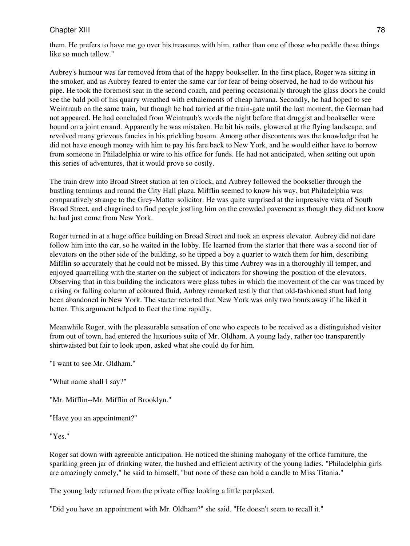them. He prefers to have me go over his treasures with him, rather than one of those who peddle these things like so much tallow."

Aubrey's humour was far removed from that of the happy bookseller. In the first place, Roger was sitting in the smoker, and as Aubrey feared to enter the same car for fear of being observed, he had to do without his pipe. He took the foremost seat in the second coach, and peering occasionally through the glass doors he could see the bald poll of his quarry wreathed with exhalements of cheap havana. Secondly, he had hoped to see Weintraub on the same train, but though he had tarried at the train-gate until the last moment, the German had not appeared. He had concluded from Weintraub's words the night before that druggist and bookseller were bound on a joint errand. Apparently he was mistaken. He bit his nails, glowered at the flying landscape, and revolved many grievous fancies in his prickling bosom. Among other discontents was the knowledge that he did not have enough money with him to pay his fare back to New York, and he would either have to borrow from someone in Philadelphia or wire to his office for funds. He had not anticipated, when setting out upon this series of adventures, that it would prove so costly.

The train drew into Broad Street station at ten o'clock, and Aubrey followed the bookseller through the bustling terminus and round the City Hall plaza. Mifflin seemed to know his way, but Philadelphia was comparatively strange to the Grey-Matter solicitor. He was quite surprised at the impressive vista of South Broad Street, and chagrined to find people jostling him on the crowded pavement as though they did not know he had just come from New York.

Roger turned in at a huge office building on Broad Street and took an express elevator. Aubrey did not dare follow him into the car, so he waited in the lobby. He learned from the starter that there was a second tier of elevators on the other side of the building, so he tipped a boy a quarter to watch them for him, describing Mifflin so accurately that he could not be missed. By this time Aubrey was in a thoroughly ill temper, and enjoyed quarrelling with the starter on the subject of indicators for showing the position of the elevators. Observing that in this building the indicators were glass tubes in which the movement of the car was traced by a rising or falling column of coloured fluid, Aubrey remarked testily that that old-fashioned stunt had long been abandoned in New York. The starter retorted that New York was only two hours away if he liked it better. This argument helped to fleet the time rapidly.

Meanwhile Roger, with the pleasurable sensation of one who expects to be received as a distinguished visitor from out of town, had entered the luxurious suite of Mr. Oldham. A young lady, rather too transparently shirtwaisted but fair to look upon, asked what she could do for him.

"I want to see Mr. Oldham."

"What name shall I say?"

"Mr. Mifflin--Mr. Mifflin of Brooklyn."

"Have you an appointment?"

"Yes."

Roger sat down with agreeable anticipation. He noticed the shining mahogany of the office furniture, the sparkling green jar of drinking water, the hushed and efficient activity of the young ladies. "Philadelphia girls are amazingly comely," he said to himself, "but none of these can hold a candle to Miss Titania."

The young lady returned from the private office looking a little perplexed.

"Did you have an appointment with Mr. Oldham?" she said. "He doesn't seem to recall it."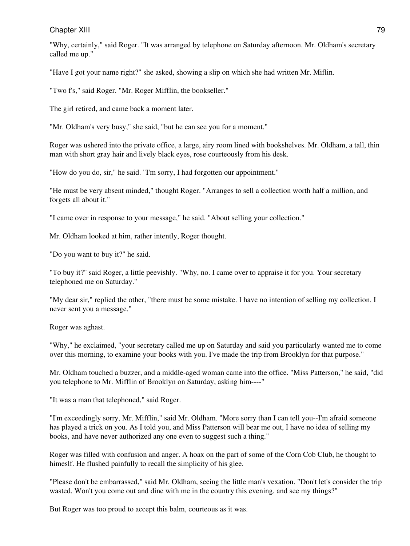"Why, certainly," said Roger. "It was arranged by telephone on Saturday afternoon. Mr. Oldham's secretary called me up."

"Have I got your name right?" she asked, showing a slip on which she had written Mr. Miflin.

"Two f's," said Roger. "Mr. Roger Mifflin, the bookseller."

The girl retired, and came back a moment later.

"Mr. Oldham's very busy," she said, "but he can see you for a moment."

Roger was ushered into the private office, a large, airy room lined with bookshelves. Mr. Oldham, a tall, thin man with short gray hair and lively black eyes, rose courteously from his desk.

"How do you do, sir," he said. "I'm sorry, I had forgotten our appointment."

"He must be very absent minded," thought Roger. "Arranges to sell a collection worth half a million, and forgets all about it."

"I came over in response to your message," he said. "About selling your collection."

Mr. Oldham looked at him, rather intently, Roger thought.

"Do you want to buy it?" he said.

"To buy it?" said Roger, a little peevishly. "Why, no. I came over to appraise it for you. Your secretary telephoned me on Saturday."

"My dear sir," replied the other, "there must be some mistake. I have no intention of selling my collection. I never sent you a message."

Roger was aghast.

"Why," he exclaimed, "your secretary called me up on Saturday and said you particularly wanted me to come over this morning, to examine your books with you. I've made the trip from Brooklyn for that purpose."

Mr. Oldham touched a buzzer, and a middle-aged woman came into the office. "Miss Patterson," he said, "did you telephone to Mr. Mifflin of Brooklyn on Saturday, asking him----"

"It was a man that telephoned," said Roger.

"I'm exceedingly sorry, Mr. Mifflin," said Mr. Oldham. "More sorry than I can tell you--I'm afraid someone has played a trick on you. As I told you, and Miss Patterson will bear me out, I have no idea of selling my books, and have never authorized any one even to suggest such a thing."

Roger was filled with confusion and anger. A hoax on the part of some of the Corn Cob Club, he thought to himeslf. He flushed painfully to recall the simplicity of his glee.

"Please don't be embarrassed," said Mr. Oldham, seeing the little man's vexation. "Don't let's consider the trip wasted. Won't you come out and dine with me in the country this evening, and see my things?"

But Roger was too proud to accept this balm, courteous as it was.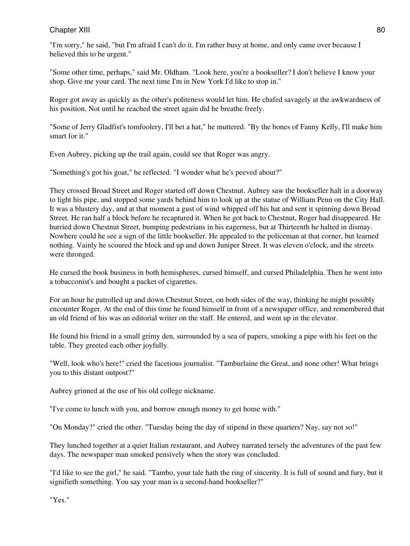"I'm sorry," he said, "but I'm afraid I can't do it. I'm rather busy at home, and only came over because I believed this to be urgent."

"Some other time, perhaps," said Mr. Oldham. "Look here, you're a bookseller? I don't believe I know your shop. Give me your card. The next time I'm in New York I'd like to stop in."

Roger got away as quickly as the other's politeness would let him. He chafed savagely at the awkwardness of his position. Not until he reached the street again did he breathe freely.

"Some of Jerry Gladfist's tomfoolery, I'll bet a hat," he muttered. "By the bones of Fanny Kelly, I'll make him smart for it."

Even Aubrey, picking up the trail again, could see that Roger was angry.

"Something's got his goat," he reflected. "I wonder what he's peeved about?"

They crossed Broad Street and Roger started off down Chestnut. Aubrey saw the bookseller halt in a doorway to light his pipe, and stopped some yards behind him to look up at the statue of William Penn on the City Hall. It was a blustery day, and at that moment a gust of wind whipped off his hat and sent it spinning down Broad Street. He ran half a block before he recaptured it. When he got back to Chestnut, Roger had disappeared. He hurried down Chestnut Street, bumping pedestrians in his eagerness, but at Thirteenth he halted in dismay. Nowhere could he see a sign of the little bookseller. He appealed to the policeman at that corner, but learned nothing. Vainly he scoured the block and up and down Juniper Street. It was eleven o'clock, and the streets were thronged.

He cursed the book business in both hemispheres, cursed himself, and cursed Philadelphia. Then he went into a tobacconist's and bought a packet of cigarettes.

For an hour he patrolled up and down Chestnut Street, on both sides of the way, thinking he might possibly encounter Roger. At the end of this time he found himself in front of a newspaper office, and remembered that an old friend of his was an editorial writer on the staff. He entered, and went up in the elevator.

He found his friend in a small grimy den, surrounded by a sea of papers, smoking a pipe with his feet on the table. They greeted each other joyfully.

"Well, look who's here!" cried the facetious journalist. "Tamburlaine the Great, and none other! What brings you to this distant outpost?"

Aubrey grinned at the use of his old college nickname.

"I've come to lunch with you, and borrow enough money to get home with."

"On Monday?" cried the other. "Tuesday being the day of stipend in these quarters? Nay, say not so!"

They lunched together at a quiet Italian restaurant, and Aubrey narrated tersely the adventures of the past few days. The newspaper man smoked pensively when the story was concluded.

"I'd like to see the girl," he said. "Tambo, your tale hath the ring of sincerity. It is full of sound and fury, but it signifieth something. You say your man is a second-hand bookseller?"

"Yes."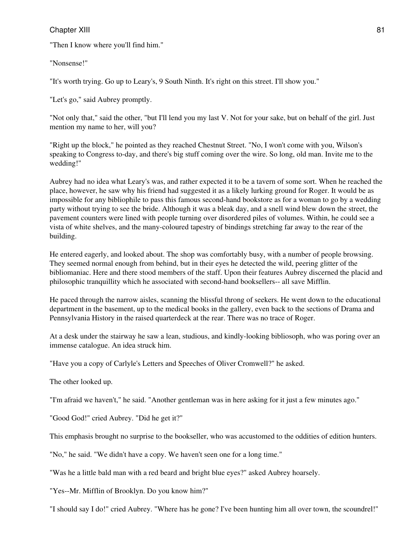"Then I know where you'll find him."

"Nonsense!"

"It's worth trying. Go up to Leary's, 9 South Ninth. It's right on this street. I'll show you."

"Let's go," said Aubrey promptly.

"Not only that," said the other, "but I'll lend you my last V. Not for your sake, but on behalf of the girl. Just mention my name to her, will you?

"Right up the block," he pointed as they reached Chestnut Street. "No, I won't come with you, Wilson's speaking to Congress to-day, and there's big stuff coming over the wire. So long, old man. Invite me to the wedding!"

Aubrey had no idea what Leary's was, and rather expected it to be a tavern of some sort. When he reached the place, however, he saw why his friend had suggested it as a likely lurking ground for Roger. It would be as impossible for any bibliophile to pass this famous second-hand bookstore as for a woman to go by a wedding party without trying to see the bride. Although it was a bleak day, and a snell wind blew down the street, the pavement counters were lined with people turning over disordered piles of volumes. Within, he could see a vista of white shelves, and the many-coloured tapestry of bindings stretching far away to the rear of the building.

He entered eagerly, and looked about. The shop was comfortably busy, with a number of people browsing. They seemed normal enough from behind, but in their eyes he detected the wild, peering glitter of the bibliomaniac. Here and there stood members of the staff. Upon their features Aubrey discerned the placid and philosophic tranquillity which he associated with second-hand booksellers-- all save Mifflin.

He paced through the narrow aisles, scanning the blissful throng of seekers. He went down to the educational department in the basement, up to the medical books in the gallery, even back to the sections of Drama and Pennsylvania History in the raised quarterdeck at the rear. There was no trace of Roger.

At a desk under the stairway he saw a lean, studious, and kindly-looking bibliosoph, who was poring over an immense catalogue. An idea struck him.

"Have you a copy of Carlyle's Letters and Speeches of Oliver Cromwell?" he asked.

The other looked up.

"I'm afraid we haven't," he said. "Another gentleman was in here asking for it just a few minutes ago."

"Good God!" cried Aubrey. "Did he get it?"

This emphasis brought no surprise to the bookseller, who was accustomed to the oddities of edition hunters.

"No," he said. "We didn't have a copy. We haven't seen one for a long time."

"Was he a little bald man with a red beard and bright blue eyes?" asked Aubrey hoarsely.

"Yes--Mr. Mifflin of Brooklyn. Do you know him?"

"I should say I do!" cried Aubrey. "Where has he gone? I've been hunting him all over town, the scoundrel!"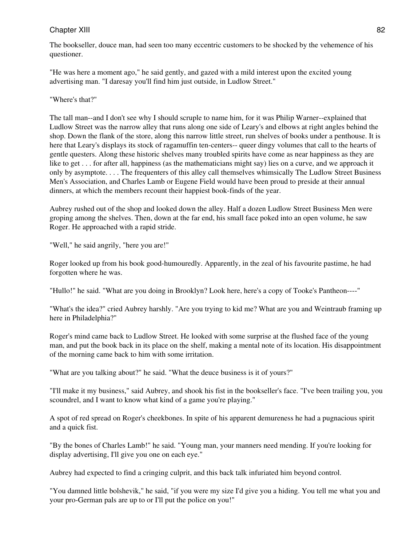The bookseller, douce man, had seen too many eccentric customers to be shocked by the vehemence of his questioner.

"He was here a moment ago," he said gently, and gazed with a mild interest upon the excited young advertising man. "I daresay you'll find him just outside, in Ludlow Street."

"Where's that?"

The tall man--and I don't see why I should scruple to name him, for it was Philip Warner--explained that Ludlow Street was the narrow alley that runs along one side of Leary's and elbows at right angles behind the shop. Down the flank of the store, along this narrow little street, run shelves of books under a penthouse. It is here that Leary's displays its stock of ragamuffin ten-centers-- queer dingy volumes that call to the hearts of gentle questers. Along these historic shelves many troubled spirits have come as near happiness as they are like to get . . . for after all, happiness (as the mathematicians might say) lies on a curve, and we approach it only by asymptote. . . . The frequenters of this alley call themselves whimsically The Ludlow Street Business Men's Association, and Charles Lamb or Eugene Field would have been proud to preside at their annual dinners, at which the members recount their happiest book-finds of the year.

Aubrey rushed out of the shop and looked down the alley. Half a dozen Ludlow Street Business Men were groping among the shelves. Then, down at the far end, his small face poked into an open volume, he saw Roger. He approached with a rapid stride.

"Well," he said angrily, "here you are!"

Roger looked up from his book good-humouredly. Apparently, in the zeal of his favourite pastime, he had forgotten where he was.

"Hullo!" he said. "What are you doing in Brooklyn? Look here, here's a copy of Tooke's Pantheon----"

"What's the idea?" cried Aubrey harshly. "Are you trying to kid me? What are you and Weintraub framing up here in Philadelphia?"

Roger's mind came back to Ludlow Street. He looked with some surprise at the flushed face of the young man, and put the book back in its place on the shelf, making a mental note of its location. His disappointment of the morning came back to him with some irritation.

"What are you talking about?" he said. "What the deuce business is it of yours?"

"I'll make it my business," said Aubrey, and shook his fist in the bookseller's face. "I've been trailing you, you scoundrel, and I want to know what kind of a game you're playing."

A spot of red spread on Roger's cheekbones. In spite of his apparent demureness he had a pugnacious spirit and a quick fist.

"By the bones of Charles Lamb!" he said. "Young man, your manners need mending. If you're looking for display advertising, I'll give you one on each eye."

Aubrey had expected to find a cringing culprit, and this back talk infuriated him beyond control.

"You damned little bolshevik," he said, "if you were my size I'd give you a hiding. You tell me what you and your pro-German pals are up to or I'll put the police on you!"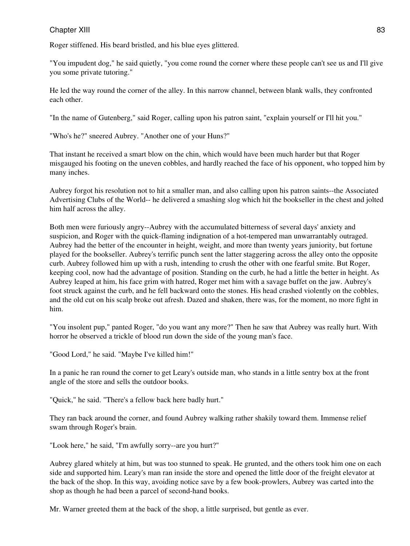Roger stiffened. His beard bristled, and his blue eyes glittered.

"You impudent dog," he said quietly, "you come round the corner where these people can't see us and I'll give you some private tutoring."

He led the way round the corner of the alley. In this narrow channel, between blank walls, they confronted each other.

"In the name of Gutenberg," said Roger, calling upon his patron saint, "explain yourself or I'll hit you."

"Who's he?" sneered Aubrey. "Another one of your Huns?"

That instant he received a smart blow on the chin, which would have been much harder but that Roger misgauged his footing on the uneven cobbles, and hardly reached the face of his opponent, who topped him by many inches.

Aubrey forgot his resolution not to hit a smaller man, and also calling upon his patron saints--the Associated Advertising Clubs of the World-- he delivered a smashing slog which hit the bookseller in the chest and jolted him half across the alley.

Both men were furiously angry--Aubrey with the accumulated bitterness of several days' anxiety and suspicion, and Roger with the quick-flaming indignation of a hot-tempered man unwarrantably outraged. Aubrey had the better of the encounter in height, weight, and more than twenty years juniority, but fortune played for the bookseller. Aubrey's terrific punch sent the latter staggering across the alley onto the opposite curb. Aubrey followed him up with a rush, intending to crush the other with one fearful smite. But Roger, keeping cool, now had the advantage of position. Standing on the curb, he had a little the better in height. As Aubrey leaped at him, his face grim with hatred, Roger met him with a savage buffet on the jaw. Aubrey's foot struck against the curb, and he fell backward onto the stones. His head crashed violently on the cobbles, and the old cut on his scalp broke out afresh. Dazed and shaken, there was, for the moment, no more fight in him.

"You insolent pup," panted Roger, "do you want any more?" Then he saw that Aubrey was really hurt. With horror he observed a trickle of blood run down the side of the young man's face.

"Good Lord," he said. "Maybe I've killed him!"

In a panic he ran round the corner to get Leary's outside man, who stands in a little sentry box at the front angle of the store and sells the outdoor books.

"Quick," he said. "There's a fellow back here badly hurt."

They ran back around the corner, and found Aubrey walking rather shakily toward them. Immense relief swam through Roger's brain.

"Look here," he said, "I'm awfully sorry--are you hurt?"

Aubrey glared whitely at him, but was too stunned to speak. He grunted, and the others took him one on each side and supported him. Leary's man ran inside the store and opened the little door of the freight elevator at the back of the shop. In this way, avoiding notice save by a few book-prowlers, Aubrey was carted into the shop as though he had been a parcel of second-hand books.

Mr. Warner greeted them at the back of the shop, a little surprised, but gentle as ever.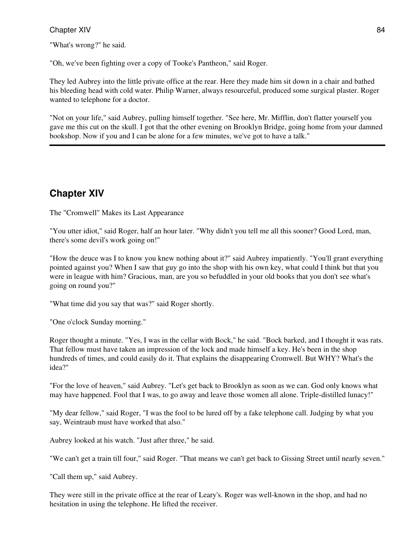"What's wrong?" he said.

"Oh, we've been fighting over a copy of Tooke's Pantheon," said Roger.

They led Aubrey into the little private office at the rear. Here they made him sit down in a chair and bathed his bleeding head with cold water. Philip Warner, always resourceful, produced some surgical plaster. Roger wanted to telephone for a doctor.

"Not on your life," said Aubrey, pulling himself together. "See here, Mr. Mifflin, don't flatter yourself you gave me this cut on the skull. I got that the other evening on Brooklyn Bridge, going home from your damned bookshop. Now if you and I can be alone for a few minutes, we've got to have a talk."

# **Chapter XIV**

The "Cromwell" Makes its Last Appearance

"You utter idiot," said Roger, half an hour later. "Why didn't you tell me all this sooner? Good Lord, man, there's some devil's work going on!"

"How the deuce was I to know you knew nothing about it?" said Aubrey impatiently. "You'll grant everything pointed against you? When I saw that guy go into the shop with his own key, what could I think but that you were in league with him? Gracious, man, are you so befuddled in your old books that you don't see what's going on round you?"

"What time did you say that was?" said Roger shortly.

"One o'clock Sunday morning."

Roger thought a minute. "Yes, I was in the cellar with Bock," he said. "Bock barked, and I thought it was rats. That fellow must have taken an impression of the lock and made himself a key. He's been in the shop hundreds of times, and could easily do it. That explains the disappearing Cromwell. But WHY? What's the idea?"

"For the love of heaven," said Aubrey. "Let's get back to Brooklyn as soon as we can. God only knows what may have happened. Fool that I was, to go away and leave those women all alone. Triple-distilled lunacy!"

"My dear fellow," said Roger, "I was the fool to be lured off by a fake telephone call. Judging by what you say, Weintraub must have worked that also."

Aubrey looked at his watch. "Just after three," he said.

"We can't get a train till four," said Roger. "That means we can't get back to Gissing Street until nearly seven."

"Call them up," said Aubrey.

They were still in the private office at the rear of Leary's. Roger was well-known in the shop, and had no hesitation in using the telephone. He lifted the receiver.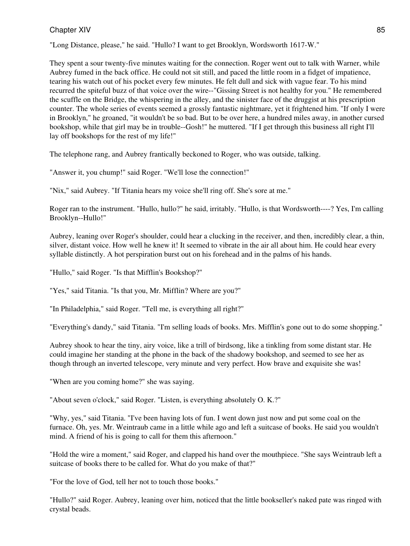"Long Distance, please," he said. "Hullo? I want to get Brooklyn, Wordsworth 1617-W."

They spent a sour twenty-five minutes waiting for the connection. Roger went out to talk with Warner, while Aubrey fumed in the back office. He could not sit still, and paced the little room in a fidget of impatience, tearing his watch out of his pocket every few minutes. He felt dull and sick with vague fear. To his mind recurred the spiteful buzz of that voice over the wire--"Gissing Street is not healthy for you." He remembered the scuffle on the Bridge, the whispering in the alley, and the sinister face of the druggist at his prescription counter. The whole series of events seemed a grossly fantastic nightmare, yet it frightened him. "If only I were in Brooklyn," he groaned, "it wouldn't be so bad. But to be over here, a hundred miles away, in another cursed bookshop, while that girl may be in trouble--Gosh!" he muttered. "If I get through this business all right I'll lay off bookshops for the rest of my life!"

The telephone rang, and Aubrey frantically beckoned to Roger, who was outside, talking.

"Answer it, you chump!" said Roger. "We'll lose the connection!"

"Nix," said Aubrey. "If Titania hears my voice she'll ring off. She's sore at me."

Roger ran to the instrument. "Hullo, hullo?" he said, irritably. "Hullo, is that Wordsworth----? Yes, I'm calling Brooklyn--Hullo!"

Aubrey, leaning over Roger's shoulder, could hear a clucking in the receiver, and then, incredibly clear, a thin, silver, distant voice. How well he knew it! It seemed to vibrate in the air all about him. He could hear every syllable distinctly. A hot perspiration burst out on his forehead and in the palms of his hands.

"Hullo," said Roger. "Is that Mifflin's Bookshop?"

"Yes," said Titania. "Is that you, Mr. Mifflin? Where are you?"

"In Philadelphia," said Roger. "Tell me, is everything all right?"

"Everything's dandy," said Titania. "I'm selling loads of books. Mrs. Mifflin's gone out to do some shopping."

Aubrey shook to hear the tiny, airy voice, like a trill of birdsong, like a tinkling from some distant star. He could imagine her standing at the phone in the back of the shadowy bookshop, and seemed to see her as though through an inverted telescope, very minute and very perfect. How brave and exquisite she was!

"When are you coming home?" she was saying.

"About seven o'clock," said Roger. "Listen, is everything absolutely O. K.?"

"Why, yes," said Titania. "I've been having lots of fun. I went down just now and put some coal on the furnace. Oh, yes. Mr. Weintraub came in a little while ago and left a suitcase of books. He said you wouldn't mind. A friend of his is going to call for them this afternoon."

"Hold the wire a moment," said Roger, and clapped his hand over the mouthpiece. "She says Weintraub left a suitcase of books there to be called for. What do you make of that?"

"For the love of God, tell her not to touch those books."

"Hullo?" said Roger. Aubrey, leaning over him, noticed that the little bookseller's naked pate was ringed with crystal beads.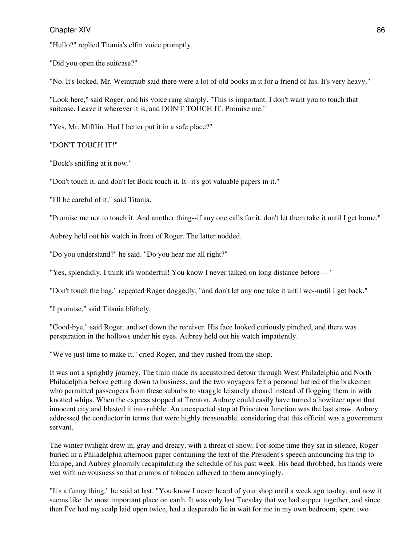"Hullo?" replied Titania's elfin voice promptly.

"Did you open the suitcase?"

"No. It's locked. Mr. Weintraub said there were a lot of old books in it for a friend of his. It's very heavy."

"Look here," said Roger, and his voice rang sharply. "This is important. I don't want you to touch that suitcase. Leave it wherever it is, and DON'T TOUCH IT. Promise me."

"Yes, Mr. Mifflin. Had I better put it in a safe place?"

"DON'T TOUCH IT!"

"Bock's sniffing at it now."

"Don't touch it, and don't let Bock touch it. It--it's got valuable papers in it."

"I'll be careful of it," said Titania.

"Promise me not to touch it. And another thing--if any one calls for it, don't let them take it until I get home."

Aubrey held out his watch in front of Roger. The latter nodded.

"Do you understand?" he said. "Do you hear me all right?"

"Yes, splendidly. I think it's wonderful! You know I never talked on long distance before----"

"Don't touch the bag," repeated Roger doggedly, "and don't let any one take it until we--until I get back."

"I promise," said Titania blithely.

"Good-bye," said Roger, and set down the receiver. His face looked curiously pinched, and there was perspiration in the hollows under his eyes. Aubrey held out his watch impatiently.

"We've just time to make it," cried Roger, and they rushed from the shop.

It was not a sprightly journey. The train made its accustomed detour through West Philadelphia and North Philadelphia before getting down to business, and the two voyagers felt a personal hatred of the brakemen who permitted passengers from these suburbs to straggle leisurely aboard instead of flogging them in with knotted whips. When the express stopped at Trenton, Aubrey could easily have turned a howitzer upon that innocent city and blasted it into rubble. An unexpected stop at Princeton Junction was the last straw. Aubrey addressed the conductor in terms that were highly treasonable, considering that this official was a government servant.

The winter twilight drew in, gray and dreary, with a threat of snow. For some time they sat in silence, Roger buried in a Philadelphia afternoon paper containing the text of the President's speech announcing his trip to Europe, and Aubrey gloomily recapitulating the schedule of his past week. His head throbbed, his hands were wet with nervousness so that crumbs of tobacco adhered to them annoyingly.

"It's a funny thing," he said at last. "You know I never heard of your shop until a week ago to-day, and now it seems like the most important place on earth. It was only last Tuesday that we had supper together, and since then I've had my scalp laid open twice, had a desperado lie in wait for me in my own bedroom, spent two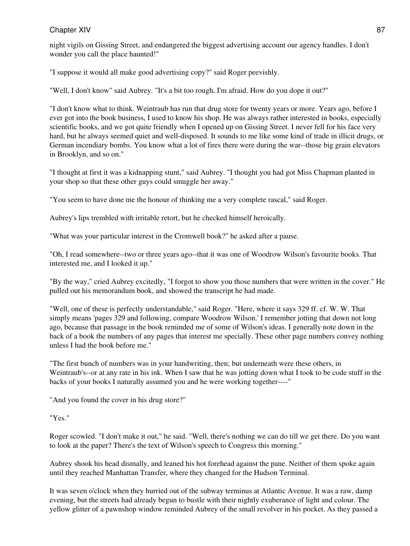night vigils on Gissing Street, and endangered the biggest advertising account our agency handles. I don't wonder you call the place haunted!"

"I suppose it would all make good advertising copy?" said Roger peevishly.

"Well, I don't know" said Aubrey. "It's a bit too rough, I'm afraid. How do you dope it out?"

"I don't know what to think. Weintraub has run that drug store for twenty years or more. Years ago, before I ever got into the book business, I used to know his shop. He was always rather interested in books, especially scientific books, and we got quite friendly when I opened up on Gissing Street. I never fell for his face very hard, but he always seemed quiet and well-disposed. It sounds to me like some kind of trade in illicit drugs, or German incendiary bombs. You know what a lot of fires there were during the war--those big grain elevators in Brooklyn, and so on."

"I thought at first it was a kidnapping stunt," said Aubrey. "I thought you had got Miss Chapman planted in your shop so that these other guys could smuggle her away."

"You seem to have done me the honour of thinking me a very complete rascal," said Roger.

Aubrey's lips trembled with irritable retort, but he checked himself heroically.

"What was your particular interest in the Cromwell book?" he asked after a pause.

"Oh, I read somewhere--two or three years ago--that it was one of Woodrow Wilson's favourite books. That interested me, and I looked it up."

"By the way," cried Aubrey excitedly, "I forgot to show you those numbers that were written in the cover." He pulled out his memorandum book, and showed the transcript he had made.

"Well, one of these is perfectly understandable," said Roger. "Here, where it says 329 ff. cf. W. W. That simply means 'pages 329 and following, compare Woodrow Wilson.' I remember jotting that down not long ago, because that passage in the book reminded me of some of Wilson's ideas. I generally note down in the back of a book the numbers of any pages that interest me specially. These other page numbers convey nothing unless I had the book before me."

"The first bunch of numbers was in your handwriting, then; but underneath were these others, in Weintraub's--or at any rate in his ink. When I saw that he was jotting down what I took to be code stuff in the backs of your books I naturally assumed you and he were working together----"

"And you found the cover in his drug store?"

"Yes."

Roger scowled. "I don't make it out," he said. "Well, there's nothing we can do till we get there. Do you want to look at the paper? There's the text of Wilson's speech to Congress this morning."

Aubrey shook his head dismally, and leaned his hot forehead against the pane. Neither of them spoke again until they reached Manhattan Transfer, where they changed for the Hudson Terminal.

It was seven o'clock when they hurried out of the subway terminus at Atlantic Avenue. It was a raw, damp evening, but the streets had already begun to bustle with their nightly exuberance of light and colour. The yellow glitter of a pawnshop window reminded Aubrey of the small revolver in his pocket. As they passed a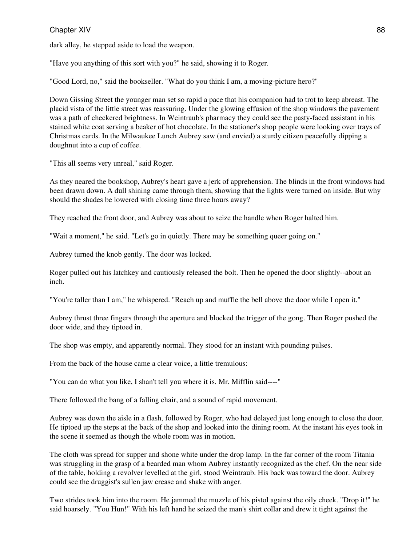dark alley, he stepped aside to load the weapon.

"Have you anything of this sort with you?" he said, showing it to Roger.

"Good Lord, no," said the bookseller. "What do you think I am, a moving-picture hero?"

Down Gissing Street the younger man set so rapid a pace that his companion had to trot to keep abreast. The placid vista of the little street was reassuring. Under the glowing effusion of the shop windows the pavement was a path of checkered brightness. In Weintraub's pharmacy they could see the pasty-faced assistant in his stained white coat serving a beaker of hot chocolate. In the stationer's shop people were looking over trays of Christmas cards. In the Milwaukee Lunch Aubrey saw (and envied) a sturdy citizen peacefully dipping a doughnut into a cup of coffee.

"This all seems very unreal," said Roger.

As they neared the bookshop, Aubrey's heart gave a jerk of apprehension. The blinds in the front windows had been drawn down. A dull shining came through them, showing that the lights were turned on inside. But why should the shades be lowered with closing time three hours away?

They reached the front door, and Aubrey was about to seize the handle when Roger halted him.

"Wait a moment," he said. "Let's go in quietly. There may be something queer going on."

Aubrey turned the knob gently. The door was locked.

Roger pulled out his latchkey and cautiously released the bolt. Then he opened the door slightly--about an inch.

"You're taller than I am," he whispered. "Reach up and muffle the bell above the door while I open it."

Aubrey thrust three fingers through the aperture and blocked the trigger of the gong. Then Roger pushed the door wide, and they tiptoed in.

The shop was empty, and apparently normal. They stood for an instant with pounding pulses.

From the back of the house came a clear voice, a little tremulous:

"You can do what you like, I shan't tell you where it is. Mr. Mifflin said----"

There followed the bang of a falling chair, and a sound of rapid movement.

Aubrey was down the aisle in a flash, followed by Roger, who had delayed just long enough to close the door. He tiptoed up the steps at the back of the shop and looked into the dining room. At the instant his eyes took in the scene it seemed as though the whole room was in motion.

The cloth was spread for supper and shone white under the drop lamp. In the far corner of the room Titania was struggling in the grasp of a bearded man whom Aubrey instantly recognized as the chef. On the near side of the table, holding a revolver levelled at the girl, stood Weintraub. His back was toward the door. Aubrey could see the druggist's sullen jaw crease and shake with anger.

Two strides took him into the room. He jammed the muzzle of his pistol against the oily cheek. "Drop it!" he said hoarsely. "You Hun!" With his left hand he seized the man's shirt collar and drew it tight against the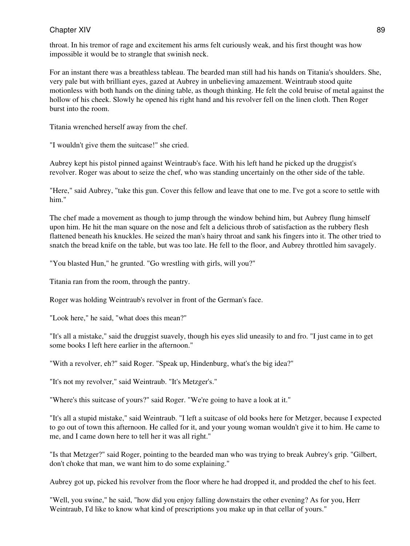throat. In his tremor of rage and excitement his arms felt curiously weak, and his first thought was how impossible it would be to strangle that swinish neck.

For an instant there was a breathless tableau. The bearded man still had his hands on Titania's shoulders. She, very pale but with brilliant eyes, gazed at Aubrey in unbelieving amazement. Weintraub stood quite motionless with both hands on the dining table, as though thinking. He felt the cold bruise of metal against the hollow of his cheek. Slowly he opened his right hand and his revolver fell on the linen cloth. Then Roger burst into the room.

Titania wrenched herself away from the chef.

"I wouldn't give them the suitcase!" she cried.

Aubrey kept his pistol pinned against Weintraub's face. With his left hand he picked up the druggist's revolver. Roger was about to seize the chef, who was standing uncertainly on the other side of the table.

"Here," said Aubrey, "take this gun. Cover this fellow and leave that one to me. I've got a score to settle with him."

The chef made a movement as though to jump through the window behind him, but Aubrey flung himself upon him. He hit the man square on the nose and felt a delicious throb of satisfaction as the rubbery flesh flattened beneath his knuckles. He seized the man's hairy throat and sank his fingers into it. The other tried to snatch the bread knife on the table, but was too late. He fell to the floor, and Aubrey throttled him savagely.

"You blasted Hun," he grunted. "Go wrestling with girls, will you?"

Titania ran from the room, through the pantry.

Roger was holding Weintraub's revolver in front of the German's face.

"Look here," he said, "what does this mean?"

"It's all a mistake," said the druggist suavely, though his eyes slid uneasily to and fro. "I just came in to get some books I left here earlier in the afternoon."

"With a revolver, eh?" said Roger. "Speak up, Hindenburg, what's the big idea?"

"It's not my revolver," said Weintraub. "It's Metzger's."

"Where's this suitcase of yours?" said Roger. "We're going to have a look at it."

"It's all a stupid mistake," said Weintraub. "I left a suitcase of old books here for Metzger, because I expected to go out of town this afternoon. He called for it, and your young woman wouldn't give it to him. He came to me, and I came down here to tell her it was all right."

"Is that Metzger?" said Roger, pointing to the bearded man who was trying to break Aubrey's grip. "Gilbert, don't choke that man, we want him to do some explaining."

Aubrey got up, picked his revolver from the floor where he had dropped it, and prodded the chef to his feet.

"Well, you swine," he said, "how did you enjoy falling downstairs the other evening? As for you, Herr Weintraub, I'd like to know what kind of prescriptions you make up in that cellar of yours."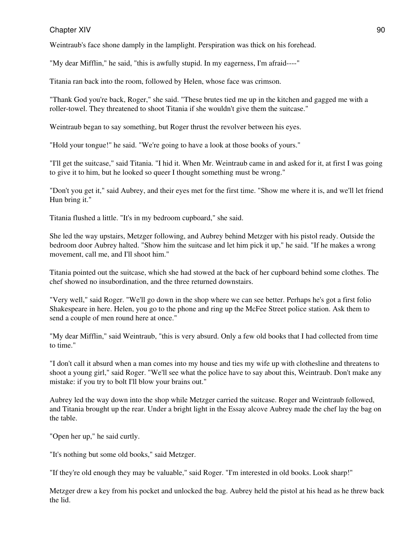Weintraub's face shone damply in the lamplight. Perspiration was thick on his forehead.

"My dear Mifflin," he said, "this is awfully stupid. In my eagerness, I'm afraid----"

Titania ran back into the room, followed by Helen, whose face was crimson.

"Thank God you're back, Roger," she said. "These brutes tied me up in the kitchen and gagged me with a roller-towel. They threatened to shoot Titania if she wouldn't give them the suitcase."

Weintraub began to say something, but Roger thrust the revolver between his eyes.

"Hold your tongue!" he said. "We're going to have a look at those books of yours."

"I'll get the suitcase," said Titania. "I hid it. When Mr. Weintraub came in and asked for it, at first I was going to give it to him, but he looked so queer I thought something must be wrong."

"Don't you get it," said Aubrey, and their eyes met for the first time. "Show me where it is, and we'll let friend Hun bring it."

Titania flushed a little. "It's in my bedroom cupboard," she said.

She led the way upstairs, Metzger following, and Aubrey behind Metzger with his pistol ready. Outside the bedroom door Aubrey halted. "Show him the suitcase and let him pick it up," he said. "If he makes a wrong movement, call me, and I'll shoot him."

Titania pointed out the suitcase, which she had stowed at the back of her cupboard behind some clothes. The chef showed no insubordination, and the three returned downstairs.

"Very well," said Roger. "We'll go down in the shop where we can see better. Perhaps he's got a first folio Shakespeare in here. Helen, you go to the phone and ring up the McFee Street police station. Ask them to send a couple of men round here at once."

"My dear Mifflin," said Weintraub, "this is very absurd. Only a few old books that I had collected from time to time."

"I don't call it absurd when a man comes into my house and ties my wife up with clothesline and threatens to shoot a young girl," said Roger. "We'll see what the police have to say about this, Weintraub. Don't make any mistake: if you try to bolt I'll blow your brains out."

Aubrey led the way down into the shop while Metzger carried the suitcase. Roger and Weintraub followed, and Titania brought up the rear. Under a bright light in the Essay alcove Aubrey made the chef lay the bag on the table.

"Open her up," he said curtly.

"It's nothing but some old books," said Metzger.

"If they're old enough they may be valuable," said Roger. "I'm interested in old books. Look sharp!"

Metzger drew a key from his pocket and unlocked the bag. Aubrey held the pistol at his head as he threw back the lid.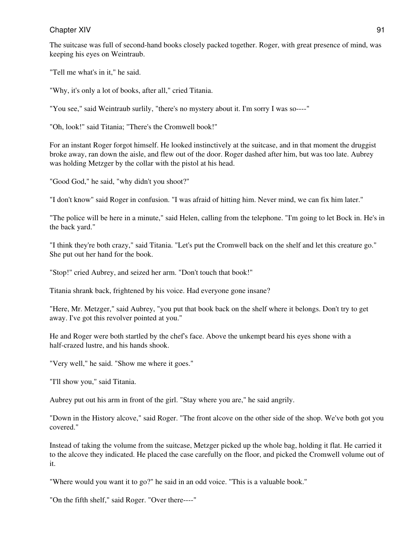The suitcase was full of second-hand books closely packed together. Roger, with great presence of mind, was keeping his eyes on Weintraub.

"Tell me what's in it," he said.

"Why, it's only a lot of books, after all," cried Titania.

"You see," said Weintraub surlily, "there's no mystery about it. I'm sorry I was so----"

"Oh, look!" said Titania; "There's the Cromwell book!"

For an instant Roger forgot himself. He looked instinctively at the suitcase, and in that moment the druggist broke away, ran down the aisle, and flew out of the door. Roger dashed after him, but was too late. Aubrey was holding Metzger by the collar with the pistol at his head.

"Good God," he said, "why didn't you shoot?"

"I don't know" said Roger in confusion. "I was afraid of hitting him. Never mind, we can fix him later."

"The police will be here in a minute," said Helen, calling from the telephone. "I'm going to let Bock in. He's in the back yard."

"I think they're both crazy," said Titania. "Let's put the Cromwell back on the shelf and let this creature go." She put out her hand for the book.

"Stop!" cried Aubrey, and seized her arm. "Don't touch that book!"

Titania shrank back, frightened by his voice. Had everyone gone insane?

"Here, Mr. Metzger," said Aubrey, "you put that book back on the shelf where it belongs. Don't try to get away. I've got this revolver pointed at you."

He and Roger were both startled by the chef's face. Above the unkempt beard his eyes shone with a half-crazed lustre, and his hands shook.

"Very well," he said. "Show me where it goes."

"I'll show you," said Titania.

Aubrey put out his arm in front of the girl. "Stay where you are," he said angrily.

"Down in the History alcove," said Roger. "The front alcove on the other side of the shop. We've both got you covered."

Instead of taking the volume from the suitcase, Metzger picked up the whole bag, holding it flat. He carried it to the alcove they indicated. He placed the case carefully on the floor, and picked the Cromwell volume out of it.

"Where would you want it to go?" he said in an odd voice. "This is a valuable book."

"On the fifth shelf," said Roger. "Over there----"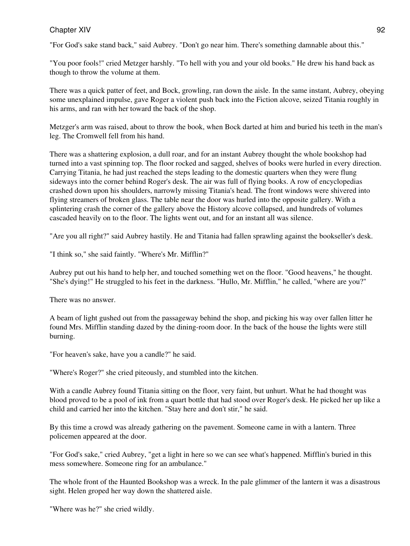"For God's sake stand back," said Aubrey. "Don't go near him. There's something damnable about this."

"You poor fools!" cried Metzger harshly. "To hell with you and your old books." He drew his hand back as though to throw the volume at them.

There was a quick patter of feet, and Bock, growling, ran down the aisle. In the same instant, Aubrey, obeying some unexplained impulse, gave Roger a violent push back into the Fiction alcove, seized Titania roughly in his arms, and ran with her toward the back of the shop.

Metzger's arm was raised, about to throw the book, when Bock darted at him and buried his teeth in the man's leg. The Cromwell fell from his hand.

There was a shattering explosion, a dull roar, and for an instant Aubrey thought the whole bookshop had turned into a vast spinning top. The floor rocked and sagged, shelves of books were hurled in every direction. Carrying Titania, he had just reached the steps leading to the domestic quarters when they were flung sideways into the corner behind Roger's desk. The air was full of flying books. A row of encyclopedias crashed down upon his shoulders, narrowly missing Titania's head. The front windows were shivered into flying streamers of broken glass. The table near the door was hurled into the opposite gallery. With a splintering crash the corner of the gallery above the History alcove collapsed, and hundreds of volumes cascaded heavily on to the floor. The lights went out, and for an instant all was silence.

"Are you all right?" said Aubrey hastily. He and Titania had fallen sprawling against the bookseller's desk.

"I think so," she said faintly. "Where's Mr. Mifflin?"

Aubrey put out his hand to help her, and touched something wet on the floor. "Good heavens," he thought. "She's dying!" He struggled to his feet in the darkness. "Hullo, Mr. Mifflin," he called, "where are you?"

There was no answer.

A beam of light gushed out from the passageway behind the shop, and picking his way over fallen litter he found Mrs. Mifflin standing dazed by the dining-room door. In the back of the house the lights were still burning.

"For heaven's sake, have you a candle?" he said.

"Where's Roger?" she cried piteously, and stumbled into the kitchen.

With a candle Aubrey found Titania sitting on the floor, very faint, but unhurt. What he had thought was blood proved to be a pool of ink from a quart bottle that had stood over Roger's desk. He picked her up like a child and carried her into the kitchen. "Stay here and don't stir," he said.

By this time a crowd was already gathering on the pavement. Someone came in with a lantern. Three policemen appeared at the door.

"For God's sake," cried Aubrey, "get a light in here so we can see what's happened. Mifflin's buried in this mess somewhere. Someone ring for an ambulance."

The whole front of the Haunted Bookshop was a wreck. In the pale glimmer of the lantern it was a disastrous sight. Helen groped her way down the shattered aisle.

"Where was he?" she cried wildly.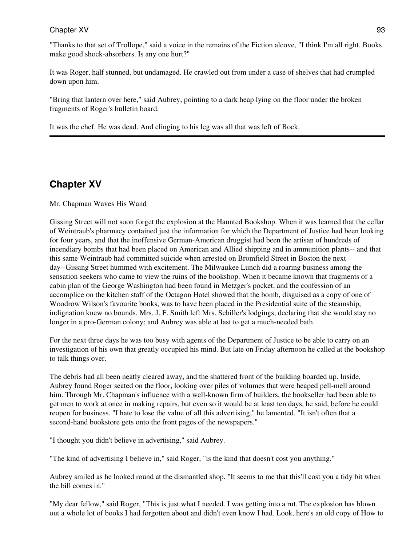"Thanks to that set of Trollope," said a voice in the remains of the Fiction alcove, "I think I'm all right. Books make good shock-absorbers. Is any one hurt?"

It was Roger, half stunned, but undamaged. He crawled out from under a case of shelves that had crumpled down upon him.

"Bring that lantern over here," said Aubrey, pointing to a dark heap lying on the floor under the broken fragments of Roger's bulletin board.

It was the chef. He was dead. And clinging to his leg was all that was left of Bock.

# **Chapter XV**

Mr. Chapman Waves His Wand

Gissing Street will not soon forget the explosion at the Haunted Bookshop. When it was learned that the cellar of Weintraub's pharmacy contained just the information for which the Department of Justice had been looking for four years, and that the inoffensive German-American druggist had been the artisan of hundreds of incendiary bombs that had been placed on American and Allied shipping and in ammunition plants-- and that this same Weintraub had committed suicide when arrested on Bromfield Street in Boston the next day--Gissing Street hummed with excitement. The Milwaukee Lunch did a roaring business among the sensation seekers who came to view the ruins of the bookshop. When it became known that fragments of a cabin plan of the George Washington had been found in Metzger's pocket, and the confession of an accomplice on the kitchen staff of the Octagon Hotel showed that the bomb, disguised as a copy of one of Woodrow Wilson's favourite books, was to have been placed in the Presidential suite of the steamship, indignation knew no bounds. Mrs. J. F. Smith left Mrs. Schiller's lodgings, declaring that she would stay no longer in a pro-German colony; and Aubrey was able at last to get a much-needed bath.

For the next three days he was too busy with agents of the Department of Justice to be able to carry on an investigation of his own that greatly occupied his mind. But late on Friday afternoon he called at the bookshop to talk things over.

The debris had all been neatly cleared away, and the shattered front of the building boarded up. Inside, Aubrey found Roger seated on the floor, looking over piles of volumes that were heaped pell-mell around him. Through Mr. Chapman's influence with a well-known firm of builders, the bookseller had been able to get men to work at once in making repairs, but even so it would be at least ten days, he said, before he could reopen for business. "I hate to lose the value of all this advertising," he lamented. "It isn't often that a second-hand bookstore gets onto the front pages of the newspapers."

"I thought you didn't believe in advertising," said Aubrey.

"The kind of advertising I believe in," said Roger, "is the kind that doesn't cost you anything."

Aubrey smiled as he looked round at the dismantled shop. "It seems to me that this'll cost you a tidy bit when the bill comes in."

"My dear fellow," said Roger, "This is just what I needed. I was getting into a rut. The explosion has blown out a whole lot of books I had forgotten about and didn't even know I had. Look, here's an old copy of How to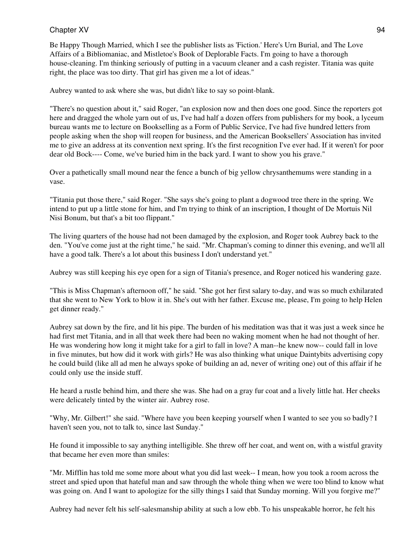Be Happy Though Married, which I see the publisher lists as 'Fiction.' Here's Urn Burial, and The Love Affairs of a Bibliomaniac, and Mistletoe's Book of Deplorable Facts. I'm going to have a thorough house-cleaning. I'm thinking seriously of putting in a vacuum cleaner and a cash register. Titania was quite right, the place was too dirty. That girl has given me a lot of ideas."

Aubrey wanted to ask where she was, but didn't like to say so point-blank.

"There's no question about it," said Roger, "an explosion now and then does one good. Since the reporters got here and dragged the whole yarn out of us, I've had half a dozen offers from publishers for my book, a lyceum bureau wants me to lecture on Bookselling as a Form of Public Service, I've had five hundred letters from people asking when the shop will reopen for business, and the American Booksellers' Association has invited me to give an address at its convention next spring. It's the first recognition I've ever had. If it weren't for poor dear old Bock---- Come, we've buried him in the back yard. I want to show you his grave."

Over a pathetically small mound near the fence a bunch of big yellow chrysanthemums were standing in a vase.

"Titania put those there," said Roger. "She says she's going to plant a dogwood tree there in the spring. We intend to put up a little stone for him, and I'm trying to think of an inscription, I thought of De Mortuis Nil Nisi Bonum, but that's a bit too flippant."

The living quarters of the house had not been damaged by the explosion, and Roger took Aubrey back to the den. "You've come just at the right time," he said. "Mr. Chapman's coming to dinner this evening, and we'll all have a good talk. There's a lot about this business I don't understand yet."

Aubrey was still keeping his eye open for a sign of Titania's presence, and Roger noticed his wandering gaze.

"This is Miss Chapman's afternoon off," he said. "She got her first salary to-day, and was so much exhilarated that she went to New York to blow it in. She's out with her father. Excuse me, please, I'm going to help Helen get dinner ready."

Aubrey sat down by the fire, and lit his pipe. The burden of his meditation was that it was just a week since he had first met Titania, and in all that week there had been no waking moment when he had not thought of her. He was wondering how long it might take for a girl to fall in love? A man--he knew now-- could fall in love in five minutes, but how did it work with girls? He was also thinking what unique Daintybits advertising copy he could build (like all ad men he always spoke of building an ad, never of writing one) out of this affair if he could only use the inside stuff.

He heard a rustle behind him, and there she was. She had on a gray fur coat and a lively little hat. Her cheeks were delicately tinted by the winter air. Aubrey rose.

"Why, Mr. Gilbert!" she said. "Where have you been keeping yourself when I wanted to see you so badly? I haven't seen you, not to talk to, since last Sunday."

He found it impossible to say anything intelligible. She threw off her coat, and went on, with a wistful gravity that became her even more than smiles:

"Mr. Mifflin has told me some more about what you did last week-- I mean, how you took a room across the street and spied upon that hateful man and saw through the whole thing when we were too blind to know what was going on. And I want to apologize for the silly things I said that Sunday morning. Will you forgive me?"

Aubrey had never felt his self-salesmanship ability at such a low ebb. To his unspeakable horror, he felt his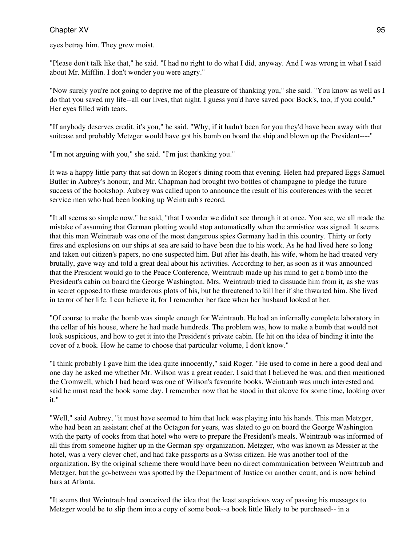eyes betray him. They grew moist.

"Please don't talk like that," he said. "I had no right to do what I did, anyway. And I was wrong in what I said about Mr. Mifflin. I don't wonder you were angry."

"Now surely you're not going to deprive me of the pleasure of thanking you," she said. "You know as well as I do that you saved my life--all our lives, that night. I guess you'd have saved poor Bock's, too, if you could." Her eyes filled with tears.

"If anybody deserves credit, it's you," he said. "Why, if it hadn't been for you they'd have been away with that suitcase and probably Metzger would have got his bomb on board the ship and blown up the President----"

"I'm not arguing with you," she said. "I'm just thanking you."

It was a happy little party that sat down in Roger's dining room that evening. Helen had prepared Eggs Samuel Butler in Aubrey's honour, and Mr. Chapman had brought two bottles of champagne to pledge the future success of the bookshop. Aubrey was called upon to announce the result of his conferences with the secret service men who had been looking up Weintraub's record.

"It all seems so simple now," he said, "that I wonder we didn't see through it at once. You see, we all made the mistake of assuming that German plotting would stop automatically when the armistice was signed. It seems that this man Weintraub was one of the most dangerous spies Germany had in this country. Thirty or forty fires and explosions on our ships at sea are said to have been due to his work. As he had lived here so long and taken out citizen's papers, no one suspected him. But after his death, his wife, whom he had treated very brutally, gave way and told a great deal about his activities. According to her, as soon as it was announced that the President would go to the Peace Conference, Weintraub made up his mind to get a bomb into the President's cabin on board the George Washington. Mrs. Weintraub tried to dissuade him from it, as she was in secret opposed to these murderous plots of his, but he threatened to kill her if she thwarted him. She lived in terror of her life. I can believe it, for I remember her face when her husband looked at her.

"Of course to make the bomb was simple enough for Weintraub. He had an infernally complete laboratory in the cellar of his house, where he had made hundreds. The problem was, how to make a bomb that would not look suspicious, and how to get it into the President's private cabin. He hit on the idea of binding it into the cover of a book. How he came to choose that particular volume, I don't know."

"I think probably I gave him the idea quite innocently," said Roger. "He used to come in here a good deal and one day he asked me whether Mr. Wilson was a great reader. I said that I believed he was, and then mentioned the Cromwell, which I had heard was one of Wilson's favourite books. Weintraub was much interested and said he must read the book some day. I remember now that he stood in that alcove for some time, looking over it."

"Well," said Aubrey, "it must have seemed to him that luck was playing into his hands. This man Metzger, who had been an assistant chef at the Octagon for years, was slated to go on board the George Washington with the party of cooks from that hotel who were to prepare the President's meals. Weintraub was informed of all this from someone higher up in the German spy organization. Metzger, who was known as Messier at the hotel, was a very clever chef, and had fake passports as a Swiss citizen. He was another tool of the organization. By the original scheme there would have been no direct communication between Weintraub and Metzger, but the go-between was spotted by the Department of Justice on another count, and is now behind bars at Atlanta.

"It seems that Weintraub had conceived the idea that the least suspicious way of passing his messages to Metzger would be to slip them into a copy of some book--a book little likely to be purchased-- in a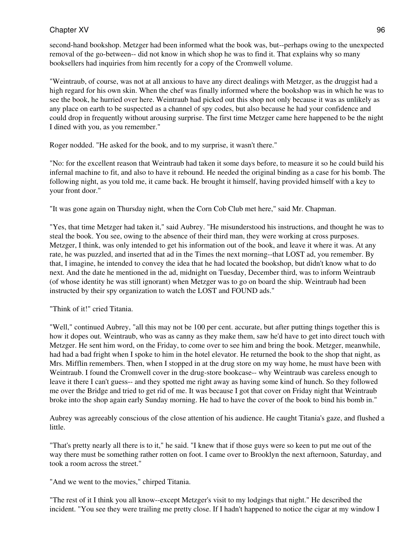second-hand bookshop. Metzger had been informed what the book was, but--perhaps owing to the unexpected removal of the go-between-- did not know in which shop he was to find it. That explains why so many booksellers had inquiries from him recently for a copy of the Cromwell volume.

"Weintraub, of course, was not at all anxious to have any direct dealings with Metzger, as the druggist had a high regard for his own skin. When the chef was finally informed where the bookshop was in which he was to see the book, he hurried over here. Weintraub had picked out this shop not only because it was as unlikely as any place on earth to be suspected as a channel of spy codes, but also because he had your confidence and could drop in frequently without arousing surprise. The first time Metzger came here happened to be the night I dined with you, as you remember."

Roger nodded. "He asked for the book, and to my surprise, it wasn't there."

"No: for the excellent reason that Weintraub had taken it some days before, to measure it so he could build his infernal machine to fit, and also to have it rebound. He needed the original binding as a case for his bomb. The following night, as you told me, it came back. He brought it himself, having provided himself with a key to your front door."

"It was gone again on Thursday night, when the Corn Cob Club met here," said Mr. Chapman.

"Yes, that time Metzger had taken it," said Aubrey. "He misunderstood his instructions, and thought he was to steal the book. You see, owing to the absence of their third man, they were working at cross purposes. Metzger, I think, was only intended to get his information out of the book, and leave it where it was. At any rate, he was puzzled, and inserted that ad in the Times the next morning--that LOST ad, you remember. By that, I imagine, he intended to convey the idea that he had located the bookshop, but didn't know what to do next. And the date he mentioned in the ad, midnight on Tuesday, December third, was to inform Weintraub (of whose identity he was still ignorant) when Metzger was to go on board the ship. Weintraub had been instructed by their spy organization to watch the LOST and FOUND ads."

"Think of it!" cried Titania.

"Well," continued Aubrey, "all this may not be 100 per cent. accurate, but after putting things together this is how it dopes out. Weintraub, who was as canny as they make them, saw he'd have to get into direct touch with Metzger. He sent him word, on the Friday, to come over to see him and bring the book. Metzger, meanwhile, had had a bad fright when I spoke to him in the hotel elevator. He returned the book to the shop that night, as Mrs. Mifflin remembers. Then, when I stopped in at the drug store on my way home, he must have been with Weintraub. I found the Cromwell cover in the drug-store bookcase-- why Weintraub was careless enough to leave it there I can't guess-- and they spotted me right away as having some kind of hunch. So they followed me over the Bridge and tried to get rid of me. It was because I got that cover on Friday night that Weintraub broke into the shop again early Sunday morning. He had to have the cover of the book to bind his bomb in."

Aubrey was agreeably conscious of the close attention of his audience. He caught Titania's gaze, and flushed a little.

"That's pretty nearly all there is to it," he said. "I knew that if those guys were so keen to put me out of the way there must be something rather rotten on foot. I came over to Brooklyn the next afternoon, Saturday, and took a room across the street."

"And we went to the movies," chirped Titania.

"The rest of it I think you all know--except Metzger's visit to my lodgings that night." He described the incident. "You see they were trailing me pretty close. If I hadn't happened to notice the cigar at my window I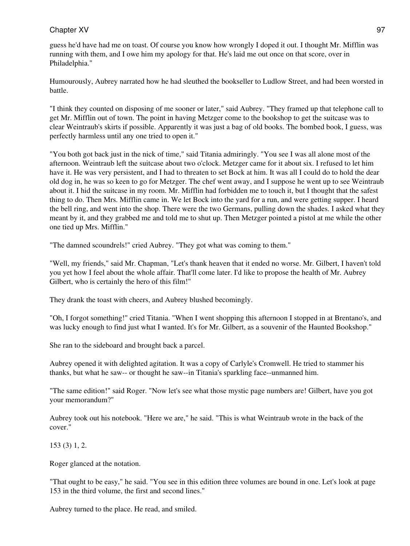guess he'd have had me on toast. Of course you know how wrongly I doped it out. I thought Mr. Mifflin was running with them, and I owe him my apology for that. He's laid me out once on that score, over in Philadelphia."

Humourously, Aubrey narrated how he had sleuthed the bookseller to Ludlow Street, and had been worsted in battle.

"I think they counted on disposing of me sooner or later," said Aubrey. "They framed up that telephone call to get Mr. Mifflin out of town. The point in having Metzger come to the bookshop to get the suitcase was to clear Weintraub's skirts if possible. Apparently it was just a bag of old books. The bombed book, I guess, was perfectly harmless until any one tried to open it."

"You both got back just in the nick of time," said Titania admiringly. "You see I was all alone most of the afternoon. Weintraub left the suitcase about two o'clock. Metzger came for it about six. I refused to let him have it. He was very persistent, and I had to threaten to set Bock at him. It was all I could do to hold the dear old dog in, he was so keen to go for Metzger. The chef went away, and I suppose he went up to see Weintraub about it. I hid the suitcase in my room. Mr. Mifflin had forbidden me to touch it, but I thought that the safest thing to do. Then Mrs. Mifflin came in. We let Bock into the yard for a run, and were getting supper. I heard the bell ring, and went into the shop. There were the two Germans, pulling down the shades. I asked what they meant by it, and they grabbed me and told me to shut up. Then Metzger pointed a pistol at me while the other one tied up Mrs. Mifflin."

"The damned scoundrels!" cried Aubrey. "They got what was coming to them."

"Well, my friends," said Mr. Chapman, "Let's thank heaven that it ended no worse. Mr. Gilbert, I haven't told you yet how I feel about the whole affair. That'll come later. I'd like to propose the health of Mr. Aubrey Gilbert, who is certainly the hero of this film!"

They drank the toast with cheers, and Aubrey blushed becomingly.

"Oh, I forgot something!" cried Titania. "When I went shopping this afternoon I stopped in at Brentano's, and was lucky enough to find just what I wanted. It's for Mr. Gilbert, as a souvenir of the Haunted Bookshop."

She ran to the sideboard and brought back a parcel.

Aubrey opened it with delighted agitation. It was a copy of Carlyle's Cromwell. He tried to stammer his thanks, but what he saw-- or thought he saw--in Titania's sparkling face--unmanned him.

"The same edition!" said Roger. "Now let's see what those mystic page numbers are! Gilbert, have you got your memorandum?"

Aubrey took out his notebook. "Here we are," he said. "This is what Weintraub wrote in the back of the cover."

153 (3) 1, 2.

Roger glanced at the notation.

"That ought to be easy," he said. "You see in this edition three volumes are bound in one. Let's look at page 153 in the third volume, the first and second lines."

Aubrey turned to the place. He read, and smiled.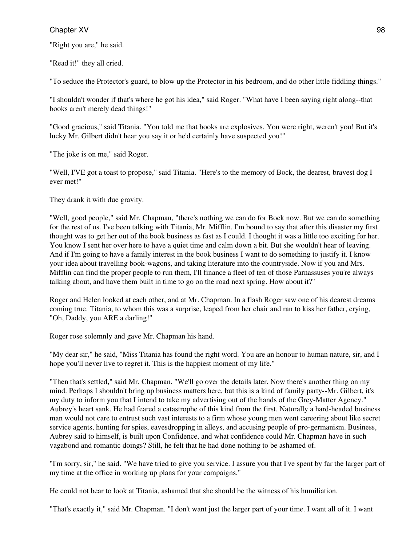"Right you are," he said.

"Read it!" they all cried.

"To seduce the Protector's guard, to blow up the Protector in his bedroom, and do other little fiddling things."

"I shouldn't wonder if that's where he got his idea," said Roger. "What have I been saying right along--that books aren't merely dead things!"

"Good gracious," said Titania. "You told me that books are explosives. You were right, weren't you! But it's lucky Mr. Gilbert didn't hear you say it or he'd certainly have suspected you!"

"The joke is on me," said Roger.

"Well, I'VE got a toast to propose," said Titania. "Here's to the memory of Bock, the dearest, bravest dog I ever met!"

They drank it with due gravity.

"Well, good people," said Mr. Chapman, "there's nothing we can do for Bock now. But we can do something for the rest of us. I've been talking with Titania, Mr. Mifflin. I'm bound to say that after this disaster my first thought was to get her out of the book business as fast as I could. I thought it was a little too exciting for her. You know I sent her over here to have a quiet time and calm down a bit. But she wouldn't hear of leaving. And if I'm going to have a family interest in the book business I want to do something to justify it. I know your idea about travelling book-wagons, and taking literature into the countryside. Now if you and Mrs. Mifflin can find the proper people to run them, I'll finance a fleet of ten of those Parnassuses you're always talking about, and have them built in time to go on the road next spring. How about it?"

Roger and Helen looked at each other, and at Mr. Chapman. In a flash Roger saw one of his dearest dreams coming true. Titania, to whom this was a surprise, leaped from her chair and ran to kiss her father, crying, "Oh, Daddy, you ARE a darling!"

Roger rose solemnly and gave Mr. Chapman his hand.

"My dear sir," he said, "Miss Titania has found the right word. You are an honour to human nature, sir, and I hope you'll never live to regret it. This is the happiest moment of my life."

"Then that's settled," said Mr. Chapman. "We'll go over the details later. Now there's another thing on my mind. Perhaps I shouldn't bring up business matters here, but this is a kind of family party--Mr. Gilbert, it's my duty to inform you that I intend to take my advertising out of the hands of the Grey-Matter Agency." Aubrey's heart sank. He had feared a catastrophe of this kind from the first. Naturally a hard-headed business man would not care to entrust such vast interests to a firm whose young men went careering about like secret service agents, hunting for spies, eavesdropping in alleys, and accusing people of pro-germanism. Business, Aubrey said to himself, is built upon Confidence, and what confidence could Mr. Chapman have in such vagabond and romantic doings? Still, he felt that he had done nothing to be ashamed of.

"I'm sorry, sir," he said. "We have tried to give you service. I assure you that I've spent by far the larger part of my time at the office in working up plans for your campaigns."

He could not bear to look at Titania, ashamed that she should be the witness of his humiliation.

"That's exactly it," said Mr. Chapman. "I don't want just the larger part of your time. I want all of it. I want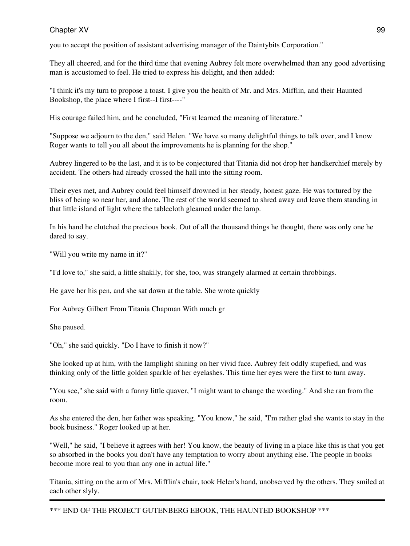you to accept the position of assistant advertising manager of the Daintybits Corporation."

They all cheered, and for the third time that evening Aubrey felt more overwhelmed than any good advertising man is accustomed to feel. He tried to express his delight, and then added:

"I think it's my turn to propose a toast. I give you the health of Mr. and Mrs. Mifflin, and their Haunted Bookshop, the place where I first--I first----"

His courage failed him, and he concluded, "First learned the meaning of literature."

"Suppose we adjourn to the den," said Helen. "We have so many delightful things to talk over, and I know Roger wants to tell you all about the improvements he is planning for the shop."

Aubrey lingered to be the last, and it is to be conjectured that Titania did not drop her handkerchief merely by accident. The others had already crossed the hall into the sitting room.

Their eyes met, and Aubrey could feel himself drowned in her steady, honest gaze. He was tortured by the bliss of being so near her, and alone. The rest of the world seemed to shred away and leave them standing in that little island of light where the tablecloth gleamed under the lamp.

In his hand he clutched the precious book. Out of all the thousand things he thought, there was only one he dared to say.

"Will you write my name in it?"

"I'd love to," she said, a little shakily, for she, too, was strangely alarmed at certain throbbings.

He gave her his pen, and she sat down at the table. She wrote quickly

For Aubrey Gilbert From Titania Chapman With much gr

She paused.

"Oh," she said quickly. "Do I have to finish it now?"

She looked up at him, with the lamplight shining on her vivid face. Aubrey felt oddly stupefied, and was thinking only of the little golden sparkle of her eyelashes. This time her eyes were the first to turn away.

"You see," she said with a funny little quaver, "I might want to change the wording." And she ran from the room.

As she entered the den, her father was speaking. "You know," he said, "I'm rather glad she wants to stay in the book business." Roger looked up at her.

"Well," he said, "I believe it agrees with her! You know, the beauty of living in a place like this is that you get so absorbed in the books you don't have any temptation to worry about anything else. The people in books become more real to you than any one in actual life."

Titania, sitting on the arm of Mrs. Mifflin's chair, took Helen's hand, unobserved by the others. They smiled at each other slyly.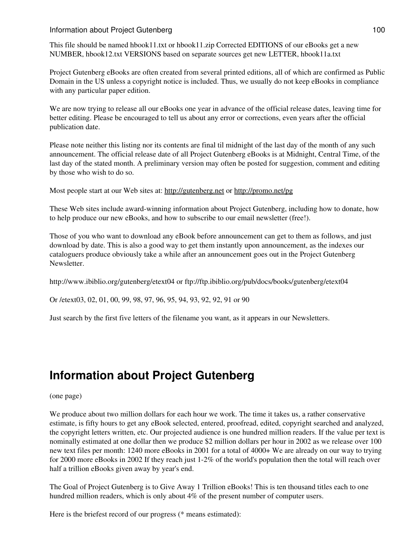#### Information about Project Gutenberg 100

This file should be named hbook11.txt or hbook11.zip Corrected EDITIONS of our eBooks get a new NUMBER, hbook12.txt VERSIONS based on separate sources get new LETTER, hbook11a.txt

Project Gutenberg eBooks are often created from several printed editions, all of which are confirmed as Public Domain in the US unless a copyright notice is included. Thus, we usually do not keep eBooks in compliance with any particular paper edition.

We are now trying to release all our eBooks one year in advance of the official release dates, leaving time for better editing. Please be encouraged to tell us about any error or corrections, even years after the official publication date.

Please note neither this listing nor its contents are final til midnight of the last day of the month of any such announcement. The official release date of all Project Gutenberg eBooks is at Midnight, Central Time, of the last day of the stated month. A preliminary version may often be posted for suggestion, comment and editing by those who wish to do so.

Most people start at our Web sites at: <http://gutenberg.net> or <http://promo.net/pg>

These Web sites include award-winning information about Project Gutenberg, including how to donate, how to help produce our new eBooks, and how to subscribe to our email newsletter (free!).

Those of you who want to download any eBook before announcement can get to them as follows, and just download by date. This is also a good way to get them instantly upon announcement, as the indexes our cataloguers produce obviously take a while after an announcement goes out in the Project Gutenberg **Newsletter** 

http://www.ibiblio.org/gutenberg/etext04 or ftp://ftp.ibiblio.org/pub/docs/books/gutenberg/etext04

Or /etext03, 02, 01, 00, 99, 98, 97, 96, 95, 94, 93, 92, 92, 91 or 90

Just search by the first five letters of the filename you want, as it appears in our Newsletters.

# **Information about Project Gutenberg**

(one page)

We produce about two million dollars for each hour we work. The time it takes us, a rather conservative estimate, is fifty hours to get any eBook selected, entered, proofread, edited, copyright searched and analyzed, the copyright letters written, etc. Our projected audience is one hundred million readers. If the value per text is nominally estimated at one dollar then we produce \$2 million dollars per hour in 2002 as we release over 100 new text files per month: 1240 more eBooks in 2001 for a total of 4000+ We are already on our way to trying for 2000 more eBooks in 2002 If they reach just 1-2% of the world's population then the total will reach over half a trillion eBooks given away by year's end.

The Goal of Project Gutenberg is to Give Away 1 Trillion eBooks! This is ten thousand titles each to one hundred million readers, which is only about 4% of the present number of computer users.

Here is the briefest record of our progress (\* means estimated):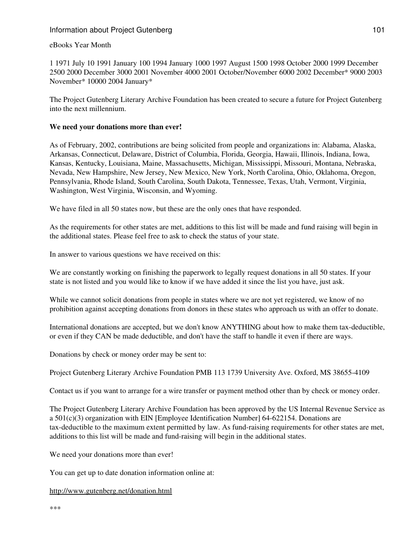#### Information about Project Gutenberg 101

#### eBooks Year Month

1 1971 July 10 1991 January 100 1994 January 1000 1997 August 1500 1998 October 2000 1999 December 2500 2000 December 3000 2001 November 4000 2001 October/November 6000 2002 December\* 9000 2003 November\* 10000 2004 January\*

The Project Gutenberg Literary Archive Foundation has been created to secure a future for Project Gutenberg into the next millennium.

#### **We need your donations more than ever!**

As of February, 2002, contributions are being solicited from people and organizations in: Alabama, Alaska, Arkansas, Connecticut, Delaware, District of Columbia, Florida, Georgia, Hawaii, Illinois, Indiana, Iowa, Kansas, Kentucky, Louisiana, Maine, Massachusetts, Michigan, Mississippi, Missouri, Montana, Nebraska, Nevada, New Hampshire, New Jersey, New Mexico, New York, North Carolina, Ohio, Oklahoma, Oregon, Pennsylvania, Rhode Island, South Carolina, South Dakota, Tennessee, Texas, Utah, Vermont, Virginia, Washington, West Virginia, Wisconsin, and Wyoming.

We have filed in all 50 states now, but these are the only ones that have responded.

As the requirements for other states are met, additions to this list will be made and fund raising will begin in the additional states. Please feel free to ask to check the status of your state.

In answer to various questions we have received on this:

We are constantly working on finishing the paperwork to legally request donations in all 50 states. If your state is not listed and you would like to know if we have added it since the list you have, just ask.

While we cannot solicit donations from people in states where we are not yet registered, we know of no prohibition against accepting donations from donors in these states who approach us with an offer to donate.

International donations are accepted, but we don't know ANYTHING about how to make them tax-deductible, or even if they CAN be made deductible, and don't have the staff to handle it even if there are ways.

Donations by check or money order may be sent to:

Project Gutenberg Literary Archive Foundation PMB 113 1739 University Ave. Oxford, MS 38655-4109

Contact us if you want to arrange for a wire transfer or payment method other than by check or money order.

The Project Gutenberg Literary Archive Foundation has been approved by the US Internal Revenue Service as a 501(c)(3) organization with EIN [Employee Identification Number] 64-622154. Donations are tax-deductible to the maximum extent permitted by law. As fund-raising requirements for other states are met, additions to this list will be made and fund-raising will begin in the additional states.

We need your donations more than ever!

You can get up to date donation information online at:

<http://www.gutenberg.net/donation.html>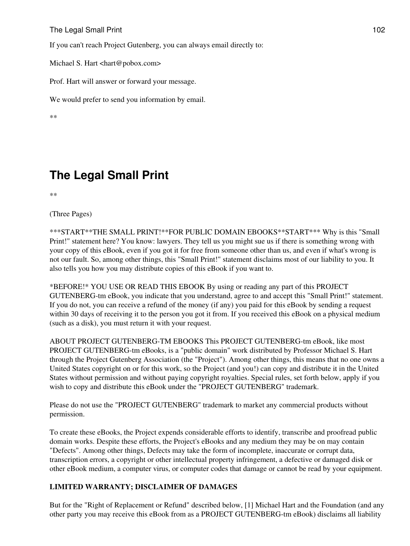The Legal Small Print 102

If you can't reach Project Gutenberg, you can always email directly to:

Michael S. Hart <hart@pobox.com>

Prof. Hart will answer or forward your message.

We would prefer to send you information by email.

\*\*

# **The Legal Small Print**

\*\*

(Three Pages)

\*\*\*START\*\*THE SMALL PRINT!\*\*FOR PUBLIC DOMAIN EBOOKS\*\*START\*\*\* Why is this "Small Print!" statement here? You know: lawyers. They tell us you might sue us if there is something wrong with your copy of this eBook, even if you got it for free from someone other than us, and even if what's wrong is not our fault. So, among other things, this "Small Print!" statement disclaims most of our liability to you. It also tells you how you may distribute copies of this eBook if you want to.

\*BEFORE!\* YOU USE OR READ THIS EBOOK By using or reading any part of this PROJECT GUTENBERG-tm eBook, you indicate that you understand, agree to and accept this "Small Print!" statement. If you do not, you can receive a refund of the money (if any) you paid for this eBook by sending a request within 30 days of receiving it to the person you got it from. If you received this eBook on a physical medium (such as a disk), you must return it with your request.

ABOUT PROJECT GUTENBERG-TM EBOOKS This PROJECT GUTENBERG-tm eBook, like most PROJECT GUTENBERG-tm eBooks, is a "public domain" work distributed by Professor Michael S. Hart through the Project Gutenberg Association (the "Project"). Among other things, this means that no one owns a United States copyright on or for this work, so the Project (and you!) can copy and distribute it in the United States without permission and without paying copyright royalties. Special rules, set forth below, apply if you wish to copy and distribute this eBook under the "PROJECT GUTENBERG" trademark.

Please do not use the "PROJECT GUTENBERG" trademark to market any commercial products without permission.

To create these eBooks, the Project expends considerable efforts to identify, transcribe and proofread public domain works. Despite these efforts, the Project's eBooks and any medium they may be on may contain "Defects". Among other things, Defects may take the form of incomplete, inaccurate or corrupt data, transcription errors, a copyright or other intellectual property infringement, a defective or damaged disk or other eBook medium, a computer virus, or computer codes that damage or cannot be read by your equipment.

## **LIMITED WARRANTY; DISCLAIMER OF DAMAGES**

But for the "Right of Replacement or Refund" described below, [1] Michael Hart and the Foundation (and any other party you may receive this eBook from as a PROJECT GUTENBERG-tm eBook) disclaims all liability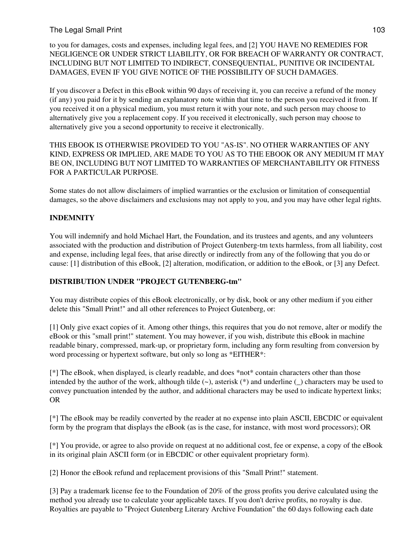to you for damages, costs and expenses, including legal fees, and [2] YOU HAVE NO REMEDIES FOR NEGLIGENCE OR UNDER STRICT LIABILITY, OR FOR BREACH OF WARRANTY OR CONTRACT, INCLUDING BUT NOT LIMITED TO INDIRECT, CONSEQUENTIAL, PUNITIVE OR INCIDENTAL DAMAGES, EVEN IF YOU GIVE NOTICE OF THE POSSIBILITY OF SUCH DAMAGES.

If you discover a Defect in this eBook within 90 days of receiving it, you can receive a refund of the money (if any) you paid for it by sending an explanatory note within that time to the person you received it from. If you received it on a physical medium, you must return it with your note, and such person may choose to alternatively give you a replacement copy. If you received it electronically, such person may choose to alternatively give you a second opportunity to receive it electronically.

THIS EBOOK IS OTHERWISE PROVIDED TO YOU "AS-IS". NO OTHER WARRANTIES OF ANY KIND, EXPRESS OR IMPLIED, ARE MADE TO YOU AS TO THE EBOOK OR ANY MEDIUM IT MAY BE ON, INCLUDING BUT NOT LIMITED TO WARRANTIES OF MERCHANTABILITY OR FITNESS FOR A PARTICULAR PURPOSE.

Some states do not allow disclaimers of implied warranties or the exclusion or limitation of consequential damages, so the above disclaimers and exclusions may not apply to you, and you may have other legal rights.

# **INDEMNITY**

You will indemnify and hold Michael Hart, the Foundation, and its trustees and agents, and any volunteers associated with the production and distribution of Project Gutenberg-tm texts harmless, from all liability, cost and expense, including legal fees, that arise directly or indirectly from any of the following that you do or cause: [1] distribution of this eBook, [2] alteration, modification, or addition to the eBook, or [3] any Defect.

# **DISTRIBUTION UNDER "PROJECT GUTENBERG-tm"**

You may distribute copies of this eBook electronically, or by disk, book or any other medium if you either delete this "Small Print!" and all other references to Project Gutenberg, or:

[1] Only give exact copies of it. Among other things, this requires that you do not remove, alter or modify the eBook or this "small print!" statement. You may however, if you wish, distribute this eBook in machine readable binary, compressed, mark-up, or proprietary form, including any form resulting from conversion by word processing or hypertext software, but only so long as \*EITHER\*:

[\*] The eBook, when displayed, is clearly readable, and does \*not\* contain characters other than those intended by the author of the work, although tilde  $(\sim)$ , asterisk  $(*)$  and underline ( $\subset$ ) characters may be used to convey punctuation intended by the author, and additional characters may be used to indicate hypertext links; OR

[\*] The eBook may be readily converted by the reader at no expense into plain ASCII, EBCDIC or equivalent form by the program that displays the eBook (as is the case, for instance, with most word processors); OR

[\*] You provide, or agree to also provide on request at no additional cost, fee or expense, a copy of the eBook in its original plain ASCII form (or in EBCDIC or other equivalent proprietary form).

[2] Honor the eBook refund and replacement provisions of this "Small Print!" statement.

[3] Pay a trademark license fee to the Foundation of 20% of the gross profits you derive calculated using the method you already use to calculate your applicable taxes. If you don't derive profits, no royalty is due. Royalties are payable to "Project Gutenberg Literary Archive Foundation" the 60 days following each date